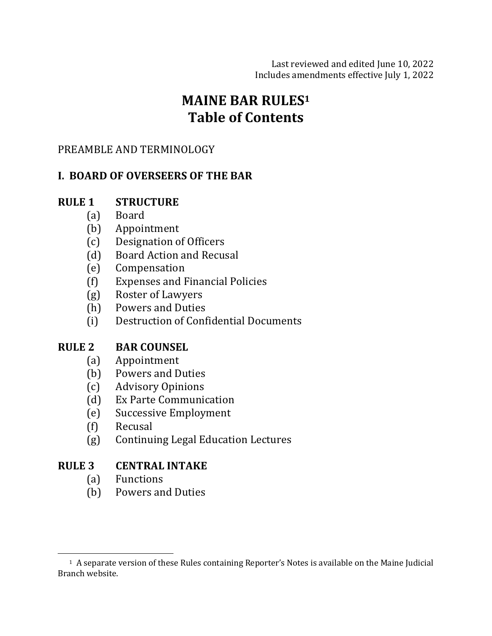Last reviewed and edited June 10, 2022 Includes amendments effective July 1, 2022

# **MAINE BAR RULES1 Table of Contents**

#### PREAMBLE AND TERMINOLOGY

## **I. BOARD OF OVERSEERS OF THE BAR**

## **RULE 1 STRUCTURE**

- (a) Board
- (b) Appointment
- (c) Designation of Officers
- (d) Board Action and Recusal
- (e) Compensation
- (f) Expenses and Financial Policies
- (g) Roster of Lawyers
- (h) Powers and Duties
- (i) Destruction of Confidential Documents

#### **RULE 2 BAR COUNSEL**

- (a) Appointment
- (b) Powers and Duties
- (c) Advisory Opinions
- (d) Ex Parte Communication
- (e) Successive Employment
- (f) Recusal
- (g) Continuing Legal Education Lectures

#### **RULE 3 CENTRAL INTAKE**

- (a) Functions
- (b) Powers and Duties

<sup>&</sup>lt;sup>1</sup> A separate version of these Rules containing Reporter's Notes is available on the Maine Judicial Branch website.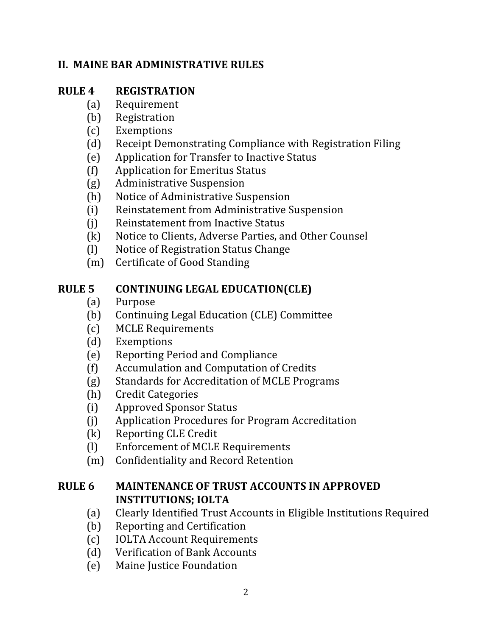## **II. MAINE BAR ADMINISTRATIVE RULES**

### **RULE 4 REGISTRATION**

- (a) Requirement
- (b) Registration
- (c) Exemptions
- (d) Receipt Demonstrating Compliance with Registration Filing
- (e) Application for Transfer to Inactive Status
- (f) Application for Emeritus Status
- (g) Administrative Suspension
- (h) Notice of Administrative Suspension
- (i) Reinstatement from Administrative Suspension
- (i) Reinstatement from Inactive Status
- (k) Notice to Clients, Adverse Parties, and Other Counsel
- (l) Notice of Registration Status Change
- (m) Certificate of Good Standing

#### **RULE 5 CONTINUING LEGAL EDUCATION(CLE)**

- (a) Purpose
- (b) Continuing Legal Education (CLE) Committee
- (c) MCLE Requirements
- (d) Exemptions
- (e) Reporting Period and Compliance
- (f) Accumulation and Computation of Credits
- (g) Standards for Accreditation of MCLE Programs
- (h) Credit Categories
- (i) Approved Sponsor Status
- (j) Application Procedures for Program Accreditation
- (k) Reporting CLE Credit
- (I) Enforcement of MCLE Requirements
- (m) Confidentiality and Record Retention

## **RULE 6 MAINTENANCE OF TRUST ACCOUNTS IN APPROVED INSTITUTIONS: IOLTA**

- (a) Clearly Identified Trust Accounts in Eligible Institutions Required
- (b) Reporting and Certification
- (c) IOLTA Account Requirements
- (d) Verification of Bank Accounts
- (e) Maine Justice Foundation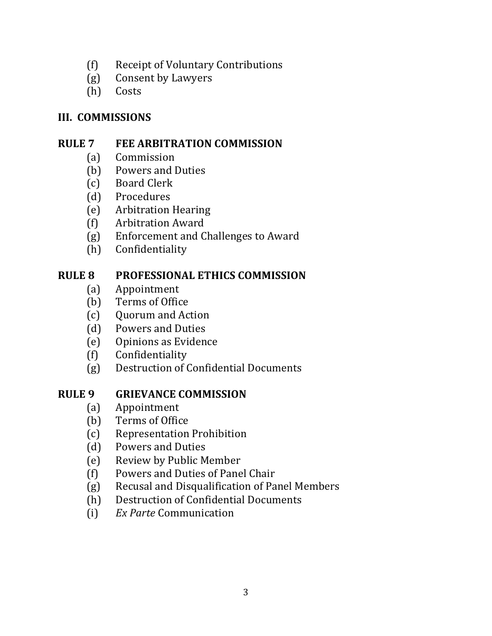- (f) Receipt of Voluntary Contributions
- (g) Consent by Lawyers
- (h) Costs

### **III. COMMISSIONS**

## **RULE 7 FEE ARBITRATION COMMISSION**

- (a) Commission
- (b) Powers and Duties
- (c) Board Clerk
- (d) Procedures
- (e) Arbitration Hearing
- (f) Arbitration Award
- (g) Enforcement and Challenges to Award
- (h) Confidentiality

## **RULE 8 PROFESSIONAL ETHICS COMMISSION**

- (a) Appointment
- (b) Terms of Office
- (c) Quorum and Action
- (d) Powers and Duties
- (e) Opinions as Evidence
- (f) Confidentiality
- (g) Destruction of Confidential Documents

## **RULE 9 GRIEVANCE COMMISSION**

- (a) Appointment
- (b) Terms of Office
- (c) Representation Prohibition
- (d) Powers and Duties
- (e) Review by Public Member
- (f) Powers and Duties of Panel Chair
- (g) Recusal and Disqualification of Panel Members
- (h) Destruction of Confidential Documents
- (i) *Ex Parte* Communication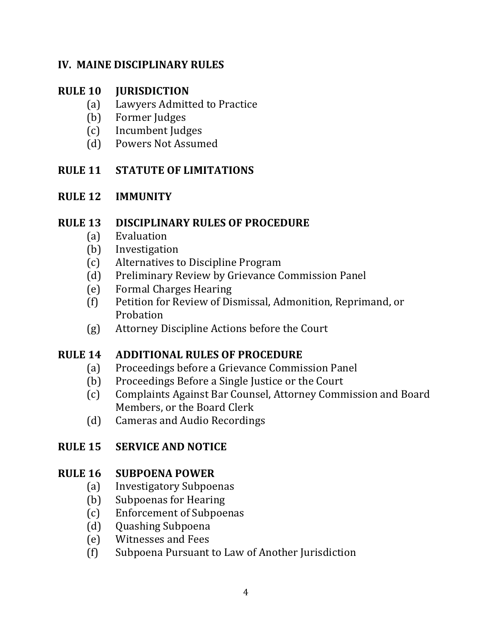#### **IV. MAINE DISCIPLINARY RULES**

#### **RULE 10 JURISDICTION**

- (a) Lawyers Admitted to Practice
- (b) Former Judges
- (c) Incumbent Judges
- (d) Powers Not Assumed

## **RULE 11 STATUTE OF LIMITATIONS**

## **RULE 12 IMMUNITY**

#### **RULE 13 DISCIPLINARY RULES OF PROCEDURE**

- (a) Evaluation
- (b) Investigation
- (c) Alternatives to Discipline Program
- (d) Preliminary Review by Grievance Commission Panel
- (e) Formal Charges Hearing
- (f) Petition for Review of Dismissal, Admonition, Reprimand, or Probation
- (g) Attorney Discipline Actions before the Court

## **RULE 14 ADDITIONAL RULES OF PROCEDURE**

- (a) Proceedings before a Grievance Commission Panel
- (b) Proceedings Before a Single Justice or the Court
- (c) Complaints Against Bar Counsel, Attorney Commission and Board Members, or the Board Clerk
- (d) Cameras and Audio Recordings

## **RULE 15 SERVICE AND NOTICE**

## **RULE 16 SUBPOENA POWER**

- (a) Investigatory Subpoenas
- (b) Subpoenas for Hearing
- (c) Enforcement of Subpoenas
- (d) Quashing Subpoena
- (e) Witnesses and Fees
- (f) Subpoena Pursuant to Law of Another Jurisdiction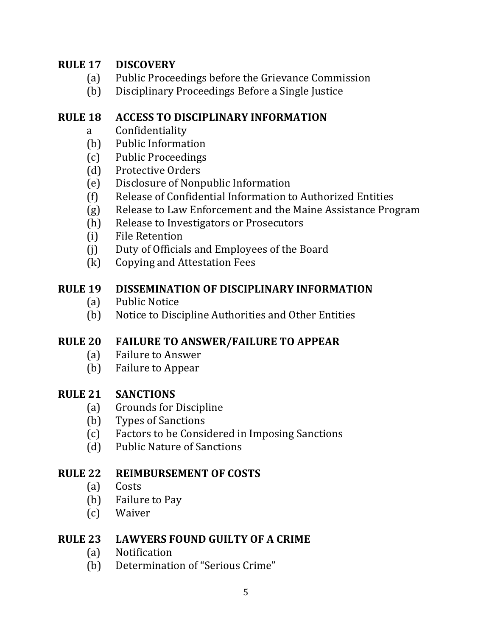## **RULE 17 DISCOVERY**

- (a) Public Proceedings before the Grievance Commission
- (b) Disciplinary Proceedings Before a Single Justice

#### **RULE 18 ACCESS TO DISCIPLINARY INFORMATION**

- a Confidentiality
- (b) Public Information
- (c) Public Proceedings
- (d) Protective Orders
- (e) Disclosure of Nonpublic Information
- (f) Release of Confidential Information to Authorized Entities
- (g) Release to Law Enforcement and the Maine Assistance Program
- (h) Release to Investigators or Prosecutors
- (i) File Retention
- (j) Duty of Officials and Employees of the Board
- (k) Copying and Attestation Fees

## **RULE 19 DISSEMINATION OF DISCIPLINARY INFORMATION**

- (a) Public Notice
- (b) Notice to Discipline Authorities and Other Entities

## **RULE 20 FAILURE TO ANSWER/FAILURE TO APPEAR**

- (a) Failure to Answer
- (b) Failure to Appear

## **RULE 21 SANCTIONS**

- (a) Grounds for Discipline
- (b) Types of Sanctions
- (c) Factors to be Considered in Imposing Sanctions
- (d) Public Nature of Sanctions

## **RULE 22 REIMBURSEMENT OF COSTS**

- (a) Costs
- (b) Failure to Pay
- (c) Waiver

## **RULE 23 LAWYERS FOUND GUILTY OF A CRIME**

- (a) Notification
- (b) Determination of "Serious Crime"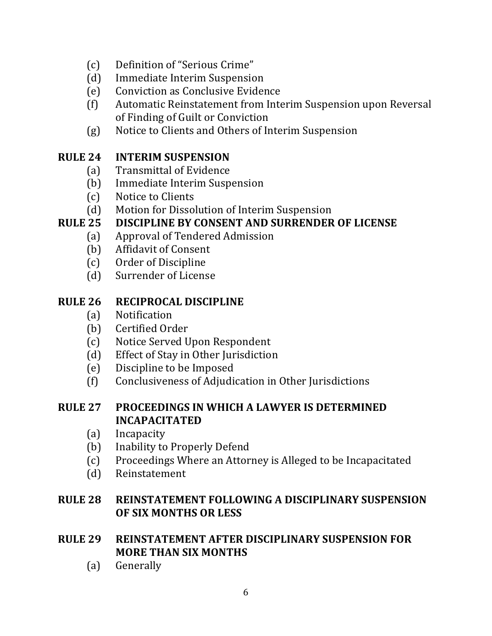- (c) Definition of "Serious Crime"
- (d) Immediate Interim Suspension
- (e) Conviction as Conclusive Evidence
- (f) Automatic Reinstatement from Interim Suspension upon Reversal of Finding of Guilt or Conviction
- (g) Notice to Clients and Others of Interim Suspension

#### **RULE 24 INTERIM SUSPENSION**

- (a) Transmittal of Evidence
- (b) Immediate Interim Suspension
- (c) Notice to Clients
- (d) Motion for Dissolution of Interim Suspension

## **RULE 25 DISCIPLINE BY CONSENT AND SURRENDER OF LICENSE**

- (a) Approval of Tendered Admission
- (b) Affidavit of Consent
- (c) Order of Discipline
- (d) Surrender of License

#### **RULE 26 RECIPROCAL DISCIPLINE**

- (a) Notification
- (b) Certified Order
- (c) Notice Served Upon Respondent
- (d) Effect of Stay in Other Jurisdiction
- (e) Discipline to be Imposed
- (f) Conclusiveness of Adjudication in Other Jurisdictions

#### **RULE 27 PROCEEDINGS IN WHICH A LAWYER IS DETERMINED INCAPACITATED**

- (a) Incapacity
- (b) Inability to Properly Defend
- (c) Proceedings Where an Attorney is Alleged to be Incapacitated
- (d) Reinstatement

## **RULE 28 REINSTATEMENT FOLLOWING A DISCIPLINARY SUSPENSION OF SIX MONTHS OR LESS**

#### **RULE 29 REINSTATEMENT AFTER DISCIPLINARY SUSPENSION FOR MORE THAN SIX MONTHS**

(a) Generally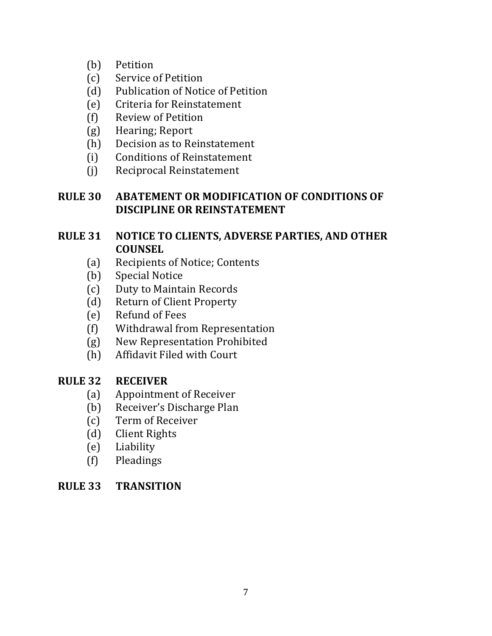- (b) Petition
- (c) Service of Petition
- (d) Publication of Notice of Petition
- (e) Criteria for Reinstatement
- (f) Review of Petition
- (g) Hearing; Report
- (h) Decision as to Reinstatement
- (i) Conditions of Reinstatement
- (j) Reciprocal Reinstatement

## **RULE 30 ABATEMENT OR MODIFICATION OF CONDITIONS OF DISCIPLINE OR REINSTATEMENT**

#### **RULE 31 NOTICE TO CLIENTS, ADVERSE PARTIES, AND OTHER COUNSEL**

- (a) Recipients of Notice; Contents
- (b) Special Notice
- (c) Duty to Maintain Records
- (d) Return of Client Property
- (e) Refund of Fees
- (f) Withdrawal from Representation
- (g) New Representation Prohibited
- (h) Affidavit Filed with Court

## **RULE 32 RECEIVER**

- (a) Appointment of Receiver
- (b) Receiver's Discharge Plan
- (c) Term of Receiver
- (d) Client Rights
- (e) Liability
- (f) Pleadings

#### **RULE 33 TRANSITION**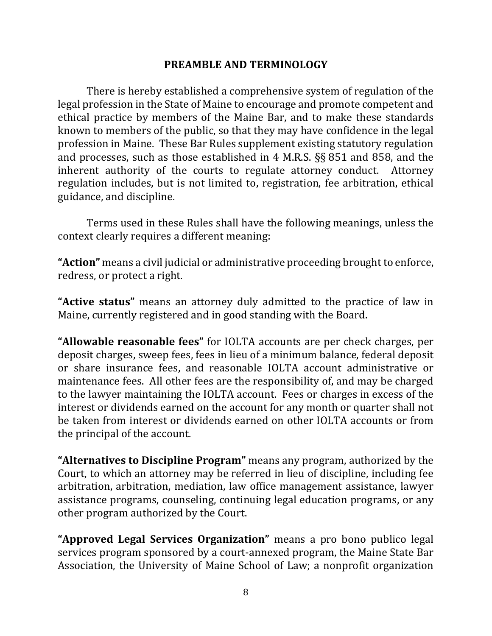#### **PREAMBLE AND TERMINOLOGY**

There is hereby established a comprehensive system of regulation of the legal profession in the State of Maine to encourage and promote competent and ethical practice by members of the Maine Bar, and to make these standards known to members of the public, so that they may have confidence in the legal profession in Maine. These Bar Rules supplement existing statutory regulation and processes, such as those established in 4 M.R.S.  $\S$ § 851 and 858, and the inherent authority of the courts to regulate attorney conduct. Attorney regulation includes, but is not limited to, registration, fee arbitration, ethical guidance, and discipline.

Terms used in these Rules shall have the following meanings, unless the context clearly requires a different meaning:

"Action" means a civil judicial or administrative proceeding brought to enforce, redress, or protect a right.

**"Active status"** means an attorney duly admitted to the practice of law in Maine, currently registered and in good standing with the Board.

"Allowable reasonable fees" for IOLTA accounts are per check charges, per deposit charges, sweep fees, fees in lieu of a minimum balance, federal deposit or share insurance fees, and reasonable IOLTA account administrative or maintenance fees. All other fees are the responsibility of, and may be charged to the lawyer maintaining the IOLTA account. Fees or charges in excess of the interest or dividends earned on the account for any month or quarter shall not be taken from interest or dividends earned on other IOLTA accounts or from the principal of the account.

**"Alternatives to Discipline Program"** means any program, authorized by the Court, to which an attorney may be referred in lieu of discipline, including fee arbitration, arbitration, mediation, law office management assistance, lawyer assistance programs, counseling, continuing legal education programs, or any other program authorized by the Court.

**"Approved Legal Services Organization"** means a pro bono publico legal services program sponsored by a court-annexed program, the Maine State Bar Association, the University of Maine School of Law; a nonprofit organization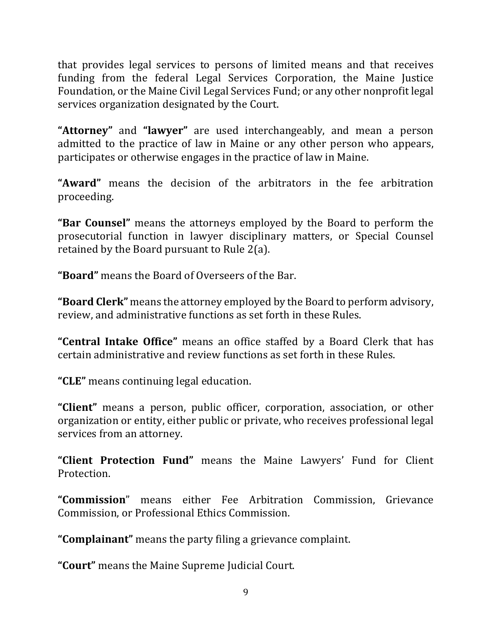that provides legal services to persons of limited means and that receives funding from the federal Legal Services Corporation, the Maine Justice Foundation, or the Maine Civil Legal Services Fund; or any other nonprofit legal services organization designated by the Court.

**"Attorney"** and "lawyer" are used interchangeably, and mean a person admitted to the practice of law in Maine or any other person who appears, participates or otherwise engages in the practice of law in Maine.

**"Award"** means the decision of the arbitrators in the fee arbitration proceeding.

**"Bar Counsel"** means the attorneys employed by the Board to perform the prosecutorial function in lawyer disciplinary matters, or Special Counsel retained by the Board pursuant to Rule  $2(a)$ .

**"Board"** means the Board of Overseers of the Bar.

**"Board Clerk"** means the attorney employed by the Board to perform advisory, review, and administrative functions as set forth in these Rules.

**"Central Intake Office"** means an office staffed by a Board Clerk that has certain administrative and review functions as set forth in these Rules.

**"CLE"** means continuing legal education.

**"Client"** means a person, public officer, corporation, association, or other organization or entity, either public or private, who receives professional legal services from an attorney.

"Client Protection Fund" means the Maine Lawyers' Fund for Client Protection.

**"Commission**" means either Fee Arbitration Commission, Grievance Commission, or Professional Ethics Commission.

**"Complainant"** means the party filing a grievance complaint.

"Court" means the Maine Supreme Judicial Court.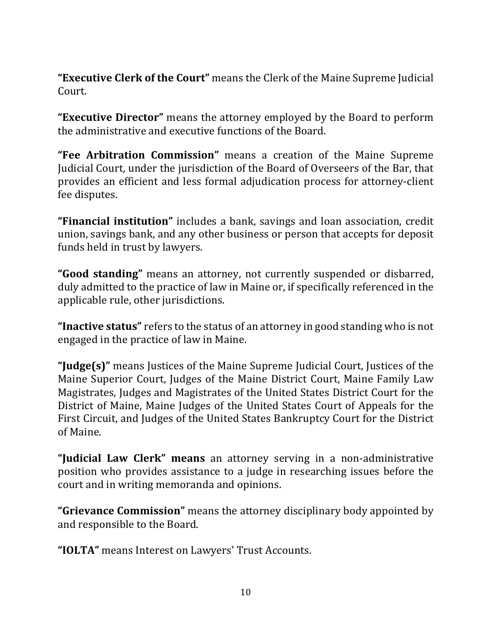**"Executive Clerk of the Court"** means the Clerk of the Maine Supreme Judicial Court. 

**"Executive Director"** means the attorney employed by the Board to perform the administrative and executive functions of the Board.

**"Fee Arbitration Commission"** means a creation of the Maine Supreme Judicial Court, under the jurisdiction of the Board of Overseers of the Bar, that provides an efficient and less formal adjudication process for attorney-client fee disputes.

**"Financial institution"** includes a bank, savings and loan association, credit union, savings bank, and any other business or person that accepts for deposit funds held in trust by lawyers.

"**Good standing**" means an attorney, not currently suspended or disbarred, duly admitted to the practice of law in Maine or, if specifically referenced in the applicable rule, other jurisdictions.

**"Inactive status"** refers to the status of an attorney in good standing who is not engaged in the practice of law in Maine.

**"Judge(s)"** means Justices of the Maine Supreme Judicial Court, Justices of the Maine Superior Court, Judges of the Maine District Court, Maine Family Law Magistrates, Judges and Magistrates of the United States District Court for the District of Maine, Maine Judges of the United States Court of Appeals for the First Circuit, and Judges of the United States Bankruptcy Court for the District of Maine.

**"Judicial Law Clerk" means** an attorney serving in a non-administrative position who provides assistance to a judge in researching issues before the court and in writing memoranda and opinions.

**"Grievance Commission"** means the attorney disciplinary body appointed by and responsible to the Board.

"**IOLTA**" means Interest on Lawyers' Trust Accounts.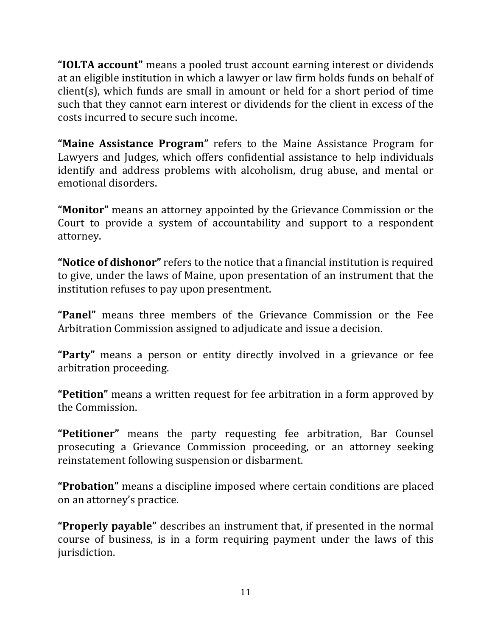**"IOLTA account"** means a pooled trust account earning interest or dividends at an eligible institution in which a lawyer or law firm holds funds on behalf of  $client(s)$ , which funds are small in amount or held for a short period of time such that they cannot earn interest or dividends for the client in excess of the costs incurred to secure such income.

**"Maine Assistance Program"** refers to the Maine Assistance Program for Lawyers and Judges, which offers confidential assistance to help individuals identify and address problems with alcoholism, drug abuse, and mental or emotional disorders.

**"Monitor"** means an attorney appointed by the Grievance Commission or the Court to provide a system of accountability and support to a respondent attorney.

**"Notice of dishonor"** refers to the notice that a financial institution is required to give, under the laws of Maine, upon presentation of an instrument that the institution refuses to pay upon presentment.

**"Panel"** means three members of the Grievance Commission or the Fee Arbitration Commission assigned to adjudicate and issue a decision.

**"Party"** means a person or entity directly involved in a grievance or fee arbitration proceeding.

"Petition" means a written request for fee arbitration in a form approved by the Commission.

"Petitioner" means the party requesting fee arbitration, Bar Counsel prosecuting a Grievance Commission proceeding, or an attorney seeking reinstatement following suspension or disbarment.

**"Probation"** means a discipline imposed where certain conditions are placed on an attorney's practice.

**"Properly payable"** describes an instrument that, if presented in the normal course of business, is in a form requiring payment under the laws of this jurisdiction.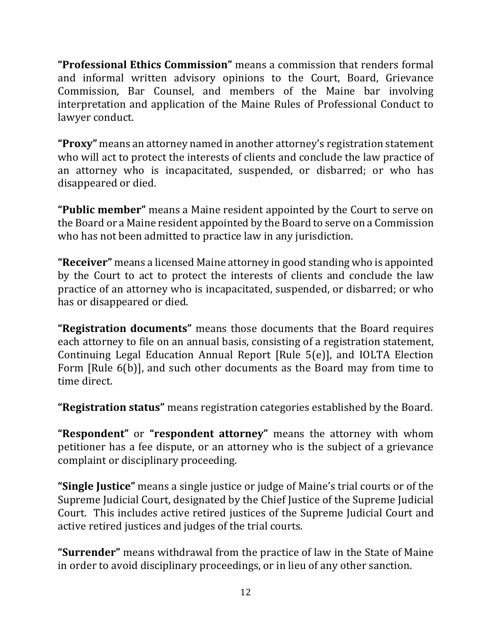**"Professional Ethics Commission"** means a commission that renders formal and informal written advisory opinions to the Court, Board, Grievance Commission, Bar Counsel, and members of the Maine bar involving interpretation and application of the Maine Rules of Professional Conduct to lawyer conduct.

**"Proxy"** means an attorney named in another attorney's registration statement who will act to protect the interests of clients and conclude the law practice of an attorney who is incapacitated, suspended, or disbarred; or who has disappeared or died.

"Public member" means a Maine resident appointed by the Court to serve on the Board or a Maine resident appointed by the Board to serve on a Commission who has not been admitted to practice law in any jurisdiction.

**"Receiver"** means a licensed Maine attorney in good standing who is appointed by the Court to act to protect the interests of clients and conclude the law practice of an attorney who is incapacitated, suspended, or disbarred; or who has or disappeared or died.

**"Registration documents"** means those documents that the Board requires each attorney to file on an annual basis, consisting of a registration statement, Continuing Legal Education Annual Report [Rule  $5(e)$ ], and IOLTA Election Form [Rule 6(b)], and such other documents as the Board may from time to time direct.

"Registration status" means registration categories established by the Board.

**"Respondent"** or **"respondent attorney"** means the attorney with whom petitioner has a fee dispute, or an attorney who is the subject of a grievance complaint or disciplinary proceeding.

**"Single Justice"** means a single justice or judge of Maine's trial courts or of the Supreme Judicial Court, designated by the Chief Justice of the Supreme Judicial Court. This includes active retired justices of the Supreme Judicial Court and active retired justices and judges of the trial courts.

**"Surrender"** means withdrawal from the practice of law in the State of Maine in order to avoid disciplinary proceedings, or in lieu of any other sanction.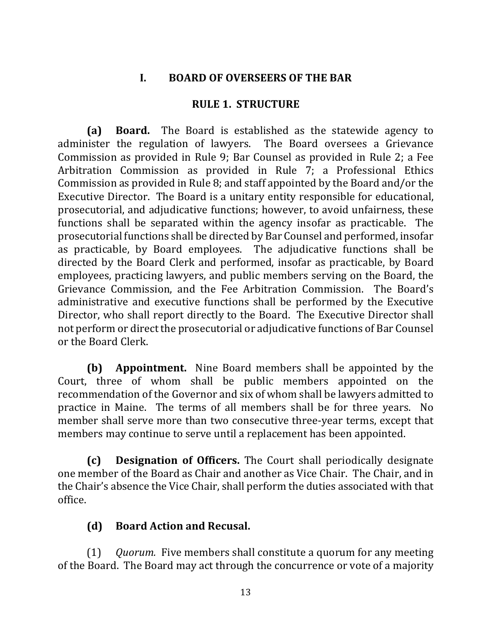#### **I. BOARD OF OVERSEERS OF THE BAR**

#### **RULE 1. STRUCTURE**

**(a) Board.** The Board is established as the statewide agency to administer the regulation of lawyers. The Board oversees a Grievance Commission as provided in Rule 9; Bar Counsel as provided in Rule 2; a Fee Arbitration Commission as provided in Rule 7; a Professional Ethics Commission as provided in Rule 8; and staff appointed by the Board and/or the Executive Director. The Board is a unitary entity responsible for educational, prosecutorial, and adjudicative functions; however, to avoid unfairness, these functions shall be separated within the agency insofar as practicable. The prosecutorial functions shall be directed by Bar Counsel and performed, insofar as practicable, by Board employees. The adjudicative functions shall be directed by the Board Clerk and performed, insofar as practicable, by Board employees, practicing lawyers, and public members serving on the Board, the Grievance Commission, and the Fee Arbitration Commission. The Board's administrative and executive functions shall be performed by the Executive Director, who shall report directly to the Board. The Executive Director shall not perform or direct the prosecutorial or adjudicative functions of Bar Counsel or the Board Clerk.

**(b) Appointment.** Nine Board members shall be appointed by the Court, three of whom shall be public members appointed on the recommendation of the Governor and six of whom shall be lawyers admitted to practice in Maine. The terms of all members shall be for three years. No member shall serve more than two consecutive three-year terms, except that members may continue to serve until a replacement has been appointed.

**(c) Designation of Officers.** The Court shall periodically designate one member of the Board as Chair and another as Vice Chair. The Chair, and in the Chair's absence the Vice Chair, shall perform the duties associated with that office.

#### **(d) Board Action and Recusal.**

(1) *Quorum.* Five members shall constitute a quorum for any meeting of the Board. The Board may act through the concurrence or vote of a majority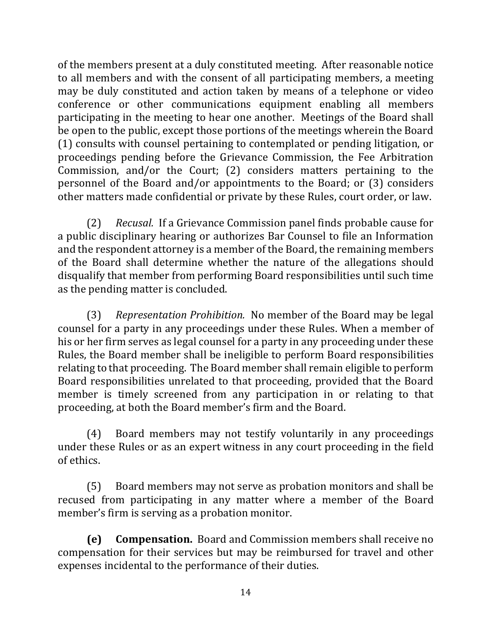of the members present at a duly constituted meeting. After reasonable notice to all members and with the consent of all participating members, a meeting may be duly constituted and action taken by means of a telephone or video conference or other communications equipment enabling all members participating in the meeting to hear one another. Meetings of the Board shall be open to the public, except those portions of the meetings wherein the Board (1) consults with counsel pertaining to contemplated or pending litigation, or proceedings pending before the Grievance Commission, the Fee Arbitration Commission, and/or the Court;  $(2)$  considers matters pertaining to the personnel of the Board and/or appointments to the Board; or  $(3)$  considers other matters made confidential or private by these Rules, court order, or law.

(2) *Recusal.* If a Grievance Commission panel finds probable cause for a public disciplinary hearing or authorizes Bar Counsel to file an Information and the respondent attorney is a member of the Board, the remaining members of the Board shall determine whether the nature of the allegations should disqualify that member from performing Board responsibilities until such time as the pending matter is concluded.

(3) *Representation Prohibition.* No member of the Board may be legal counsel for a party in any proceedings under these Rules. When a member of his or her firm serves as legal counsel for a party in any proceeding under these Rules, the Board member shall be ineligible to perform Board responsibilities relating to that proceeding. The Board member shall remain eligible to perform Board responsibilities unrelated to that proceeding, provided that the Board member is timely screened from any participation in or relating to that proceeding, at both the Board member's firm and the Board.

(4) Board members may not testify voluntarily in any proceedings under these Rules or as an expert witness in any court proceeding in the field of ethics.

(5) Board members may not serve as probation monitors and shall be recused from participating in any matter where a member of the Board member's firm is serving as a probation monitor.

**(e)** Compensation. Board and Commission members shall receive no compensation for their services but may be reimbursed for travel and other expenses incidental to the performance of their duties.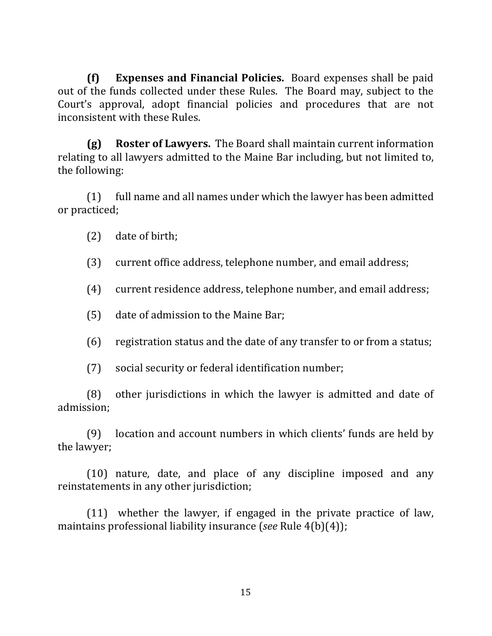**(f) Expenses and Financial Policies.** Board expenses shall be paid out of the funds collected under these Rules. The Board may, subject to the Court's approval, adopt financial policies and procedures that are not inconsistent with these Rules.

**(g) Roster of Lawyers.** The Board shall maintain current information relating to all lawyers admitted to the Maine Bar including, but not limited to, the following:

 $(1)$  full name and all names under which the lawyer has been admitted or practiced;

 $(2)$  date of birth;

(3) current office address, telephone number, and email address;

(4) current residence address, telephone number, and email address;

(5) date of admission to the Maine Bar;

(6) registration status and the date of any transfer to or from a status;

(7) social security or federal identification number;

 $(8)$  other jurisdictions in which the lawyer is admitted and date of admission;

(9) location and account numbers in which clients' funds are held by the lawyer;

(10) nature, date, and place of any discipline imposed and any reinstatements in any other jurisdiction;

 $(11)$  whether the lawyer, if engaged in the private practice of law, maintains professional liability insurance (*see* Rule 4(b)(4));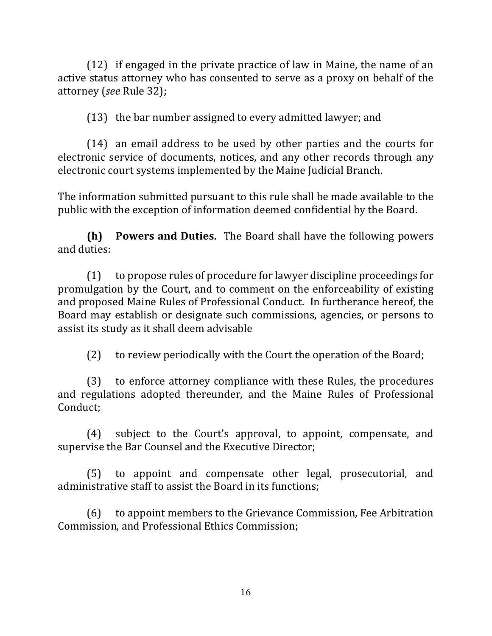$(12)$  if engaged in the private practice of law in Maine, the name of an active status attorney who has consented to serve as a proxy on behalf of the attorney (see Rule 32);

 $(13)$  the bar number assigned to every admitted lawyer; and

 $(14)$  an email address to be used by other parties and the courts for electronic service of documents, notices, and any other records through any electronic court systems implemented by the Maine Judicial Branch.

The information submitted pursuant to this rule shall be made available to the public with the exception of information deemed confidential by the Board.

**(h) Powers and Duties.** The Board shall have the following powers and duties:

(1) to propose rules of procedure for lawyer discipline proceedings for promulgation by the Court, and to comment on the enforceability of existing and proposed Maine Rules of Professional Conduct. In furtherance hereof, the Board may establish or designate such commissions, agencies, or persons to assist its study as it shall deem advisable

(2) to review periodically with the Court the operation of the Board;

(3) to enforce attorney compliance with these Rules, the procedures and regulations adopted thereunder, and the Maine Rules of Professional Conduct;

(4) subject to the Court's approval, to appoint, compensate, and supervise the Bar Counsel and the Executive Director;

(5) to appoint and compensate other legal, prosecutorial, and administrative staff to assist the Board in its functions:

(6) to appoint members to the Grievance Commission, Fee Arbitration Commission, and Professional Ethics Commission;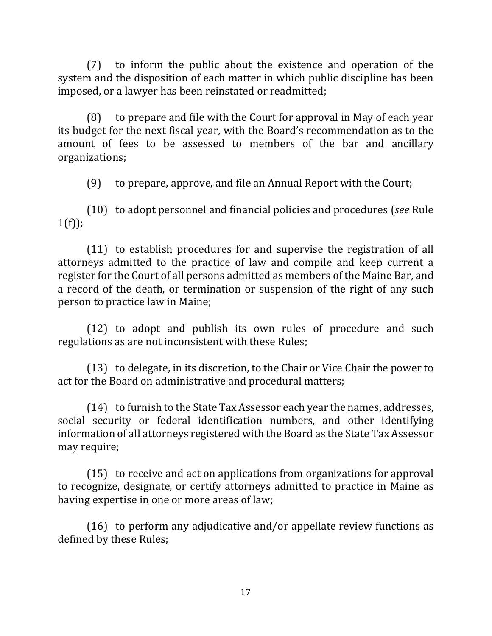$(7)$  to inform the public about the existence and operation of the system and the disposition of each matter in which public discipline has been imposed, or a lawyer has been reinstated or readmitted;

 $(8)$  to prepare and file with the Court for approval in May of each year its budget for the next fiscal year, with the Board's recommendation as to the amount of fees to be assessed to members of the bar and ancillary organizations;

(9) to prepare, approve, and file an Annual Report with the Court;

(10) to adopt personnel and financial policies and procedures (*see* Rule  $1(f)$ ;

 $(11)$  to establish procedures for and supervise the registration of all attorneys admitted to the practice of law and compile and keep current a register for the Court of all persons admitted as members of the Maine Bar, and a record of the death, or termination or suspension of the right of any such person to practice law in Maine;

(12) to adopt and publish its own rules of procedure and such regulations as are not inconsistent with these Rules;

(13) to delegate, in its discretion, to the Chair or Vice Chair the power to act for the Board on administrative and procedural matters;

 $(14)$  to furnish to the State Tax Assessor each year the names, addresses, social security or federal identification numbers, and other identifying information of all attorneys registered with the Board as the State Tax Assessor may require;

 $(15)$  to receive and act on applications from organizations for approval to recognize, designate, or certify attorneys admitted to practice in Maine as having expertise in one or more areas of law;

(16) to perform any adjudicative and/or appellate review functions as defined by these Rules;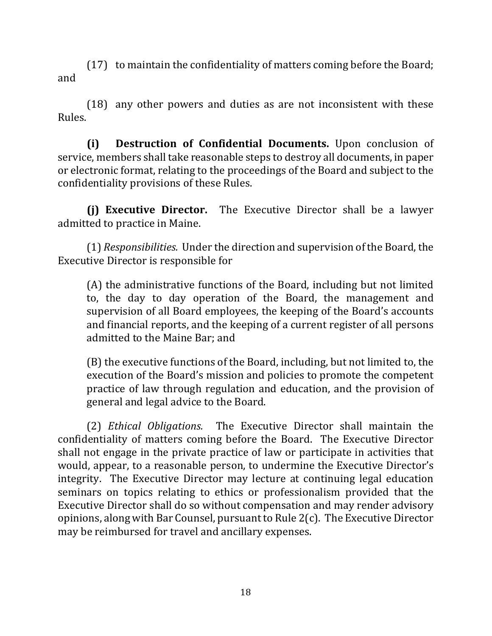$(17)$  to maintain the confidentiality of matters coming before the Board; and

(18) any other powers and duties as are not inconsistent with these Rules.

**(i) Destruction of Confidential Documents.** Upon conclusion of service, members shall take reasonable steps to destroy all documents, in paper or electronic format, relating to the proceedings of the Board and subject to the confidentiality provisions of these Rules.

**(i) Executive Director.** The Executive Director shall be a lawyer admitted to practice in Maine.

(1) *Responsibilities.* Under the direction and supervision of the Board, the Executive Director is responsible for

(A) the administrative functions of the Board, including but not limited to, the day to day operation of the Board, the management and supervision of all Board employees, the keeping of the Board's accounts and financial reports, and the keeping of a current register of all persons admitted to the Maine Bar; and

(B) the executive functions of the Board, including, but not limited to, the execution of the Board's mission and policies to promote the competent practice of law through regulation and education, and the provision of general and legal advice to the Board.

(2) *Ethical Obligations.* The Executive Director shall maintain the confidentiality of matters coming before the Board. The Executive Director shall not engage in the private practice of law or participate in activities that would, appear, to a reasonable person, to undermine the Executive Director's integrity. The Executive Director may lecture at continuing legal education seminars on topics relating to ethics or professionalism provided that the Executive Director shall do so without compensation and may render advisory opinions, along with Bar Counsel, pursuant to Rule  $2(c)$ . The Executive Director may be reimbursed for travel and ancillary expenses.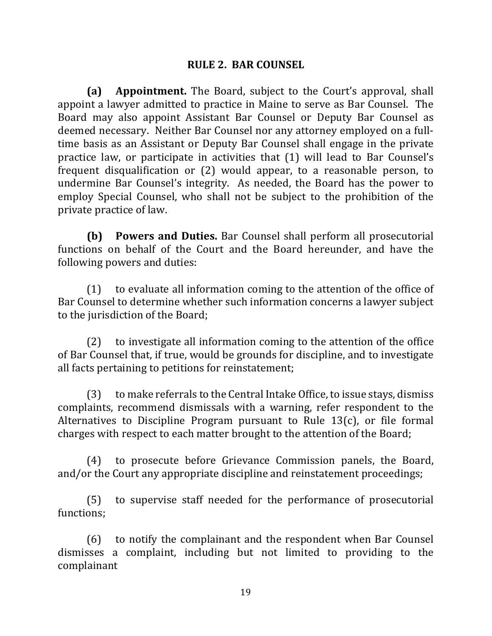#### **RULE 2. BAR COUNSEL**

**(a) Appointment.** The Board, subject to the Court's approval, shall appoint a lawyer admitted to practice in Maine to serve as Bar Counsel. The Board may also appoint Assistant Bar Counsel or Deputy Bar Counsel as deemed necessary. Neither Bar Counsel nor any attorney employed on a fulltime basis as an Assistant or Deputy Bar Counsel shall engage in the private practice law, or participate in activities that (1) will lead to Bar Counsel's frequent disqualification or  $(2)$  would appear, to a reasonable person, to undermine Bar Counsel's integrity. As needed, the Board has the power to employ Special Counsel, who shall not be subject to the prohibition of the private practice of law.

**(b) Powers and Duties.** Bar Counsel shall perform all prosecutorial functions on behalf of the Court and the Board hereunder, and have the following powers and duties:

 $(1)$  to evaluate all information coming to the attention of the office of Bar Counsel to determine whether such information concerns a lawyer subject to the jurisdiction of the Board;

 $(2)$  to investigate all information coming to the attention of the office of Bar Counsel that, if true, would be grounds for discipline, and to investigate all facts pertaining to petitions for reinstatement;

 $(3)$  to make referrals to the Central Intake Office, to issue stays, dismiss complaints, recommend dismissals with a warning, refer respondent to the Alternatives to Discipline Program pursuant to Rule 13(c), or file formal charges with respect to each matter brought to the attention of the Board;

(4) to prosecute before Grievance Commission panels, the Board, and/or the Court any appropriate discipline and reinstatement proceedings;

(5) to supervise staff needed for the performance of prosecutorial functions;

 $(6)$  to notify the complainant and the respondent when Bar Counsel dismisses a complaint, including but not limited to providing to the complainant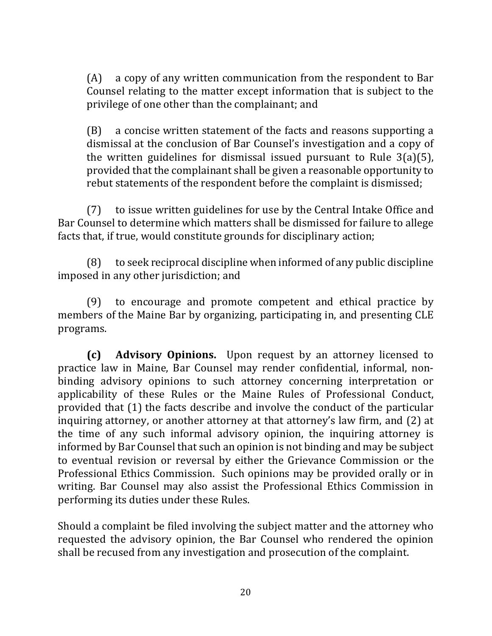$(A)$  a copy of any written communication from the respondent to Bar Counsel relating to the matter except information that is subject to the privilege of one other than the complainant; and

(B) a concise written statement of the facts and reasons supporting a dismissal at the conclusion of Bar Counsel's investigation and a copy of the written guidelines for dismissal issued pursuant to Rule  $3(a)(5)$ , provided that the complainant shall be given a reasonable opportunity to rebut statements of the respondent before the complaint is dismissed;

(7) to issue written guidelines for use by the Central Intake Office and Bar Counsel to determine which matters shall be dismissed for failure to allege facts that, if true, would constitute grounds for disciplinary action;

 $(8)$  to seek reciprocal discipline when informed of any public discipline imposed in any other jurisdiction; and

(9) to encourage and promote competent and ethical practice by members of the Maine Bar by organizing, participating in, and presenting CLE programs.

**(c) Advisory Opinions.** Upon request by an attorney licensed to practice law in Maine, Bar Counsel may render confidential, informal, nonbinding advisory opinions to such attorney concerning interpretation or applicability of these Rules or the Maine Rules of Professional Conduct, provided that (1) the facts describe and involve the conduct of the particular inquiring attorney, or another attorney at that attorney's law firm, and (2) at the time of any such informal advisory opinion, the inquiring attorney is informed by Bar Counsel that such an opinion is not binding and may be subject to eventual revision or reversal by either the Grievance Commission or the Professional Ethics Commission. Such opinions may be provided orally or in writing. Bar Counsel may also assist the Professional Ethics Commission in performing its duties under these Rules.

Should a complaint be filed involving the subject matter and the attorney who requested the advisory opinion, the Bar Counsel who rendered the opinion shall be recused from any investigation and prosecution of the complaint.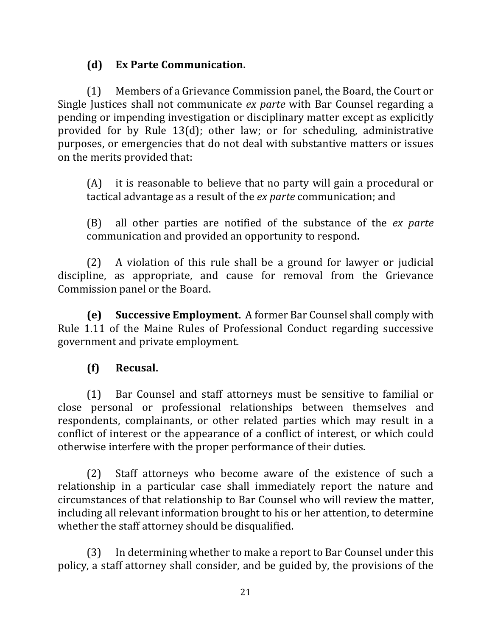## **(d) Ex Parte Communication.**

(1) Members of a Grievance Commission panel, the Board, the Court or Single Justices shall not communicate *ex parte* with Bar Counsel regarding a pending or impending investigation or disciplinary matter except as explicitly provided for by Rule  $13(d)$ ; other law; or for scheduling, administrative purposes, or emergencies that do not deal with substantive matters or issues on the merits provided that:

 $(A)$  it is reasonable to believe that no party will gain a procedural or tactical advantage as a result of the *ex parte* communication; and

(B) all other parties are notified of the substance of the *ex parte* communication and provided an opportunity to respond.

 $(2)$  A violation of this rule shall be a ground for lawyer or judicial discipline, as appropriate, and cause for removal from the Grievance Commission panel or the Board.

**(e)** Successive Employment. A former Bar Counsel shall comply with Rule 1.11 of the Maine Rules of Professional Conduct regarding successive government and private employment.

#### **(f) Recusal.**

(1) Bar Counsel and staff attorneys must be sensitive to familial or close personal or professional relationships between themselves and respondents, complainants, or other related parties which may result in a conflict of interest or the appearance of a conflict of interest, or which could otherwise interfere with the proper performance of their duties.

(2) Staff attorneys who become aware of the existence of such a relationship in a particular case shall immediately report the nature and circumstances of that relationship to Bar Counsel who will review the matter, including all relevant information brought to his or her attention, to determine whether the staff attorney should be disqualified.

(3) In determining whether to make a report to Bar Counsel under this policy, a staff attorney shall consider, and be guided by, the provisions of the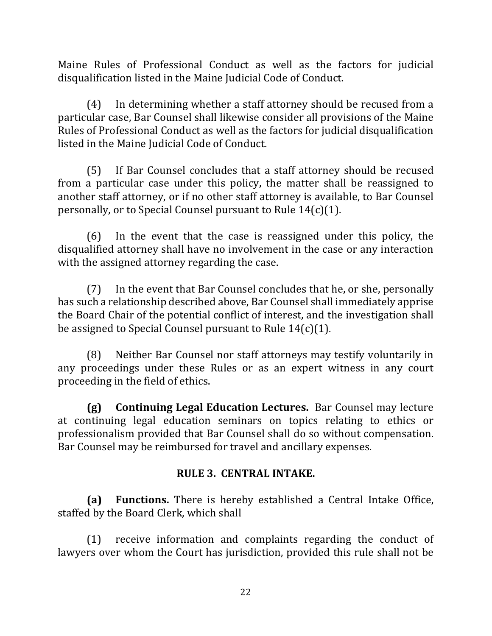Maine Rules of Professional Conduct as well as the factors for judicial disqualification listed in the Maine Judicial Code of Conduct.

(4) In determining whether a staff attorney should be recused from a particular case, Bar Counsel shall likewise consider all provisions of the Maine Rules of Professional Conduct as well as the factors for judicial disqualification listed in the Maine Judicial Code of Conduct.

(5) If Bar Counsel concludes that a staff attorney should be recused from a particular case under this policy, the matter shall be reassigned to another staff attorney, or if no other staff attorney is available, to Bar Counsel personally, or to Special Counsel pursuant to Rule  $14(c)(1)$ .

 $(6)$  In the event that the case is reassigned under this policy, the disqualified attorney shall have no involvement in the case or any interaction with the assigned attorney regarding the case.

 $(7)$  In the event that Bar Counsel concludes that he, or she, personally has such a relationship described above, Bar Counsel shall immediately apprise the Board Chair of the potential conflict of interest, and the investigation shall be assigned to Special Counsel pursuant to Rule  $14(c)(1)$ .

(8) Neither Bar Counsel nor staff attorneys may testify voluntarily in any proceedings under these Rules or as an expert witness in any court proceeding in the field of ethics.

**(g) Continuing Legal Education Lectures.** Bar Counsel may lecture at continuing legal education seminars on topics relating to ethics or professionalism provided that Bar Counsel shall do so without compensation. Bar Counsel may be reimbursed for travel and ancillary expenses.

## **RULE 3. CENTRAL INTAKE.**

**(a)** Functions. There is hereby established a Central Intake Office, staffed by the Board Clerk, which shall

 $(1)$  receive information and complaints regarding the conduct of lawyers over whom the Court has jurisdiction, provided this rule shall not be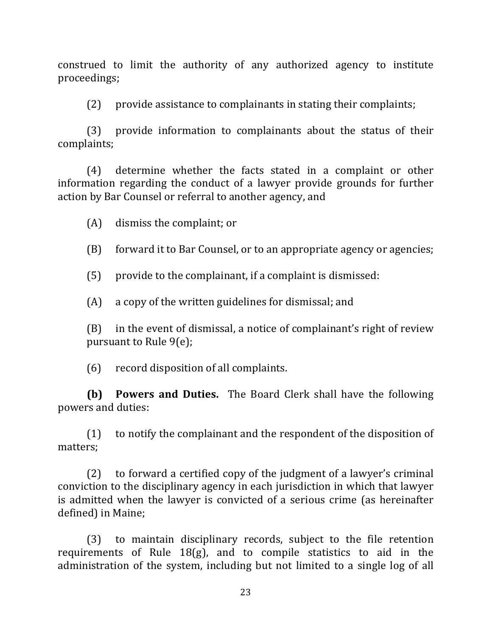construed to limit the authority of any authorized agency to institute proceedings;

(2) provide assistance to complainants in stating their complaints;

 $(3)$  provide information to complainants about the status of their complaints;

(4) determine whether the facts stated in a complaint or other information regarding the conduct of a lawyer provide grounds for further action by Bar Counsel or referral to another agency, and

 $(A)$  dismiss the complaint; or

(B) forward it to Bar Counsel, or to an appropriate agency or agencies;

 $(5)$  provide to the complainant, if a complaint is dismissed:

 $(A)$  a copy of the written guidelines for dismissal; and

 $(B)$  in the event of dismissal, a notice of complainant's right of review pursuant to Rule  $9(e)$ ;

(6) record disposition of all complaints.

**(b) Powers and Duties.** The Board Clerk shall have the following powers and duties:

 $(1)$  to notify the complainant and the respondent of the disposition of matters;

 $(2)$  to forward a certified copy of the judgment of a lawyer's criminal conviction to the disciplinary agency in each jurisdiction in which that lawyer is admitted when the lawyer is convicted of a serious crime (as hereinafter defined) in Maine;

(3) to maintain disciplinary records, subject to the file retention requirements of Rule  $18(g)$ , and to compile statistics to aid in the administration of the system, including but not limited to a single log of all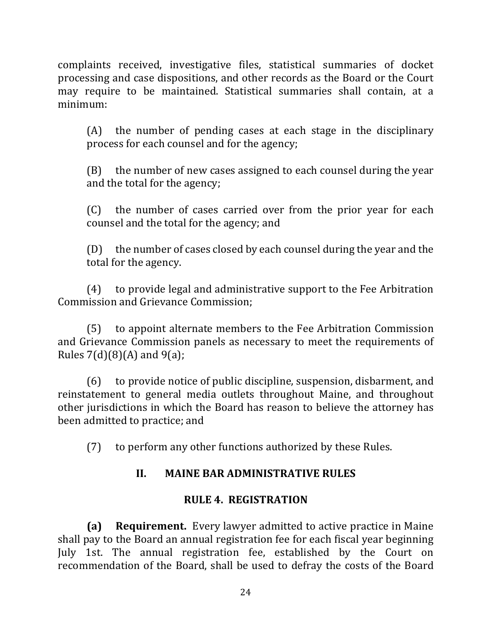complaints received, investigative files, statistical summaries of docket processing and case dispositions, and other records as the Board or the Court may require to be maintained. Statistical summaries shall contain, at a minimum:

 $(A)$  the number of pending cases at each stage in the disciplinary process for each counsel and for the agency;

 $(B)$  the number of new cases assigned to each counsel during the year and the total for the agency;

(C) the number of cases carried over from the prior year for each counsel and the total for the agency; and

 $(D)$  the number of cases closed by each counsel during the year and the total for the agency.

(4) to provide legal and administrative support to the Fee Arbitration Commission and Grievance Commission;

(5) to appoint alternate members to the Fee Arbitration Commission and Grievance Commission panels as necessary to meet the requirements of Rules  $7(d)(8)(A)$  and  $9(a)$ ;

 $(6)$  to provide notice of public discipline, suspension, disbarment, and reinstatement to general media outlets throughout Maine, and throughout other jurisdictions in which the Board has reason to believe the attorney has been admitted to practice; and

(7) to perform any other functions authorized by these Rules.

## **II. MAINE BAR ADMINISTRATIVE RULES**

#### **RULE 4. REGISTRATION**

**(a) Requirement.** Every lawyer admitted to active practice in Maine shall pay to the Board an annual registration fee for each fiscal year beginning July 1st. The annual registration fee, established by the Court on recommendation of the Board, shall be used to defray the costs of the Board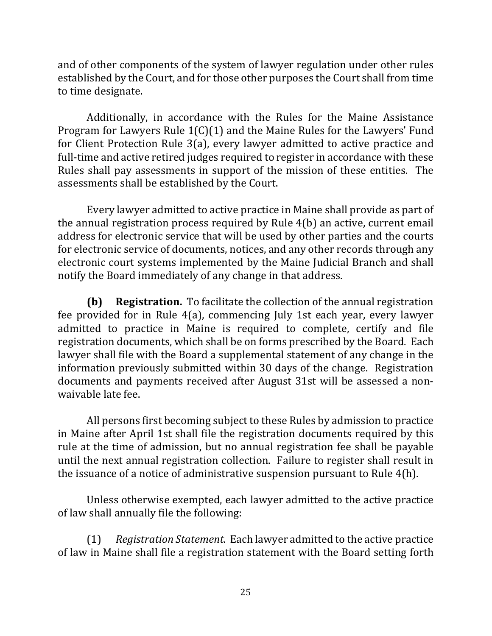and of other components of the system of lawyer regulation under other rules established by the Court, and for those other purposes the Court shall from time to time designate.

Additionally, in accordance with the Rules for the Maine Assistance Program for Lawyers Rule  $1(C)(1)$  and the Maine Rules for the Lawyers' Fund for Client Protection Rule  $3(a)$ , every lawyer admitted to active practice and full-time and active retired judges required to register in accordance with these Rules shall pay assessments in support of the mission of these entities. The assessments shall be established by the Court.

Every lawyer admitted to active practice in Maine shall provide as part of the annual registration process required by Rule  $4(b)$  an active, current email address for electronic service that will be used by other parties and the courts for electronic service of documents, notices, and any other records through any electronic court systems implemented by the Maine Judicial Branch and shall notify the Board immediately of any change in that address.

**(b) Registration.** To facilitate the collection of the annual registration fee provided for in Rule  $4(a)$ , commencing July 1st each year, every lawyer admitted to practice in Maine is required to complete, certify and file registration documents, which shall be on forms prescribed by the Board. Each lawyer shall file with the Board a supplemental statement of any change in the information previously submitted within 30 days of the change. Registration documents and payments received after August 31st will be assessed a nonwaivable late fee.

All persons first becoming subject to these Rules by admission to practice in Maine after April 1st shall file the registration documents required by this rule at the time of admission, but no annual registration fee shall be payable until the next annual registration collection. Failure to register shall result in the issuance of a notice of administrative suspension pursuant to Rule  $4(h)$ .

Unless otherwise exempted, each lawyer admitted to the active practice of law shall annually file the following:

(1) Registration Statement. Each lawyer admitted to the active practice of law in Maine shall file a registration statement with the Board setting forth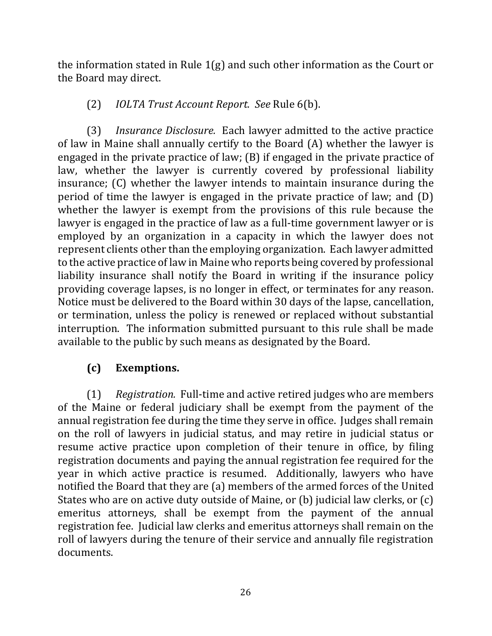the information stated in Rule  $1(g)$  and such other information as the Court or the Board may direct.

## (2) *IOLTA Trust Account Report. See* Rule 6(b).

(3) *Insurance Disclosure.* Each lawyer admitted to the active practice of law in Maine shall annually certify to the Board  $(A)$  whether the lawyer is engaged in the private practice of law;  $(B)$  if engaged in the private practice of law, whether the lawyer is currently covered by professional liability insurance; (C) whether the lawyer intends to maintain insurance during the period of time the lawyer is engaged in the private practice of law; and  $(D)$ whether the lawyer is exempt from the provisions of this rule because the lawyer is engaged in the practice of law as a full-time government lawyer or is employed by an organization in a capacity in which the lawyer does not represent clients other than the employing organization. Each lawyer admitted to the active practice of law in Maine who reports being covered by professional liability insurance shall notify the Board in writing if the insurance policy providing coverage lapses, is no longer in effect, or terminates for any reason. Notice must be delivered to the Board within 30 days of the lapse, cancellation, or termination, unless the policy is renewed or replaced without substantial interruption. The information submitted pursuant to this rule shall be made available to the public by such means as designated by the Board.

## **(c) Exemptions.**

(1) Registration. Full-time and active retired judges who are members of the Maine or federal judiciary shall be exempt from the payment of the annual registration fee during the time they serve in office. Judges shall remain on the roll of lawyers in judicial status, and may retire in judicial status or resume active practice upon completion of their tenure in office, by filing registration documents and paying the annual registration fee required for the year in which active practice is resumed. Additionally, lawyers who have notified the Board that they are (a) members of the armed forces of the United States who are on active duty outside of Maine, or  $(b)$  judicial law clerks, or  $(c)$ emeritus attorneys, shall be exempt from the payment of the annual registration fee. Judicial law clerks and emeritus attorneys shall remain on the roll of lawyers during the tenure of their service and annually file registration documents.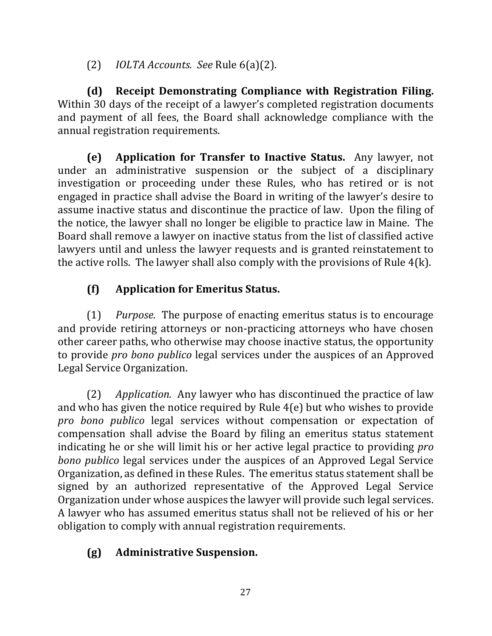(2) *IOLTA Accounts. See* Rule 6(a)(2).

**(d)** Receipt Demonstrating Compliance with Registration Filing. Within 30 days of the receipt of a lawyer's completed registration documents and payment of all fees, the Board shall acknowledge compliance with the annual registration requirements.

**(e)** Application for Transfer to Inactive Status. Any lawyer, not under an administrative suspension or the subject of a disciplinary investigation or proceeding under these Rules, who has retired or is not engaged in practice shall advise the Board in writing of the lawyer's desire to assume inactive status and discontinue the practice of law. Upon the filing of the notice, the lawyer shall no longer be eligible to practice law in Maine. The Board shall remove a lawyer on inactive status from the list of classified active lawyers until and unless the lawyer requests and is granted reinstatement to the active rolls. The lawyer shall also comply with the provisions of Rule  $4(k)$ .

## **(f) Application for Emeritus Status.**

(1) *Purpose.* The purpose of enacting emeritus status is to encourage and provide retiring attorneys or non-practicing attorneys who have chosen other career paths, who otherwise may choose inactive status, the opportunity to provide *pro bono publico* legal services under the auspices of an Approved Legal Service Organization.

(2) *Application.* Any lawyer who has discontinued the practice of law and who has given the notice required by Rule  $4(e)$  but who wishes to provide *pro* bono *publico* legal services without compensation or expectation of compensation shall advise the Board by filing an emeritus status statement indicating he or she will limit his or her active legal practice to providing *pro bono publico* legal services under the auspices of an Approved Legal Service Organization, as defined in these Rules. The emeritus status statement shall be signed by an authorized representative of the Approved Legal Service Organization under whose auspices the lawyer will provide such legal services. A lawyer who has assumed emeritus status shall not be relieved of his or her obligation to comply with annual registration requirements.

## **(g) Administrative Suspension.**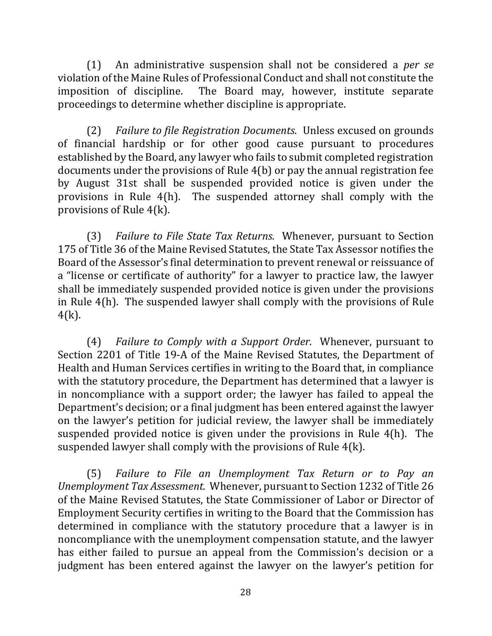(1) An administrative suspension shall not be considered a *per se* violation of the Maine Rules of Professional Conduct and shall not constitute the imposition of discipline. The Board may, however, institute separate proceedings to determine whether discipline is appropriate.

(2) *Failure to file Registration Documents.* Unless excused on grounds of financial hardship or for other good cause pursuant to procedures established by the Board, any lawyer who fails to submit completed registration documents under the provisions of Rule  $4(b)$  or pay the annual registration fee by August 31st shall be suspended provided notice is given under the provisions in Rule  $4(h)$ . The suspended attorney shall comply with the provisions of Rule  $4(k)$ .

(3) *Failure to File State Tax Returns.* Whenever, pursuant to Section 175 of Title 36 of the Maine Revised Statutes, the State Tax Assessor notifies the Board of the Assessor's final determination to prevent renewal or reissuance of a "license or certificate of authority" for a lawyer to practice law, the lawyer shall be immediately suspended provided notice is given under the provisions in Rule  $4(h)$ . The suspended lawyer shall comply with the provisions of Rule 4(k).

(4) *Failure to Comply with a Support Order.* Whenever, pursuant to Section 2201 of Title 19-A of the Maine Revised Statutes, the Department of Health and Human Services certifies in writing to the Board that, in compliance with the statutory procedure, the Department has determined that a lawyer is in noncompliance with a support order; the lawyer has failed to appeal the Department's decision; or a final judgment has been entered against the lawyer on the lawyer's petition for judicial review, the lawyer shall be immediately suspended provided notice is given under the provisions in Rule  $4(h)$ . The suspended lawyer shall comply with the provisions of Rule  $4(k)$ .

(5) Failure to File an Unemployment Tax Return or to Pay an *Unemployment Tax Assessment.* Whenever, pursuant to Section 1232 of Title 26 of the Maine Revised Statutes, the State Commissioner of Labor or Director of Employment Security certifies in writing to the Board that the Commission has determined in compliance with the statutory procedure that a lawyer is in noncompliance with the unemployment compensation statute, and the lawyer has either failed to pursue an appeal from the Commission's decision or a judgment has been entered against the lawyer on the lawyer's petition for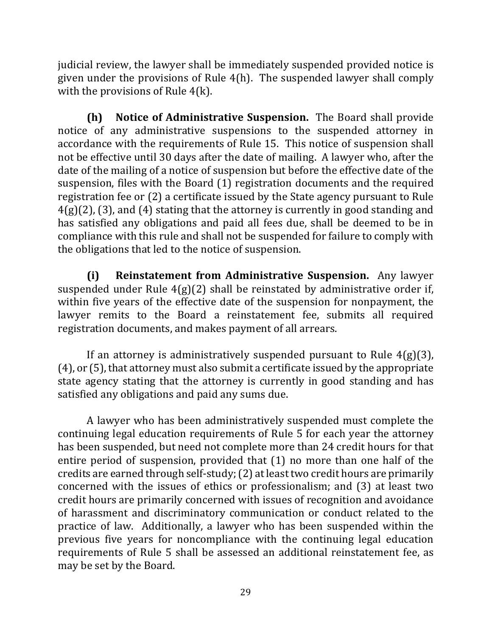judicial review, the lawyer shall be immediately suspended provided notice is given under the provisions of Rule  $4(h)$ . The suspended lawyer shall comply with the provisions of Rule  $4(k)$ .

**(h)** Notice of Administrative Suspension. The Board shall provide notice of any administrative suspensions to the suspended attorney in accordance with the requirements of Rule 15. This notice of suspension shall not be effective until 30 days after the date of mailing. A lawyer who, after the date of the mailing of a notice of suspension but before the effective date of the suspension, files with the Board (1) registration documents and the required registration fee or  $(2)$  a certificate issued by the State agency pursuant to Rule  $4(g)(2)$ , (3), and (4) stating that the attorney is currently in good standing and has satisfied any obligations and paid all fees due, shall be deemed to be in compliance with this rule and shall not be suspended for failure to comply with the obligations that led to the notice of suspension.

**(i) Reinstatement from Administrative Suspension.** Any lawyer suspended under Rule  $4(g)(2)$  shall be reinstated by administrative order if, within five years of the effective date of the suspension for nonpayment, the lawyer remits to the Board a reinstatement fee, submits all required registration documents, and makes payment of all arrears.

If an attorney is administratively suspended pursuant to Rule  $4(g)(3)$ ,  $(4)$ , or  $(5)$ , that attorney must also submit a certificate issued by the appropriate state agency stating that the attorney is currently in good standing and has satisfied any obligations and paid any sums due.

A lawyer who has been administratively suspended must complete the continuing legal education requirements of Rule 5 for each year the attorney has been suspended, but need not complete more than 24 credit hours for that entire period of suspension, provided that  $(1)$  no more than one half of the credits are earned through self-study; (2) at least two credit hours are primarily concerned with the issues of ethics or professionalism; and  $(3)$  at least two credit hours are primarily concerned with issues of recognition and avoidance of harassment and discriminatory communication or conduct related to the practice of law. Additionally, a lawyer who has been suspended within the previous five years for noncompliance with the continuing legal education requirements of Rule 5 shall be assessed an additional reinstatement fee, as may be set by the Board.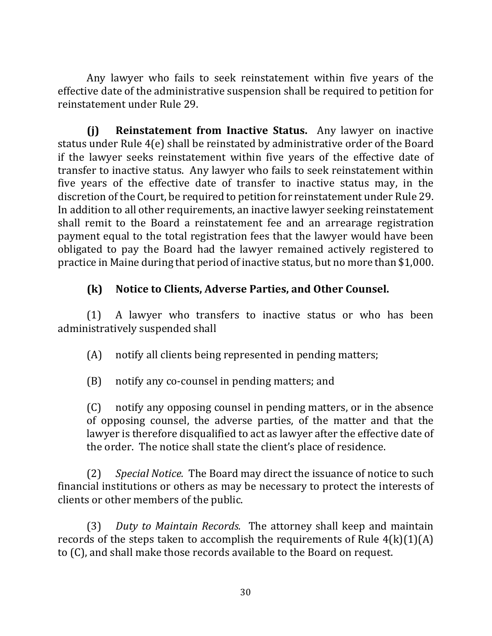Any lawyer who fails to seek reinstatement within five years of the effective date of the administrative suspension shall be required to petition for reinstatement under Rule 29.

**(i) Reinstatement from Inactive Status.** Any lawyer on inactive status under Rule  $4(e)$  shall be reinstated by administrative order of the Board if the lawyer seeks reinstatement within five years of the effective date of transfer to inactive status. Any lawyer who fails to seek reinstatement within five years of the effective date of transfer to inactive status may, in the discretion of the Court, be required to petition for reinstatement under Rule 29. In addition to all other requirements, an inactive lawyer seeking reinstatement shall remit to the Board a reinstatement fee and an arrearage registration payment equal to the total registration fees that the lawyer would have been obligated to pay the Board had the lawyer remained actively registered to practice in Maine during that period of inactive status, but no more than \$1,000.

## **(k)** Notice to Clients, Adverse Parties, and Other Counsel.

 $(1)$  A lawyer who transfers to inactive status or who has been administratively suspended shall

 $(A)$  notify all clients being represented in pending matters;

(B) notify any co-counsel in pending matters; and

(C) notify any opposing counsel in pending matters, or in the absence of opposing counsel, the adverse parties, of the matter and that the lawyer is therefore disqualified to act as lawyer after the effective date of the order. The notice shall state the client's place of residence.

(2) *Special Notice.* The Board may direct the issuance of notice to such financial institutions or others as may be necessary to protect the interests of clients or other members of the public.

(3) *Duty to Maintain Records.* The attorney shall keep and maintain records of the steps taken to accomplish the requirements of Rule  $4(k)(1)(A)$ to (C), and shall make those records available to the Board on request.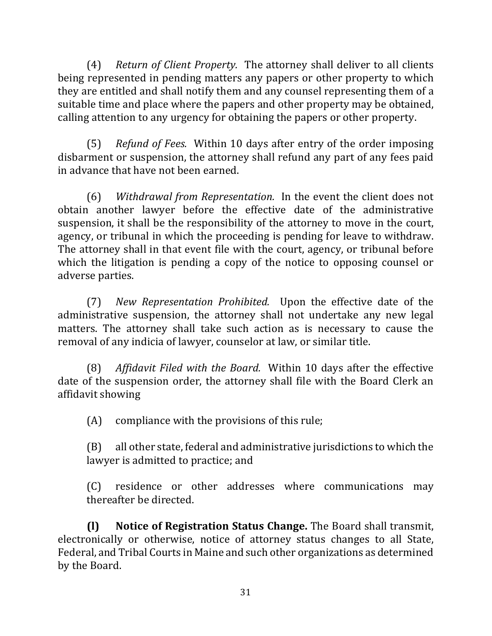(4) *Return of Client Property.* The attorney shall deliver to all clients being represented in pending matters any papers or other property to which they are entitled and shall notify them and any counsel representing them of a suitable time and place where the papers and other property may be obtained, calling attention to any urgency for obtaining the papers or other property.

(5) *Refund of Fees.* Within 10 days after entry of the order imposing disbarment or suspension, the attorney shall refund any part of any fees paid in advance that have not been earned.

(6) Withdrawal from Representation. In the event the client does not obtain another lawyer before the effective date of the administrative suspension, it shall be the responsibility of the attorney to move in the court, agency, or tribunal in which the proceeding is pending for leave to withdraw. The attorney shall in that event file with the court, agency, or tribunal before which the litigation is pending a copy of the notice to opposing counsel or adverse parties.

(7) *New Representation Prohibited.* Upon the effective date of the administrative suspension, the attorney shall not undertake any new legal matters. The attorney shall take such action as is necessary to cause the removal of any indicia of lawyer, counselor at law, or similar title.

(8) Affidavit Filed with the Board. Within 10 days after the effective date of the suspension order, the attorney shall file with the Board Clerk an affidavit showing

 $(A)$  compliance with the provisions of this rule;

 $(B)$  all other state, federal and administrative jurisdictions to which the lawyer is admitted to practice; and

(C) residence or other addresses where communications may thereafter be directed.

**(l) Notice of Registration Status Change.** The Board shall transmit, electronically or otherwise, notice of attorney status changes to all State, Federal, and Tribal Courts in Maine and such other organizations as determined by the Board.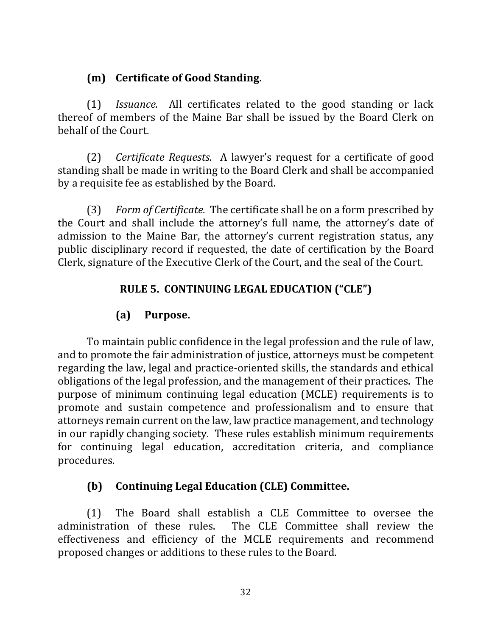#### **(m) Certificate of Good Standing.**

(1) *Issuance.* All certificates related to the good standing or lack thereof of members of the Maine Bar shall be issued by the Board Clerk on behalf of the Court.

(2) *Certificate Requests.* A lawyer's request for a certificate of good standing shall be made in writing to the Board Clerk and shall be accompanied by a requisite fee as established by the Board.

(3) *Form of Certificate.* The certificate shall be on a form prescribed by the Court and shall include the attorney's full name, the attorney's date of admission to the Maine Bar, the attorney's current registration status, any public disciplinary record if requested, the date of certification by the Board Clerk, signature of the Executive Clerk of the Court, and the seal of the Court.

#### RULE 5. CONTINUING LEGAL EDUCATION ("CLE")

## **(a) Purpose.**

To maintain public confidence in the legal profession and the rule of law, and to promote the fair administration of justice, attorneys must be competent regarding the law, legal and practice-oriented skills, the standards and ethical obligations of the legal profession, and the management of their practices. The purpose of minimum continuing legal education (MCLE) requirements is to promote and sustain competence and professionalism and to ensure that attorneys remain current on the law, law practice management, and technology in our rapidly changing society. These rules establish minimum requirements for continuing legal education, accreditation criteria, and compliance procedures.

## **(b) Continuing Legal Education (CLE) Committee.**

(1) The Board shall establish a CLE Committee to oversee the administration of these rules. The CLE Committee shall review the effectiveness and efficiency of the MCLE requirements and recommend proposed changes or additions to these rules to the Board.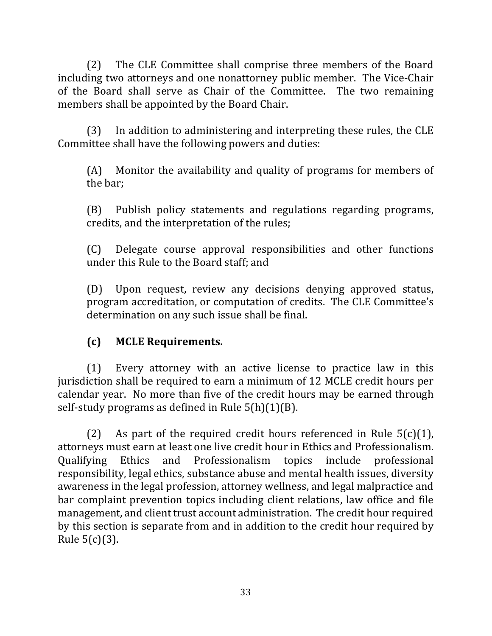(2) The CLE Committee shall comprise three members of the Board including two attorneys and one nonattorney public member. The Vice-Chair of the Board shall serve as Chair of the Committee. The two remaining members shall be appointed by the Board Chair.

(3) In addition to administering and interpreting these rules, the CLE Committee shall have the following powers and duties:

 $(A)$  Monitor the availability and quality of programs for members of the bar;

(B) Publish policy statements and regulations regarding programs, credits, and the interpretation of the rules;

(C) Delegate course approval responsibilities and other functions under this Rule to the Board staff; and

(D) Upon request, review any decisions denying approved status, program accreditation, or computation of credits. The CLE Committee's determination on any such issue shall be final.

## **(c) MCLE Requirements.**

(1) Every attorney with an active license to practice law in this jurisdiction shall be required to earn a minimum of 12 MCLE credit hours per calendar year. No more than five of the credit hours may be earned through self-study programs as defined in Rule  $5(h)(1)(B)$ .

(2) As part of the required credit hours referenced in Rule  $5(c)(1)$ , attorneys must earn at least one live credit hour in Ethics and Professionalism. Qualifying Ethics and Professionalism topics include professional responsibility, legal ethics, substance abuse and mental health issues, diversity awareness in the legal profession, attorney wellness, and legal malpractice and bar complaint prevention topics including client relations, law office and file management, and client trust account administration. The credit hour required by this section is separate from and in addition to the credit hour required by Rule  $5(c)(3)$ .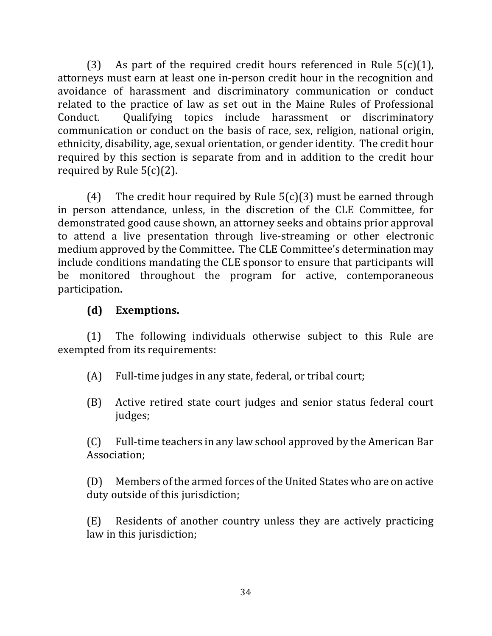(3) As part of the required credit hours referenced in Rule  $5(c)(1)$ , attorneys must earn at least one in-person credit hour in the recognition and avoidance of harassment and discriminatory communication or conduct related to the practice of law as set out in the Maine Rules of Professional Conduct. Qualifying topics include harassment or discriminatory communication or conduct on the basis of race, sex, religion, national origin, ethnicity, disability, age, sexual orientation, or gender identity. The credit hour required by this section is separate from and in addition to the credit hour required by Rule  $5(c)(2)$ .

(4) The credit hour required by Rule  $5(c)(3)$  must be earned through in person attendance, unless, in the discretion of the CLE Committee, for demonstrated good cause shown, an attorney seeks and obtains prior approval to attend a live presentation through live-streaming or other electronic medium approved by the Committee. The CLE Committee's determination may include conditions mandating the CLE sponsor to ensure that participants will be monitored throughout the program for active, contemporaneous participation.

## **(d) Exemptions.**

 $(1)$  The following individuals otherwise subject to this Rule are exempted from its requirements:

- $(A)$  Full-time judges in any state, federal, or tribal court;
- (B) Active retired state court judges and senior status federal court judges;

 $(C)$  Full-time teachers in any law school approved by the American Bar Association;

(D) Members of the armed forces of the United States who are on active duty outside of this jurisdiction;

(E) Residents of another country unless they are actively practicing law in this jurisdiction;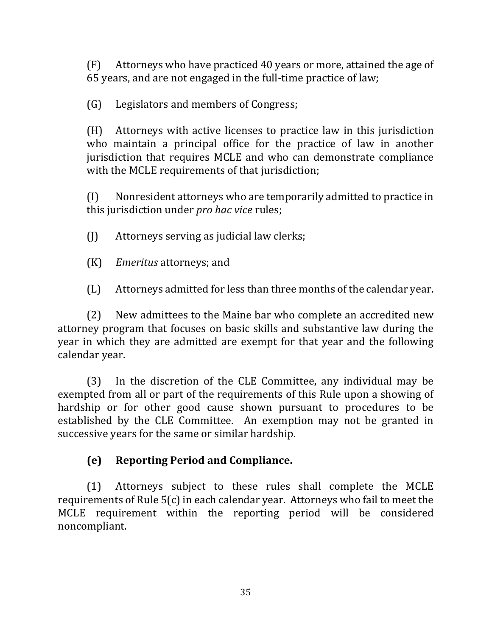$(F)$  Attorneys who have practiced 40 years or more, attained the age of 65 years, and are not engaged in the full-time practice of law;

(G) Legislators and members of Congress;

 $(H)$  Attorneys with active licenses to practice law in this jurisdiction who maintain a principal office for the practice of law in another jurisdiction that requires MCLE and who can demonstrate compliance with the MCLE requirements of that jurisdiction;

 $(I)$  Nonresident attorneys who are temporarily admitted to practice in this jurisdiction under *pro hac vice* rules;

- $\begin{bmatrix} 1 \end{bmatrix}$  Attorneys serving as judicial law clerks;
- (K) *Emeritus* attorneys; and

(L) Attorneys admitted for less than three months of the calendar year.

(2) New admittees to the Maine bar who complete an accredited new attorney program that focuses on basic skills and substantive law during the year in which they are admitted are exempt for that year and the following calendar year.

(3) In the discretion of the CLE Committee, any individual may be exempted from all or part of the requirements of this Rule upon a showing of hardship or for other good cause shown pursuant to procedures to be established by the CLE Committee. An exemption may not be granted in successive years for the same or similar hardship.

## **(e) Reporting Period and Compliance.**

(1) Attorneys subject to these rules shall complete the MCLE requirements of Rule  $5(c)$  in each calendar year. Attorneys who fail to meet the MCLE requirement within the reporting period will be considered noncompliant.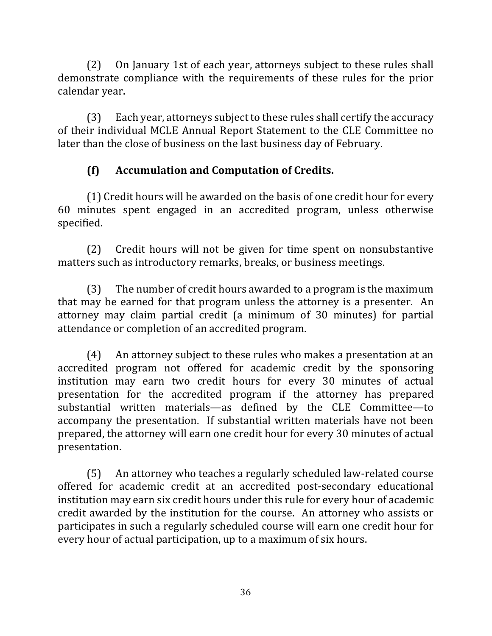(2) On January 1st of each year, attorneys subject to these rules shall demonstrate compliance with the requirements of these rules for the prior calendar vear.

 $(3)$  Each year, attorneys subject to these rules shall certify the accuracy of their individual MCLE Annual Report Statement to the CLE Committee no later than the close of business on the last business day of February.

## **(f) Accumulation and Computation of Credits.**

(1) Credit hours will be awarded on the basis of one credit hour for every 60 minutes spent engaged in an accredited program, unless otherwise specified.

(2) Credit hours will not be given for time spent on nonsubstantive matters such as introductory remarks, breaks, or business meetings.

 $(3)$  The number of credit hours awarded to a program is the maximum that may be earned for that program unless the attorney is a presenter. An attorney may claim partial credit (a minimum of 30 minutes) for partial attendance or completion of an accredited program.

(4) An attorney subject to these rules who makes a presentation at an accredited program not offered for academic credit by the sponsoring institution may earn two credit hours for every 30 minutes of actual presentation for the accredited program if the attorney has prepared substantial written materials—as defined by the CLE Committee—to accompany the presentation. If substantial written materials have not been prepared, the attorney will earn one credit hour for every 30 minutes of actual presentation.

(5) An attorney who teaches a regularly scheduled law-related course offered for academic credit at an accredited post-secondary educational institution may earn six credit hours under this rule for every hour of academic credit awarded by the institution for the course. An attorney who assists or participates in such a regularly scheduled course will earn one credit hour for every hour of actual participation, up to a maximum of six hours.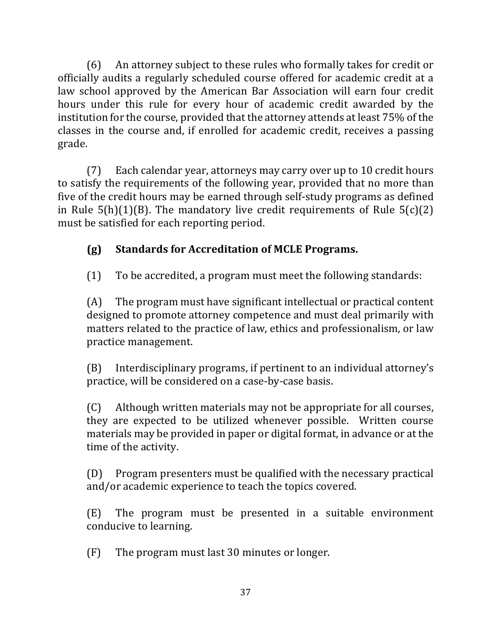(6) An attorney subject to these rules who formally takes for credit or officially audits a regularly scheduled course offered for academic credit at a law school approved by the American Bar Association will earn four credit hours under this rule for every hour of academic credit awarded by the institution for the course, provided that the attorney attends at least 75% of the classes in the course and, if enrolled for academic credit, receives a passing grade.

(7) Each calendar year, attorneys may carry over up to 10 credit hours to satisfy the requirements of the following year, provided that no more than five of the credit hours may be earned through self-study programs as defined in Rule  $5(h)(1)(B)$ . The mandatory live credit requirements of Rule  $5(c)(2)$ must be satisfied for each reporting period.

# **(g) Standards for Accreditation of MCLE Programs.**

 $(1)$  To be accredited, a program must meet the following standards:

 $(A)$  The program must have significant intellectual or practical content designed to promote attorney competence and must deal primarily with matters related to the practice of law, ethics and professionalism, or law practice management.

(B) Interdisciplinary programs, if pertinent to an individual attorney's practice, will be considered on a case-by-case basis.

 $(C)$  Although written materials may not be appropriate for all courses, they are expected to be utilized whenever possible. Written course materials may be provided in paper or digital format, in advance or at the time of the activity.

(D) Program presenters must be qualified with the necessary practical and/or academic experience to teach the topics covered.

(E) The program must be presented in a suitable environment conducive to learning.

 $(F)$  The program must last 30 minutes or longer.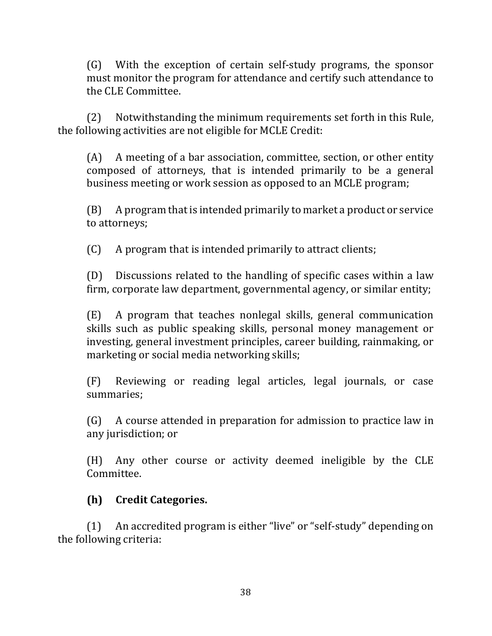(G) With the exception of certain self-study programs, the sponsor must monitor the program for attendance and certify such attendance to the CLE Committee.

(2) Notwithstanding the minimum requirements set forth in this Rule, the following activities are not eligible for MCLE Credit:

 $(A)$  A meeting of a bar association, committee, section, or other entity composed of attorneys, that is intended primarily to be a general business meeting or work session as opposed to an MCLE program;

 $(B)$  A program that is intended primarily to market a product or service to attorneys;

 $(C)$  A program that is intended primarily to attract clients;

 $(D)$  Discussions related to the handling of specific cases within a law firm, corporate law department, governmental agency, or similar entity;

 $(E)$  A program that teaches nonlegal skills, general communication skills such as public speaking skills, personal money management or investing, general investment principles, career building, rainmaking, or marketing or social media networking skills;

(F) Reviewing or reading legal articles, legal journals, or case summaries;

 $(G)$  A course attended in preparation for admission to practice law in any jurisdiction; or

(H) Any other course or activity deemed ineligible by the CLE Committee.

## **(h) Credit Categories.**

(1) An accredited program is either "live" or "self-study" depending on the following criteria: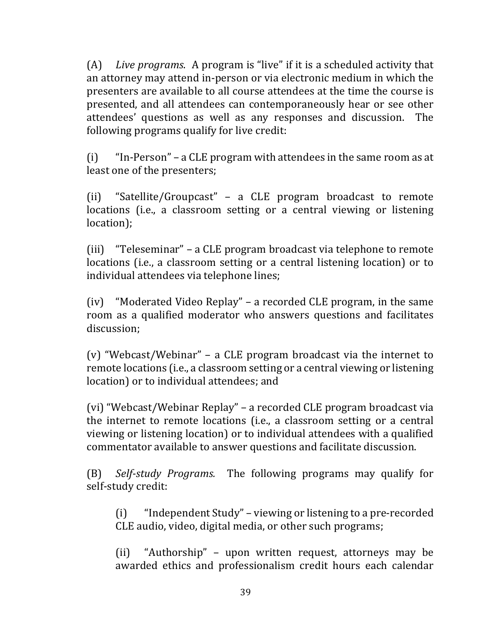(A) Live programs. A program is "live" if it is a scheduled activity that an attorney may attend in-person or via electronic medium in which the presenters are available to all course attendees at the time the course is presented, and all attendees can contemporaneously hear or see other attendees' questions as well as any responses and discussion. The following programs qualify for live credit:

 $(i)$  "In-Person" – a CLE program with attendees in the same room as at least one of the presenters;

(ii) "Satellite/Groupcast" - a CLE program broadcast to remote locations (i.e., a classroom setting or a central viewing or listening location);

(iii) "Teleseminar" - a CLE program broadcast via telephone to remote locations (i.e., a classroom setting or a central listening location) or to individual attendees via telephone lines;

(iv) "Moderated Video Replay" – a recorded CLE program, in the same room as a qualified moderator who answers questions and facilitates discussion;

(v) "Webcast/Webinar"  $-$  a CLE program broadcast via the internet to remote locations (i.e., a classroom setting or a central viewing or listening location) or to individual attendees; and

(vi) "Webcast/Webinar Replay" – a recorded CLE program broadcast via the internet to remote locations (i.e., a classroom setting or a central viewing or listening location) or to individual attendees with a qualified commentator available to answer questions and facilitate discussion.

(B) *Self-study Programs.* The following programs may qualify for self-study credit:

 $(i)$  "Independent Study" – viewing or listening to a pre-recorded CLE audio, video, digital media, or other such programs;

 $(i)$  "Authorship" – upon written request, attorneys may be awarded ethics and professionalism credit hours each calendar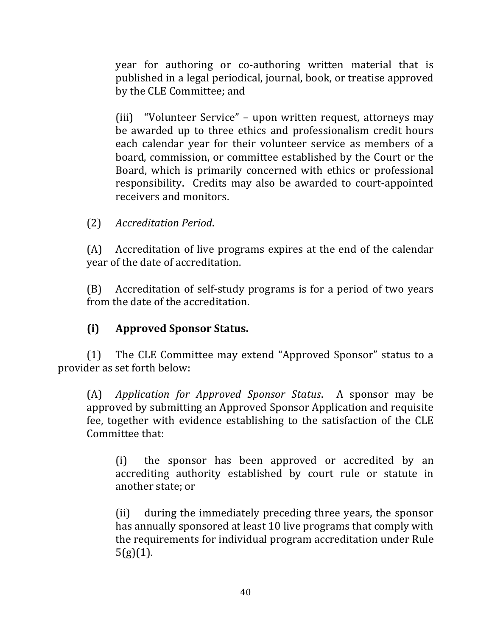year for authoring or co-authoring written material that is published in a legal periodical, journal, book, or treatise approved by the CLE Committee; and

(iii) "Volunteer Service" – upon written request, attorneys may be awarded up to three ethics and professionalism credit hours each calendar year for their volunteer service as members of a board, commission, or committee established by the Court or the Board, which is primarily concerned with ethics or professional responsibility. Credits may also be awarded to court-appointed receivers and monitors.

(2) *Accreditation Period*.

 $(A)$  Accreditation of live programs expires at the end of the calendar year of the date of accreditation.

 $(B)$  Accreditation of self-study programs is for a period of two years from the date of the accreditation.

## **(i) Approved Sponsor Status.**

(1) The CLE Committee may extend "Approved Sponsor" status to a provider as set forth below:

(A) *Application for Approved Sponsor Status*. A sponsor may be approved by submitting an Approved Sponsor Application and requisite fee, together with evidence establishing to the satisfaction of the CLE Committee that:

(i) the sponsor has been approved or accredited by an accrediting authority established by court rule or statute in another state; or

(ii) during the immediately preceding three years, the sponsor has annually sponsored at least 10 live programs that comply with the requirements for individual program accreditation under Rule  $5(g)(1)$ .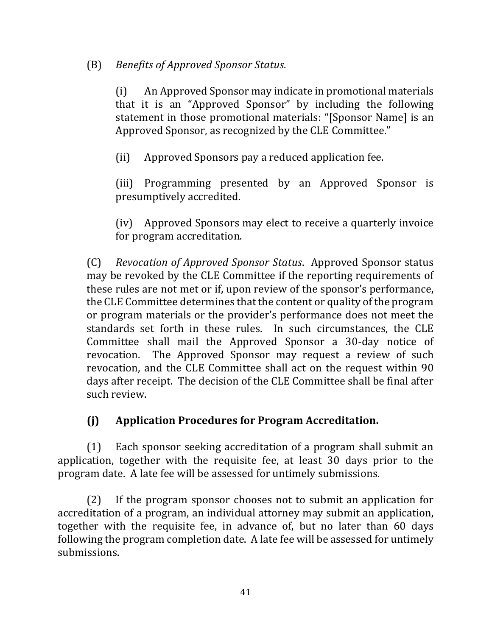## (B) *Benefits of Approved Sponsor Status*.

(i) An Approved Sponsor may indicate in promotional materials that it is an "Approved Sponsor" by including the following statement in those promotional materials: "[Sponsor Name] is an Approved Sponsor, as recognized by the CLE Committee."

(ii) Approved Sponsors pay a reduced application fee.

(iii) Programming presented by an Approved Sponsor is presumptively accredited.

(iv) Approved Sponsors may elect to receive a quarterly invoice for program accreditation.

(C) *Revocation of Approved Sponsor Status*. Approved Sponsor status may be revoked by the CLE Committee if the reporting requirements of these rules are not met or if, upon review of the sponsor's performance, the CLE Committee determines that the content or quality of the program or program materials or the provider's performance does not meet the standards set forth in these rules. In such circumstances, the CLE Committee shall mail the Approved Sponsor a 30-day notice of revocation. The Approved Sponsor may request a review of such revocation, and the CLE Committee shall act on the request within 90 days after receipt. The decision of the CLE Committee shall be final after such review.

## **(j) Application Procedures for Program Accreditation.**

 $(1)$  Each sponsor seeking accreditation of a program shall submit an application, together with the requisite fee, at least 30 days prior to the program date. A late fee will be assessed for untimely submissions.

 $(2)$  If the program sponsor chooses not to submit an application for accreditation of a program, an individual attorney may submit an application, together with the requisite fee, in advance of, but no later than 60 days following the program completion date. A late fee will be assessed for untimely submissions.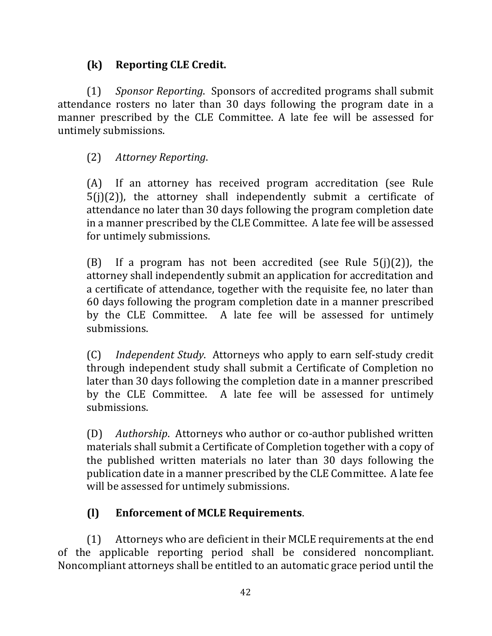## **(k) Reporting CLE Credit.**

(1) *Sponsor Reporting*. Sponsors of accredited programs shall submit attendance rosters no later than 30 days following the program date in a manner prescribed by the CLE Committee. A late fee will be assessed for untimely submissions.

## (2) *Attorney Reporting*.

(A) If an attorney has received program accreditation (see Rule  $5(i)(2)$ ), the attorney shall independently submit a certificate of attendance no later than 30 days following the program completion date in a manner prescribed by the CLE Committee. A late fee will be assessed for untimely submissions.

(B) If a program has not been accredited (see Rule  $5(j)(2)$ ), the attorney shall independently submit an application for accreditation and a certificate of attendance, together with the requisite fee, no later than 60 days following the program completion date in a manner prescribed by the CLE Committee. A late fee will be assessed for untimely submissions.

(C) *Independent Study*. Attorneys who apply to earn self-study credit through independent study shall submit a Certificate of Completion no later than 30 days following the completion date in a manner prescribed by the CLE Committee. A late fee will be assessed for untimely submissions.

(D) *Authorship.* Attorneys who author or co-author published written materials shall submit a Certificate of Completion together with a copy of the published written materials no later than 30 days following the publication date in a manner prescribed by the CLE Committee. A late fee will be assessed for untimely submissions.

# **(l) Enforcement of MCLE Requirements**.

 $(1)$  Attorneys who are deficient in their MCLE requirements at the end of the applicable reporting period shall be considered noncompliant. Noncompliant attorneys shall be entitled to an automatic grace period until the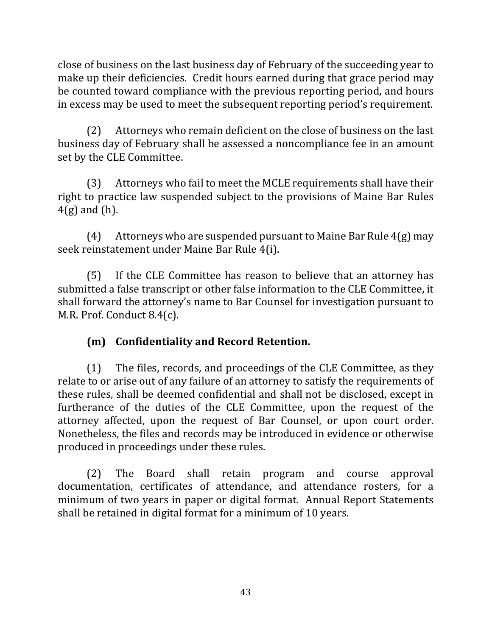close of business on the last business day of February of the succeeding year to make up their deficiencies. Credit hours earned during that grace period may be counted toward compliance with the previous reporting period, and hours in excess may be used to meet the subsequent reporting period's requirement.

(2) Attorneys who remain deficient on the close of business on the last business day of February shall be assessed a noncompliance fee in an amount set by the CLE Committee.

(3) Attorneys who fail to meet the MCLE requirements shall have their right to practice law suspended subject to the provisions of Maine Bar Rules  $4(g)$  and  $(h)$ .

 $(4)$  Attorneys who are suspended pursuant to Maine Bar Rule  $4(g)$  may seek reinstatement under Maine Bar Rule 4(i).

(5) If the CLE Committee has reason to believe that an attorney has submitted a false transcript or other false information to the CLE Committee, it shall forward the attorney's name to Bar Counsel for investigation pursuant to M.R. Prof. Conduct 8.4(c).

# **(m) Confidentiality and Record Retention.**

 $(1)$  The files, records, and proceedings of the CLE Committee, as they relate to or arise out of any failure of an attorney to satisfy the requirements of these rules, shall be deemed confidential and shall not be disclosed, except in furtherance of the duties of the CLE Committee, upon the request of the attorney affected, upon the request of Bar Counsel, or upon court order. Nonetheless, the files and records may be introduced in evidence or otherwise produced in proceedings under these rules.

(2) The Board shall retain program and course approval documentation, certificates of attendance, and attendance rosters, for a minimum of two years in paper or digital format. Annual Report Statements shall be retained in digital format for a minimum of 10 years.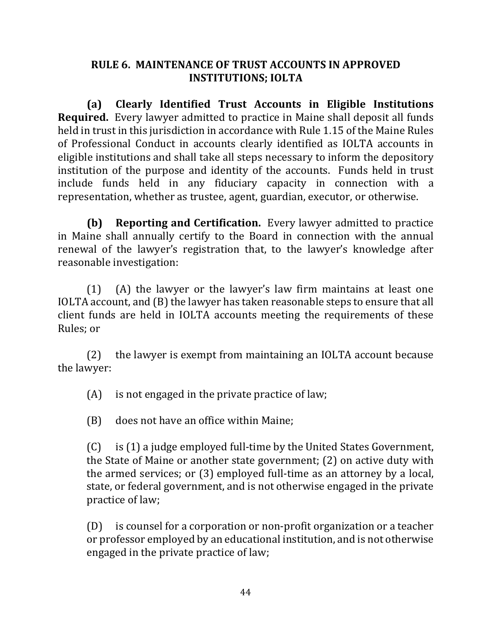### **RULE 6. MAINTENANCE OF TRUST ACCOUNTS IN APPROVED INSTITUTIONS; IOLTA**

**(a) Clearly Identified Trust Accounts in Eligible Institutions Required.** Every lawyer admitted to practice in Maine shall deposit all funds held in trust in this jurisdiction in accordance with Rule 1.15 of the Maine Rules of Professional Conduct in accounts clearly identified as IOLTA accounts in eligible institutions and shall take all steps necessary to inform the depository institution of the purpose and identity of the accounts. Funds held in trust include funds held in any fiduciary capacity in connection with a representation, whether as trustee, agent, guardian, executor, or otherwise.

**(b) Reporting and Certification.** Every lawyer admitted to practice in Maine shall annually certify to the Board in connection with the annual renewal of the lawyer's registration that, to the lawyer's knowledge after reasonable investigation:

 $(1)$  (A) the lawyer or the lawyer's law firm maintains at least one IOLTA account, and (B) the lawyer has taken reasonable steps to ensure that all client funds are held in IOLTA accounts meeting the requirements of these Rules: or

 $(2)$  the lawyer is exempt from maintaining an IOLTA account because the lawyer:

 $(A)$  is not engaged in the private practice of law;

(B) does not have an office within Maine;

(C) is (1) a judge employed full-time by the United States Government, the State of Maine or another state government;  $(2)$  on active duty with the armed services; or  $(3)$  employed full-time as an attorney by a local, state, or federal government, and is not otherwise engaged in the private practice of law;

 $(D)$  is counsel for a corporation or non-profit organization or a teacher or professor employed by an educational institution, and is not otherwise engaged in the private practice of law;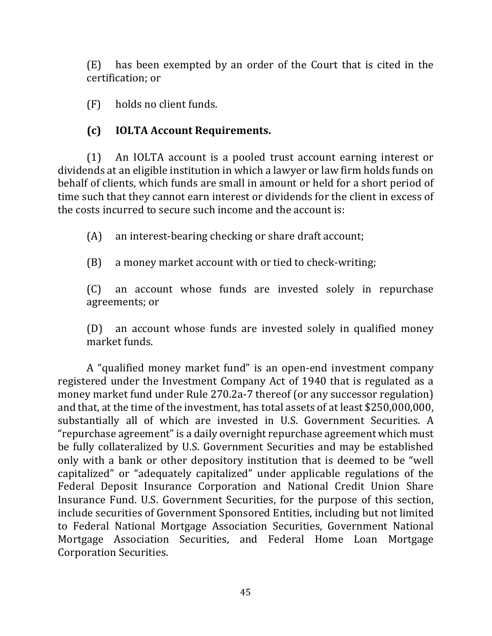(E) has been exempted by an order of the Court that is cited in the certification; or

 $(F)$  holds no client funds.

# **(c) IOLTA Account Requirements.**

(1) An IOLTA account is a pooled trust account earning interest or dividends at an eligible institution in which a lawyer or law firm holds funds on behalf of clients, which funds are small in amount or held for a short period of time such that they cannot earn interest or dividends for the client in excess of the costs incurred to secure such income and the account is:

 $(A)$  an interest-bearing checking or share draft account;

(B) a money market account with or tied to check-writing;

(C) an account whose funds are invested solely in repurchase agreements; or

(D) an account whose funds are invested solely in qualified money market funds.

A "qualified money market fund" is an open-end investment company registered under the Investment Company Act of 1940 that is regulated as a money market fund under Rule 270.2a-7 thereof (or any successor regulation) and that, at the time of the investment, has total assets of at least \$250,000,000, substantially all of which are invested in U.S. Government Securities. A "repurchase agreement" is a daily overnight repurchase agreement which must be fully collateralized by U.S. Government Securities and may be established only with a bank or other depository institution that is deemed to be "well capitalized" or "adequately capitalized" under applicable regulations of the Federal Deposit Insurance Corporation and National Credit Union Share Insurance Fund. U.S. Government Securities, for the purpose of this section, include securities of Government Sponsored Entities, including but not limited to Federal National Mortgage Association Securities, Government National Mortgage Association Securities, and Federal Home Loan Mortgage Corporation Securities.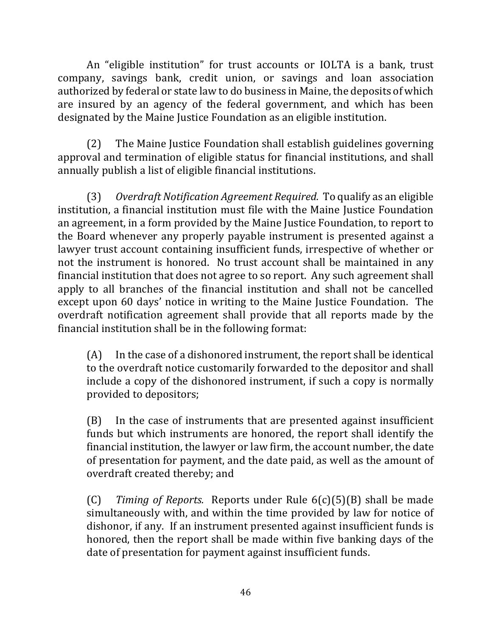An "eligible institution" for trust accounts or IOLTA is a bank, trust company, savings bank, credit union, or savings and loan association authorized by federal or state law to do business in Maine, the deposits of which are insured by an agency of the federal government, and which has been designated by the Maine Justice Foundation as an eligible institution.

(2) The Maine Justice Foundation shall establish guidelines governing approval and termination of eligible status for financial institutions, and shall annually publish a list of eligible financial institutions.

(3) Overdraft Notification Agreement Required. To qualify as an eligible institution, a financial institution must file with the Maine Justice Foundation an agreement, in a form provided by the Maine Justice Foundation, to report to the Board whenever any properly payable instrument is presented against a lawyer trust account containing insufficient funds, irrespective of whether or not the instrument is honored. No trust account shall be maintained in any financial institution that does not agree to so report. Any such agreement shall apply to all branches of the financial institution and shall not be cancelled except upon 60 days' notice in writing to the Maine Justice Foundation. The overdraft notification agreement shall provide that all reports made by the financial institution shall be in the following format:

 $(A)$  In the case of a dishonored instrument, the report shall be identical to the overdraft notice customarily forwarded to the depositor and shall include a copy of the dishonored instrument, if such a copy is normally provided to depositors;

 $(B)$  In the case of instruments that are presented against insufficient funds but which instruments are honored, the report shall identify the financial institution, the lawyer or law firm, the account number, the date of presentation for payment, and the date paid, as well as the amount of overdraft created thereby; and

(C) *Timing of Reports.* Reports under Rule  $6(c)(5)(B)$  shall be made simultaneously with, and within the time provided by law for notice of dishonor, if any. If an instrument presented against insufficient funds is honored, then the report shall be made within five banking days of the date of presentation for payment against insufficient funds.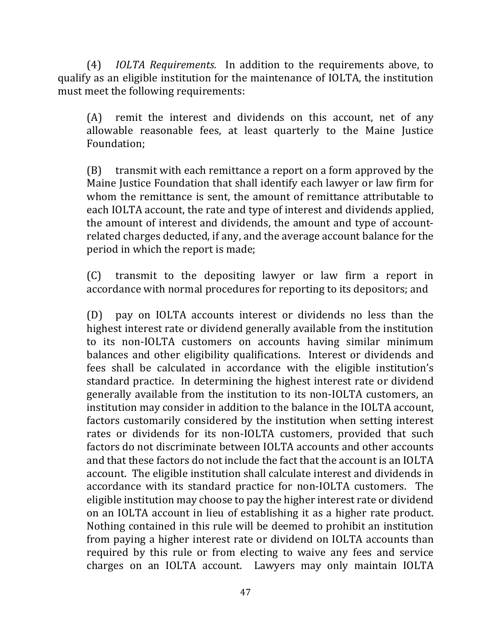(4) *IOLTA Requirements.* In addition to the requirements above, to qualify as an eligible institution for the maintenance of IOLTA, the institution must meet the following requirements:

 $(A)$  remit the interest and dividends on this account, net of any allowable reasonable fees, at least quarterly to the Maine Justice Foundation;

 $(B)$  transmit with each remittance a report on a form approved by the Maine Justice Foundation that shall identify each lawyer or law firm for whom the remittance is sent, the amount of remittance attributable to each IOLTA account, the rate and type of interest and dividends applied, the amount of interest and dividends, the amount and type of accountrelated charges deducted, if any, and the average account balance for the period in which the report is made;

(C) transmit to the depositing lawyer or law firm a report in accordance with normal procedures for reporting to its depositors; and

(D) pay on IOLTA accounts interest or dividends no less than the highest interest rate or dividend generally available from the institution to its non-IOLTA customers on accounts having similar minimum balances and other eligibility qualifications. Interest or dividends and fees shall be calculated in accordance with the eligible institution's standard practice. In determining the highest interest rate or dividend generally available from the institution to its non-IOLTA customers, an institution may consider in addition to the balance in the IOLTA account, factors customarily considered by the institution when setting interest rates or dividends for its non-IOLTA customers, provided that such factors do not discriminate between IOLTA accounts and other accounts and that these factors do not include the fact that the account is an IOLTA account. The eligible institution shall calculate interest and dividends in accordance with its standard practice for non-IOLTA customers. The eligible institution may choose to pay the higher interest rate or dividend on an IOLTA account in lieu of establishing it as a higher rate product. Nothing contained in this rule will be deemed to prohibit an institution from paying a higher interest rate or dividend on IOLTA accounts than required by this rule or from electing to waive any fees and service charges on an IOLTA account. Lawyers may only maintain IOLTA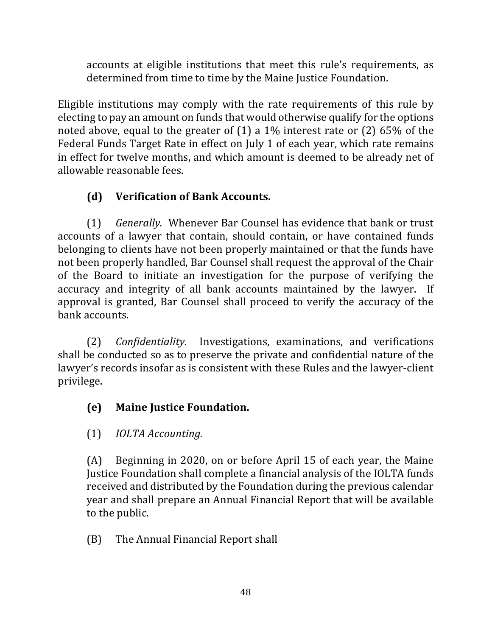accounts at eligible institutions that meet this rule's requirements, as determined from time to time by the Maine Justice Foundation.

Eligible institutions may comply with the rate requirements of this rule by electing to pay an amount on funds that would otherwise qualify for the options noted above, equal to the greater of  $(1)$  a 1% interest rate or  $(2)$  65% of the Federal Funds Target Rate in effect on July 1 of each year, which rate remains in effect for twelve months, and which amount is deemed to be already net of allowable reasonable fees.

# **(d) Verification of Bank Accounts.**

(1) *Generally.*  Whenever Bar Counsel has evidence that bank or trust accounts of a lawyer that contain, should contain, or have contained funds belonging to clients have not been properly maintained or that the funds have not been properly handled, Bar Counsel shall request the approval of the Chair of the Board to initiate an investigation for the purpose of verifying the accuracy and integrity of all bank accounts maintained by the lawyer. If approval is granted, Bar Counsel shall proceed to verify the accuracy of the bank accounts.

(2) *Confidentiality.* Investigations, examinations, and verifications shall be conducted so as to preserve the private and confidential nature of the lawyer's records insofar as is consistent with these Rules and the lawyer-client privilege.

# **(e) Maine Justice Foundation.**

# (1) *IOLTA Accounting.*

(A) Beginning in 2020, on or before April 15 of each year, the Maine Justice Foundation shall complete a financial analysis of the IOLTA funds received and distributed by the Foundation during the previous calendar year and shall prepare an Annual Financial Report that will be available to the public.

(B) The Annual Financial Report shall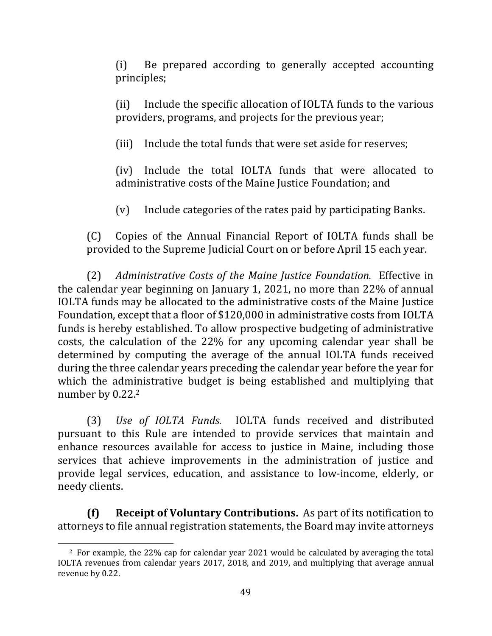(i) Be prepared according to generally accepted accounting principles;

(ii) Include the specific allocation of IOLTA funds to the various providers, programs, and projects for the previous year;

(iii) Include the total funds that were set aside for reserves:

(iv) Include the total IOLTA funds that were allocated to administrative costs of the Maine Justice Foundation; and

(v) Include categories of the rates paid by participating Banks.

(C) Copies of the Annual Financial Report of IOLTA funds shall be provided to the Supreme Judicial Court on or before April 15 each year.

(2) Administrative Costs of the Maine Justice Foundation. Effective in the calendar year beginning on January 1, 2021, no more than  $22\%$  of annual IOLTA funds may be allocated to the administrative costs of the Maine Justice Foundation, except that a floor of \$120,000 in administrative costs from IOLTA funds is hereby established. To allow prospective budgeting of administrative costs, the calculation of the 22% for any upcoming calendar year shall be determined by computing the average of the annual IOLTA funds received during the three calendar years preceding the calendar year before the year for which the administrative budget is being established and multiplying that number by  $0.22<sup>2</sup>$ 

(3) *Use of IOLTA Funds.* IOLTA funds received and distributed pursuant to this Rule are intended to provide services that maintain and enhance resources available for access to justice in Maine, including those services that achieve improvements in the administration of justice and provide legal services, education, and assistance to low-income, elderly, or needy clients.

**(f) Receipt of Voluntary Contributions.** As part of its notification to attorneys to file annual registration statements, the Board may invite attorneys

 $2\,$  For example, the 22% cap for calendar year 2021 would be calculated by averaging the total IOLTA revenues from calendar years 2017, 2018, and 2019, and multiplying that average annual revenue by 0.22.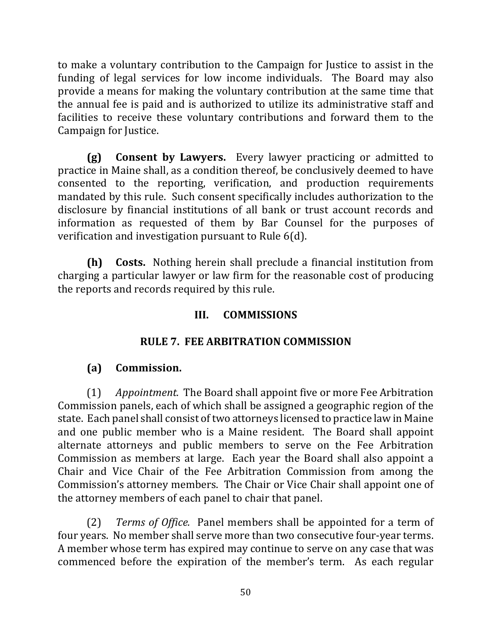to make a voluntary contribution to the Campaign for Justice to assist in the funding of legal services for low income individuals. The Board may also provide a means for making the voluntary contribution at the same time that the annual fee is paid and is authorized to utilize its administrative staff and facilities to receive these voluntary contributions and forward them to the Campaign for Justice.

**(g)** Consent by Lawyers. Every lawyer practicing or admitted to practice in Maine shall, as a condition thereof, be conclusively deemed to have consented to the reporting, verification, and production requirements mandated by this rule. Such consent specifically includes authorization to the disclosure by financial institutions of all bank or trust account records and information as requested of them by Bar Counsel for the purposes of verification and investigation pursuant to Rule  $6(d)$ .

**(h)** Costs. Nothing herein shall preclude a financial institution from charging a particular lawyer or law firm for the reasonable cost of producing the reports and records required by this rule.

## **III. COMMISSIONS**

### **RULE 7. FEE ARBITRATION COMMISSION**

### **(a) Commission.**

(1) *Appointment.* The Board shall appoint five or more Fee Arbitration Commission panels, each of which shall be assigned a geographic region of the state. Each panel shall consist of two attorneys licensed to practice law in Maine and one public member who is a Maine resident. The Board shall appoint alternate attorneys and public members to serve on the Fee Arbitration Commission as members at large. Each year the Board shall also appoint a Chair and Vice Chair of the Fee Arbitration Commission from among the Commission's attorney members. The Chair or Vice Chair shall appoint one of the attorney members of each panel to chair that panel.

(2) *Terms of Office.* Panel members shall be appointed for a term of four years. No member shall serve more than two consecutive four-year terms. A member whose term has expired may continue to serve on any case that was commenced before the expiration of the member's term. As each regular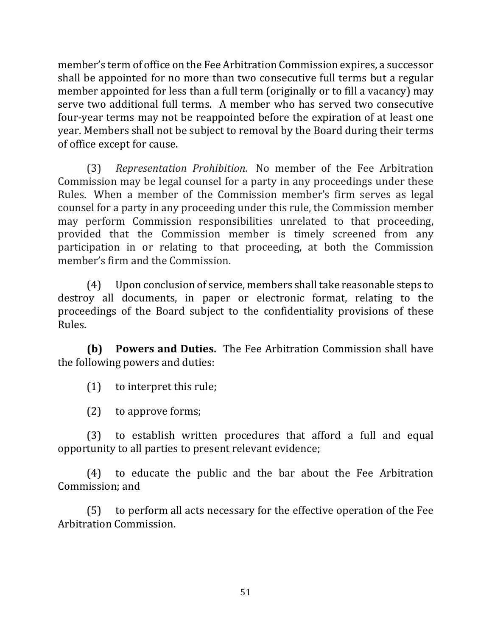member's term of office on the Fee Arbitration Commission expires, a successor shall be appointed for no more than two consecutive full terms but a regular member appointed for less than a full term (originally or to fill a vacancy) may serve two additional full terms. A member who has served two consecutive four-year terms may not be reappointed before the expiration of at least one year. Members shall not be subject to removal by the Board during their terms of office except for cause.

(3) *Representation Prohibition.*  No member of the Fee Arbitration Commission may be legal counsel for a party in any proceedings under these Rules. When a member of the Commission member's firm serves as legal counsel for a party in any proceeding under this rule, the Commission member may perform Commission responsibilities unrelated to that proceeding, provided that the Commission member is timely screened from any participation in or relating to that proceeding, at both the Commission member's firm and the Commission.

(4) Upon conclusion of service, members shall take reasonable steps to destroy all documents, in paper or electronic format, relating to the proceedings of the Board subject to the confidentiality provisions of these Rules.

**(b) Powers and Duties.** The Fee Arbitration Commission shall have the following powers and duties:

 $(1)$  to interpret this rule;

 $(2)$  to approve forms;

(3) to establish written procedures that afford a full and equal opportunity to all parties to present relevant evidence;

(4) to educate the public and the bar about the Fee Arbitration Commission; and

(5) to perform all acts necessary for the effective operation of the Fee Arbitration Commission.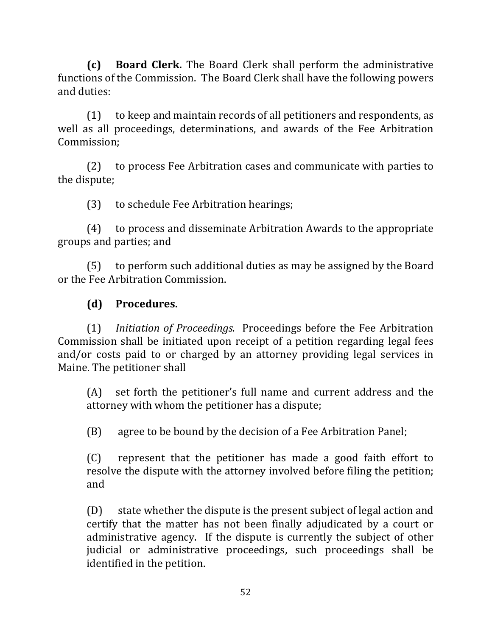**(c) Board Clerk.** The Board Clerk shall perform the administrative functions of the Commission. The Board Clerk shall have the following powers and duties:

 $(1)$  to keep and maintain records of all petitioners and respondents, as well as all proceedings, determinations, and awards of the Fee Arbitration Commission;

(2) to process Fee Arbitration cases and communicate with parties to the dispute;

(3) to schedule Fee Arbitration hearings;

(4) to process and disseminate Arbitration Awards to the appropriate groups and parties; and

 $(5)$  to perform such additional duties as may be assigned by the Board or the Fee Arbitration Commission.

## **(d) Procedures.**

(1) *Initiation of Proceedings.* Proceedings before the Fee Arbitration Commission shall be initiated upon receipt of a petition regarding legal fees and/or costs paid to or charged by an attorney providing legal services in Maine. The petitioner shall

 $(A)$  set forth the petitioner's full name and current address and the attorney with whom the petitioner has a dispute;

 $(B)$  agree to be bound by the decision of a Fee Arbitration Panel;

(C) represent that the petitioner has made a good faith effort to resolve the dispute with the attorney involved before filing the petition; and 

 $(D)$  state whether the dispute is the present subject of legal action and certify that the matter has not been finally adjudicated by a court or administrative agency. If the dispute is currently the subject of other judicial or administrative proceedings, such proceedings shall be identified in the petition.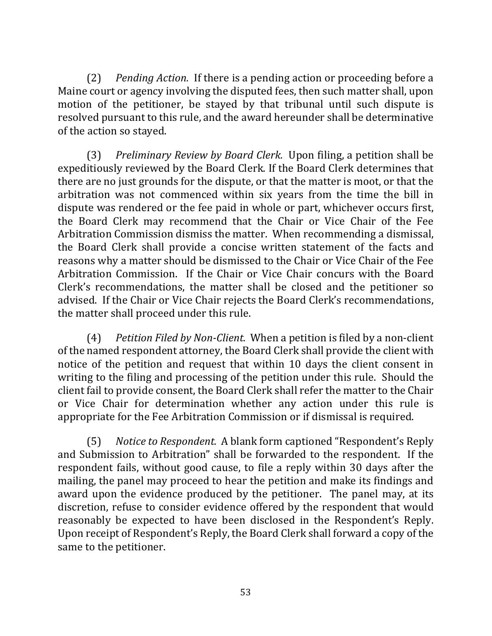(2) *Pending Action.* If there is a pending action or proceeding before a Maine court or agency involving the disputed fees, then such matter shall, upon motion of the petitioner, be stayed by that tribunal until such dispute is resolved pursuant to this rule, and the award hereunder shall be determinative of the action so stayed.

(3) *Preliminary Review by Board Clerk.* Upon filing, a petition shall be expeditiously reviewed by the Board Clerk. If the Board Clerk determines that there are no just grounds for the dispute, or that the matter is moot, or that the arbitration was not commenced within six years from the time the bill in dispute was rendered or the fee paid in whole or part, whichever occurs first, the Board Clerk may recommend that the Chair or Vice Chair of the Fee Arbitration Commission dismiss the matter. When recommending a dismissal, the Board Clerk shall provide a concise written statement of the facts and reasons why a matter should be dismissed to the Chair or Vice Chair of the Fee Arbitration Commission. If the Chair or Vice Chair concurs with the Board Clerk's recommendations, the matter shall be closed and the petitioner so advised. If the Chair or Vice Chair rejects the Board Clerk's recommendations, the matter shall proceed under this rule.

(4) *Petition Filed by Non-Client.* When a petition is filed by a non-client of the named respondent attorney, the Board Clerk shall provide the client with notice of the petition and request that within 10 days the client consent in writing to the filing and processing of the petition under this rule. Should the client fail to provide consent, the Board Clerk shall refer the matter to the Chair or Vice Chair for determination whether any action under this rule is appropriate for the Fee Arbitration Commission or if dismissal is required.

(5) Notice to Respondent. A blank form captioned "Respondent's Reply and Submission to Arbitration" shall be forwarded to the respondent. If the respondent fails, without good cause, to file a reply within 30 days after the mailing, the panel may proceed to hear the petition and make its findings and award upon the evidence produced by the petitioner. The panel may, at its discretion, refuse to consider evidence offered by the respondent that would reasonably be expected to have been disclosed in the Respondent's Reply. Upon receipt of Respondent's Reply, the Board Clerk shall forward a copy of the same to the petitioner.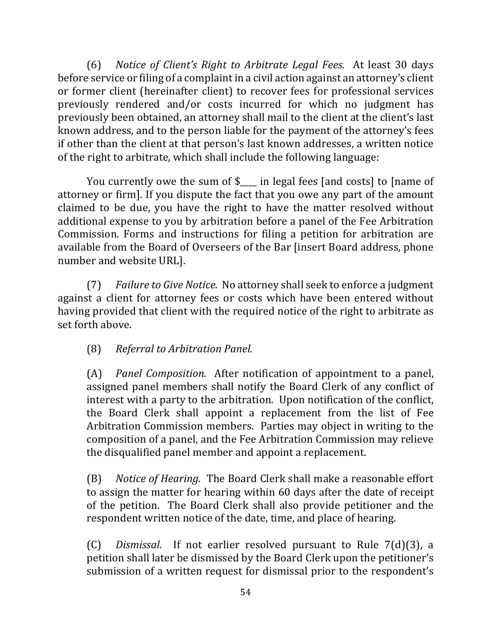(6) *Notice of Client's Right to Arbitrate Legal Fees.* At least 30 days before service or filing of a complaint in a civil action against an attorney's client or former client (hereinafter client) to recover fees for professional services previously rendered and/or costs incurred for which no judgment has previously been obtained, an attorney shall mail to the client at the client's last known address, and to the person liable for the payment of the attorney's fees if other than the client at that person's last known addresses, a written notice of the right to arbitrate, which shall include the following language:

You currently owe the sum of  $\ell$  in legal fees [and costs] to [name of attorney or firm]. If you dispute the fact that you owe any part of the amount claimed to be due, you have the right to have the matter resolved without additional expense to you by arbitration before a panel of the Fee Arbitration Commission. Forms and instructions for filing a petition for arbitration are available from the Board of Overseers of the Bar [insert Board address, phone number and website URL].

(7) *Failure to Give Notice.* No attorney shall seek to enforce a judgment against a client for attorney fees or costs which have been entered without having provided that client with the required notice of the right to arbitrate as set forth above.

(8) *Referral to Arbitration Panel.*

(A) *Panel Composition.* After notification of appointment to a panel, assigned panel members shall notify the Board Clerk of any conflict of interest with a party to the arbitration. Upon notification of the conflict, the Board Clerk shall appoint a replacement from the list of Fee Arbitration Commission members. Parties may object in writing to the composition of a panel, and the Fee Arbitration Commission may relieve the disqualified panel member and appoint a replacement.

(B) *Notice of Hearing.* The Board Clerk shall make a reasonable effort to assign the matter for hearing within 60 days after the date of receipt of the petition. The Board Clerk shall also provide petitioner and the respondent written notice of the date, time, and place of hearing.

(C) *Dismissal.* If not earlier resolved pursuant to Rule 7(d)(3), a petition shall later be dismissed by the Board Clerk upon the petitioner's submission of a written request for dismissal prior to the respondent's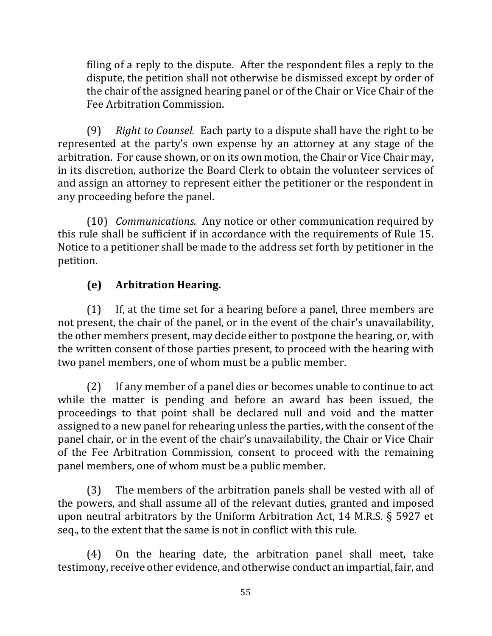filing of a reply to the dispute. After the respondent files a reply to the dispute, the petition shall not otherwise be dismissed except by order of the chair of the assigned hearing panel or of the Chair or Vice Chair of the Fee Arbitration Commission.

(9) Right to Counsel. Each party to a dispute shall have the right to be represented at the party's own expense by an attorney at any stage of the arbitration. For cause shown, or on its own motion, the Chair or Vice Chair may, in its discretion, authorize the Board Clerk to obtain the volunteer services of and assign an attorney to represent either the petitioner or the respondent in any proceeding before the panel.

(10) *Communications.* Any notice or other communication required by this rule shall be sufficient if in accordance with the requirements of Rule 15. Notice to a petitioner shall be made to the address set forth by petitioner in the petition.

# **(e) Arbitration Hearing.**

 $(1)$  If, at the time set for a hearing before a panel, three members are not present, the chair of the panel, or in the event of the chair's unavailability, the other members present, may decide either to postpone the hearing, or, with the written consent of those parties present, to proceed with the hearing with two panel members, one of whom must be a public member.

(2) If any member of a panel dies or becomes unable to continue to act while the matter is pending and before an award has been issued, the proceedings to that point shall be declared null and void and the matter assigned to a new panel for rehearing unless the parties, with the consent of the panel chair, or in the event of the chair's unavailability, the Chair or Vice Chair of the Fee Arbitration Commission, consent to proceed with the remaining panel members, one of whom must be a public member.

 $(3)$  The members of the arbitration panels shall be vested with all of the powers, and shall assume all of the relevant duties, granted and imposed upon neutral arbitrators by the Uniform Arbitration Act, 14 M.R.S.  $\S$  5927 et seq., to the extent that the same is not in conflict with this rule.

 $(4)$  On the hearing date, the arbitration panel shall meet, take testimony, receive other evidence, and otherwise conduct an impartial, fair, and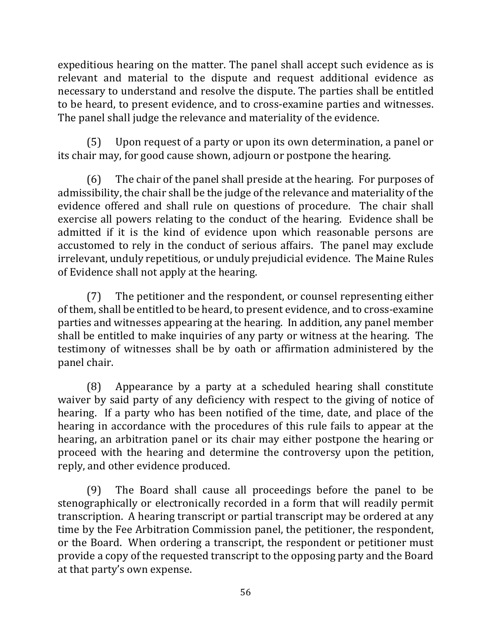expeditious hearing on the matter. The panel shall accept such evidence as is relevant and material to the dispute and request additional evidence as necessary to understand and resolve the dispute. The parties shall be entitled to be heard, to present evidence, and to cross-examine parties and witnesses. The panel shall judge the relevance and materiality of the evidence.

(5) Upon request of a party or upon its own determination, a panel or its chair may, for good cause shown, adjourn or postpone the hearing.

 $(6)$  The chair of the panel shall preside at the hearing. For purposes of admissibility, the chair shall be the judge of the relevance and materiality of the evidence offered and shall rule on questions of procedure. The chair shall exercise all powers relating to the conduct of the hearing. Evidence shall be admitted if it is the kind of evidence upon which reasonable persons are accustomed to rely in the conduct of serious affairs. The panel may exclude irrelevant, unduly repetitious, or unduly prejudicial evidence. The Maine Rules of Evidence shall not apply at the hearing.

 $(7)$  The petitioner and the respondent, or counsel representing either of them, shall be entitled to be heard, to present evidence, and to cross-examine parties and witnesses appearing at the hearing. In addition, any panel member shall be entitled to make inquiries of any party or witness at the hearing. The testimony of witnesses shall be by oath or affirmation administered by the panel chair.

(8) Appearance by a party at a scheduled hearing shall constitute waiver by said party of any deficiency with respect to the giving of notice of hearing. If a party who has been notified of the time, date, and place of the hearing in accordance with the procedures of this rule fails to appear at the hearing, an arbitration panel or its chair may either postpone the hearing or proceed with the hearing and determine the controversy upon the petition, reply, and other evidence produced.

 $(9)$  The Board shall cause all proceedings before the panel to be stenographically or electronically recorded in a form that will readily permit transcription. A hearing transcript or partial transcript may be ordered at any time by the Fee Arbitration Commission panel, the petitioner, the respondent, or the Board. When ordering a transcript, the respondent or petitioner must provide a copy of the requested transcript to the opposing party and the Board at that party's own expense.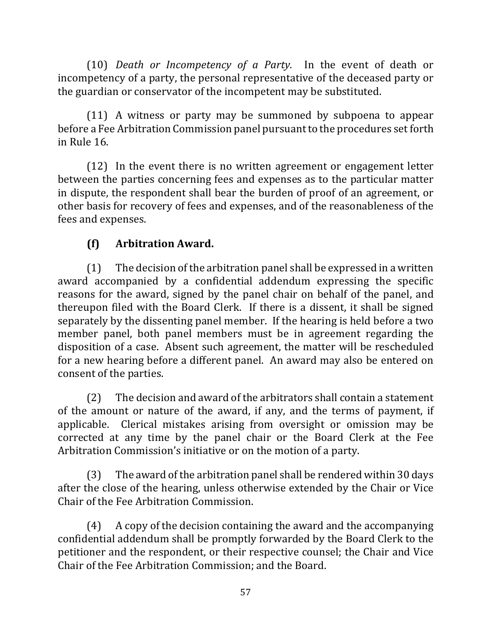(10) *Death or Incompetency of a Party*. In the event of death or incompetency of a party, the personal representative of the deceased party or the guardian or conservator of the incompetent may be substituted.

 $(11)$  A witness or party may be summoned by subpoena to appear before a Fee Arbitration Commission panel pursuant to the procedures set forth in Rule 16.

 $(12)$  In the event there is no written agreement or engagement letter between the parties concerning fees and expenses as to the particular matter in dispute, the respondent shall bear the burden of proof of an agreement, or other basis for recovery of fees and expenses, and of the reasonableness of the fees and expenses.

## **(f) Arbitration Award.**

 $(1)$  The decision of the arbitration panel shall be expressed in a written award accompanied by a confidential addendum expressing the specific reasons for the award, signed by the panel chair on behalf of the panel, and thereupon filed with the Board Clerk. If there is a dissent, it shall be signed separately by the dissenting panel member. If the hearing is held before a two member panel, both panel members must be in agreement regarding the disposition of a case. Absent such agreement, the matter will be rescheduled for a new hearing before a different panel. An award may also be entered on consent of the parties.

 $(2)$  The decision and award of the arbitrators shall contain a statement of the amount or nature of the award, if any, and the terms of payment, if applicable. Clerical mistakes arising from oversight or omission may be corrected at any time by the panel chair or the Board Clerk at the Fee Arbitration Commission's initiative or on the motion of a party.

(3) The award of the arbitration panel shall be rendered within 30 days after the close of the hearing, unless otherwise extended by the Chair or Vice Chair of the Fee Arbitration Commission.

 $(4)$  A copy of the decision containing the award and the accompanying confidential addendum shall be promptly forwarded by the Board Clerk to the petitioner and the respondent, or their respective counsel; the Chair and Vice Chair of the Fee Arbitration Commission; and the Board.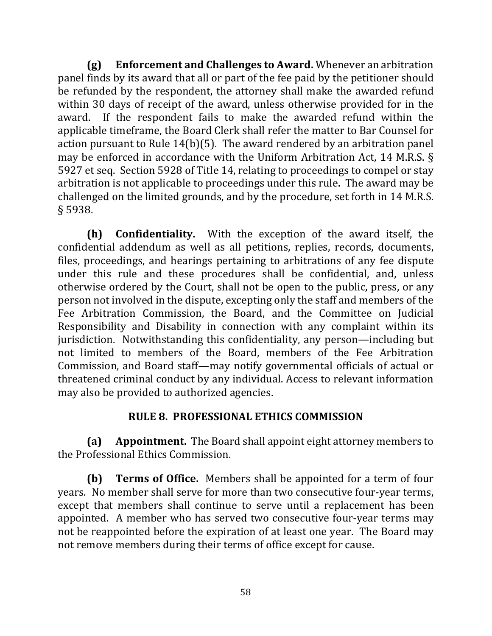**(g)** Enforcement and Challenges to Award. Whenever an arbitration panel finds by its award that all or part of the fee paid by the petitioner should be refunded by the respondent, the attorney shall make the awarded refund within 30 days of receipt of the award, unless otherwise provided for in the award. If the respondent fails to make the awarded refund within the applicable timeframe, the Board Clerk shall refer the matter to Bar Counsel for action pursuant to Rule  $14(b)(5)$ . The award rendered by an arbitration panel may be enforced in accordance with the Uniform Arbitration Act, 14 M.R.S.  $\S$ 5927 et seq. Section 5928 of Title 14, relating to proceedings to compel or stay arbitration is not applicable to proceedings under this rule. The award may be challenged on the limited grounds, and by the procedure, set forth in 14 M.R.S. § 5938.

**(h) Confidentiality.** With the exception of the award itself, the confidential addendum as well as all petitions, replies, records, documents, files, proceedings, and hearings pertaining to arbitrations of any fee dispute under this rule and these procedures shall be confidential, and, unless otherwise ordered by the Court, shall not be open to the public, press, or any person not involved in the dispute, excepting only the staff and members of the Fee Arbitration Commission, the Board, and the Committee on Judicial Responsibility and Disability in connection with any complaint within its jurisdiction. Notwithstanding this confidentiality, any person—including but not limited to members of the Board, members of the Fee Arbitration Commission, and Board staff—may notify governmental officials of actual or threatened criminal conduct by any individual. Access to relevant information may also be provided to authorized agencies.

## **RULE 8. PROFESSIONAL ETHICS COMMISSION**

**(a) Appointment.** The Board shall appoint eight attorney members to the Professional Ethics Commission.

**(b) Terms of Office.** Members shall be appointed for a term of four years. No member shall serve for more than two consecutive four-year terms, except that members shall continue to serve until a replacement has been appointed. A member who has served two consecutive four-year terms may not be reappointed before the expiration of at least one year. The Board may not remove members during their terms of office except for cause.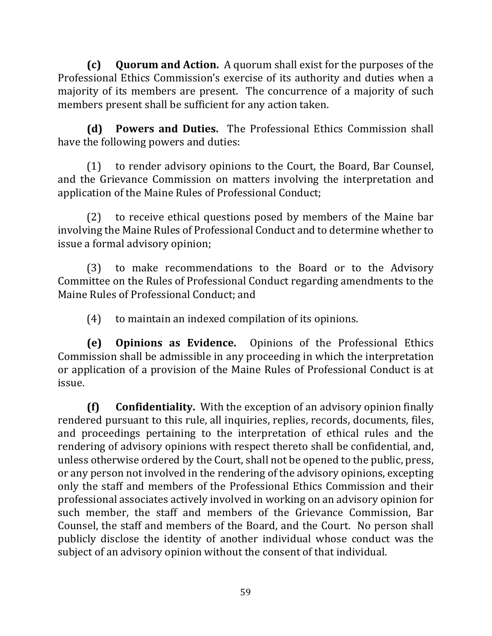**(c)** Quorum and Action. A quorum shall exist for the purposes of the Professional Ethics Commission's exercise of its authority and duties when a majority of its members are present. The concurrence of a majority of such members present shall be sufficient for any action taken.

**(d) Powers and Duties.** The Professional Ethics Commission shall have the following powers and duties:

(1) to render advisory opinions to the Court, the Board, Bar Counsel, and the Grievance Commission on matters involving the interpretation and application of the Maine Rules of Professional Conduct;

 $(2)$  to receive ethical questions posed by members of the Maine bar involving the Maine Rules of Professional Conduct and to determine whether to issue a formal advisory opinion;

(3) to make recommendations to the Board or to the Advisory Committee on the Rules of Professional Conduct regarding amendments to the Maine Rules of Professional Conduct; and

 $(4)$  to maintain an indexed compilation of its opinions.

**(e) Opinions as Evidence.**  Opinions of the Professional Ethics Commission shall be admissible in any proceeding in which the interpretation or application of a provision of the Maine Rules of Professional Conduct is at issue. 

**(f)** Confidentiality. With the exception of an advisory opinion finally rendered pursuant to this rule, all inquiries, replies, records, documents, files, and proceedings pertaining to the interpretation of ethical rules and the rendering of advisory opinions with respect thereto shall be confidential, and, unless otherwise ordered by the Court, shall not be opened to the public, press, or any person not involved in the rendering of the advisory opinions, excepting only the staff and members of the Professional Ethics Commission and their professional associates actively involved in working on an advisory opinion for such member, the staff and members of the Grievance Commission, Bar Counsel, the staff and members of the Board, and the Court. No person shall publicly disclose the identity of another individual whose conduct was the subject of an advisory opinion without the consent of that individual.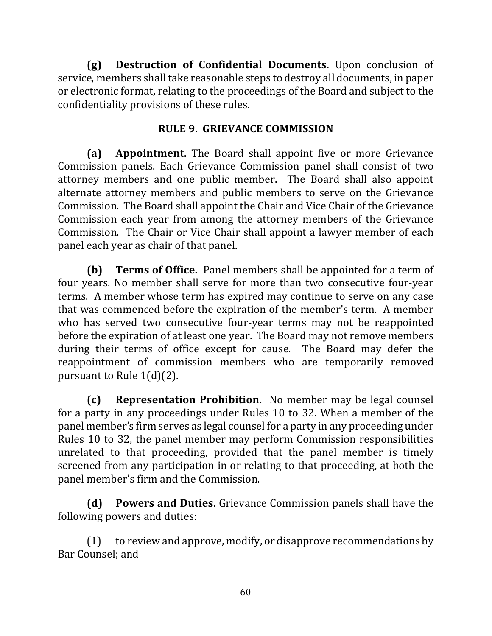**(g) Destruction of Confidential Documents.** Upon conclusion of service, members shall take reasonable steps to destroy all documents, in paper or electronic format, relating to the proceedings of the Board and subject to the confidentiality provisions of these rules.

## **RULE 9. GRIEVANCE COMMISSION**

**(a) Appointment.** The Board shall appoint five or more Grievance Commission panels. Each Grievance Commission panel shall consist of two attorney members and one public member. The Board shall also appoint alternate attorney members and public members to serve on the Grievance Commission. The Board shall appoint the Chair and Vice Chair of the Grievance Commission each year from among the attorney members of the Grievance Commission. The Chair or Vice Chair shall appoint a lawyer member of each panel each year as chair of that panel.

**(b) Terms of Office.** Panel members shall be appointed for a term of four years. No member shall serve for more than two consecutive four-year terms. A member whose term has expired may continue to serve on any case that was commenced before the expiration of the member's term. A member who has served two consecutive four-year terms may not be reappointed before the expiration of at least one year. The Board may not remove members during their terms of office except for cause. The Board may defer the reappointment of commission members who are temporarily removed pursuant to Rule  $1(d)(2)$ .

**(c) Representation Prohibition.** No member may be legal counsel for a party in any proceedings under Rules 10 to 32. When a member of the panel member's firm serves as legal counsel for a party in any proceeding under Rules 10 to 32, the panel member may perform Commission responsibilities unrelated to that proceeding, provided that the panel member is timely screened from any participation in or relating to that proceeding, at both the panel member's firm and the Commission.

**(d)** Powers and Duties. Grievance Commission panels shall have the following powers and duties:

 $(1)$  to review and approve, modify, or disapprove recommendations by Bar Counsel: and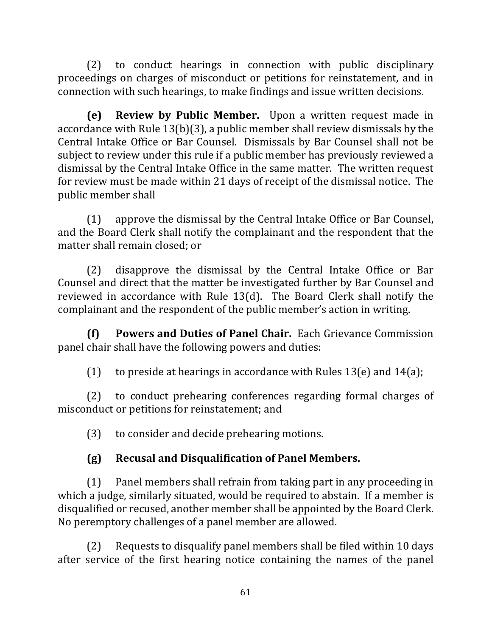(2) to conduct hearings in connection with public disciplinary proceedings on charges of misconduct or petitions for reinstatement, and in connection with such hearings, to make findings and issue written decisions.

**(e) Review by Public Member.** Upon a written request made in accordance with Rule  $13(b)(3)$ , a public member shall review dismissals by the Central Intake Office or Bar Counsel. Dismissals by Bar Counsel shall not be subject to review under this rule if a public member has previously reviewed a dismissal by the Central Intake Office in the same matter. The written request for review must be made within 21 days of receipt of the dismissal notice. The public member shall

 $(1)$  approve the dismissal by the Central Intake Office or Bar Counsel, and the Board Clerk shall notify the complainant and the respondent that the matter shall remain closed; or

 $(2)$  disapprove the dismissal by the Central Intake Office or Bar Counsel and direct that the matter be investigated further by Bar Counsel and reviewed in accordance with Rule  $13(d)$ . The Board Clerk shall notify the complainant and the respondent of the public member's action in writing.

**(f)** Powers and Duties of Panel Chair. Each Grievance Commission panel chair shall have the following powers and duties:

(1) to preside at hearings in accordance with Rules  $13(e)$  and  $14(a)$ ;

(2) to conduct prehearing conferences regarding formal charges of misconduct or petitions for reinstatement; and

(3) to consider and decide prehearing motions.

# **(g) Recusal and Disqualification of Panel Members.**

 $(1)$  Panel members shall refrain from taking part in any proceeding in which a judge, similarly situated, would be required to abstain. If a member is disqualified or recused, another member shall be appointed by the Board Clerk. No peremptory challenges of a panel member are allowed.

 $(2)$  Requests to disqualify panel members shall be filed within 10 days after service of the first hearing notice containing the names of the panel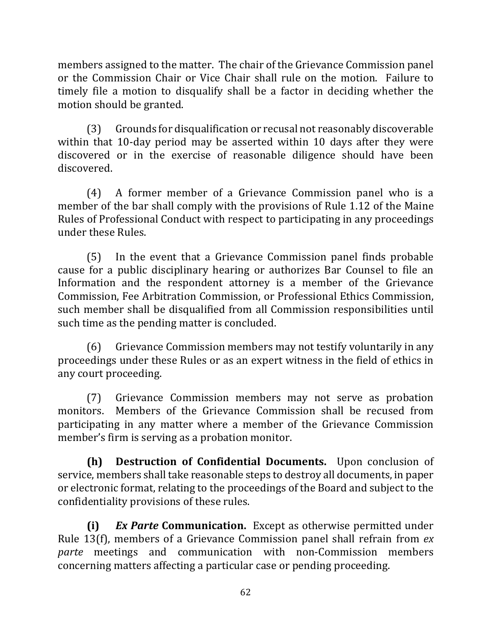members assigned to the matter. The chair of the Grievance Commission panel or the Commission Chair or Vice Chair shall rule on the motion. Failure to timely file a motion to disqualify shall be a factor in deciding whether the motion should be granted.

(3) Grounds for disqualification or recusal not reasonably discoverable within that 10-day period may be asserted within 10 days after they were discovered or in the exercise of reasonable diligence should have been discovered.

 $(4)$  A former member of a Grievance Commission panel who is a member of the bar shall comply with the provisions of Rule 1.12 of the Maine Rules of Professional Conduct with respect to participating in any proceedings under these Rules.

(5) In the event that a Grievance Commission panel finds probable cause for a public disciplinary hearing or authorizes Bar Counsel to file an Information and the respondent attorney is a member of the Grievance Commission, Fee Arbitration Commission, or Professional Ethics Commission, such member shall be disqualified from all Commission responsibilities until such time as the pending matter is concluded.

(6) Grievance Commission members may not testify voluntarily in any proceedings under these Rules or as an expert witness in the field of ethics in any court proceeding.

(7) Grievance Commission members may not serve as probation monitors. Members of the Grievance Commission shall be recused from participating in any matter where a member of the Grievance Commission member's firm is serving as a probation monitor.

**(h) Destruction of Confidential Documents.** Upon conclusion of service, members shall take reasonable steps to destroy all documents, in paper or electronic format, relating to the proceedings of the Board and subject to the confidentiality provisions of these rules.

**(i)** *Ex Parte* **Communication.**  Except as otherwise permitted under Rule 13(f), members of a Grievance Commission panel shall refrain from *ex parte* meetings and communication with non-Commission members concerning matters affecting a particular case or pending proceeding.

62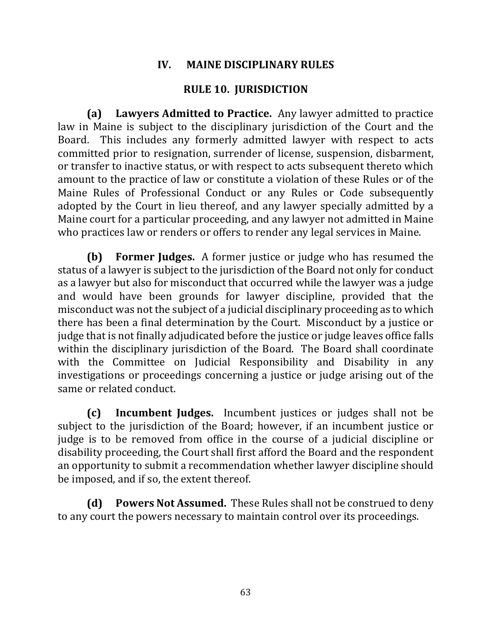### **IV. MAINE DISCIPLINARY RULES**

### **RULE 10. JURISDICTION**

**(a)** Lawyers Admitted to Practice. Any lawyer admitted to practice law in Maine is subject to the disciplinary jurisdiction of the Court and the Board. This includes any formerly admitted lawyer with respect to acts committed prior to resignation, surrender of license, suspension, disbarment, or transfer to inactive status, or with respect to acts subsequent thereto which amount to the practice of law or constitute a violation of these Rules or of the Maine Rules of Professional Conduct or any Rules or Code subsequently adopted by the Court in lieu thereof, and any lawyer specially admitted by a Maine court for a particular proceeding, and any lawyer not admitted in Maine who practices law or renders or offers to render any legal services in Maine.

**(b)** Former Judges. A former justice or judge who has resumed the status of a lawyer is subject to the jurisdiction of the Board not only for conduct as a lawyer but also for misconduct that occurred while the lawyer was a judge and would have been grounds for lawyer discipline, provided that the misconduct was not the subject of a judicial disciplinary proceeding as to which there has been a final determination by the Court. Misconduct by a justice or judge that is not finally adjudicated before the justice or judge leaves office falls within the disciplinary jurisdiction of the Board. The Board shall coordinate with the Committee on Judicial Responsibility and Disability in any investigations or proceedings concerning a justice or judge arising out of the same or related conduct.

**(c) Incumbent Judges.** Incumbent justices or judges shall not be subject to the jurisdiction of the Board; however, if an incumbent justice or judge is to be removed from office in the course of a judicial discipline or disability proceeding, the Court shall first afford the Board and the respondent an opportunity to submit a recommendation whether lawyer discipline should be imposed, and if so, the extent thereof.

**(d)** Powers Not Assumed. These Rules shall not be construed to deny to any court the powers necessary to maintain control over its proceedings.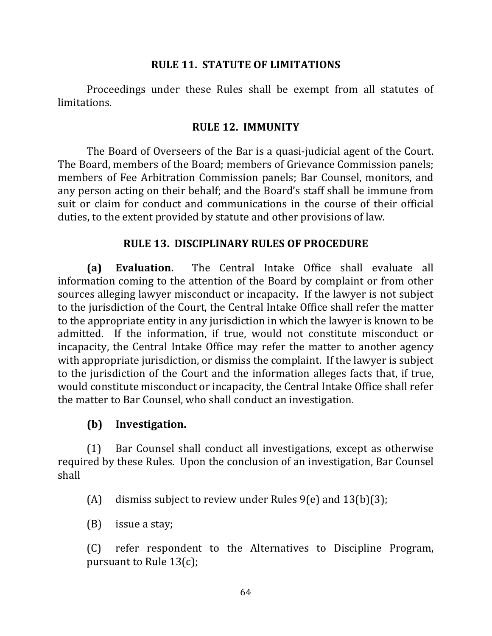### **RULE 11. STATUTE OF LIMITATIONS**

Proceedings under these Rules shall be exempt from all statutes of limitations.

#### **RULE 12. IMMUNITY**

The Board of Overseers of the Bar is a quasi-judicial agent of the Court. The Board, members of the Board; members of Grievance Commission panels; members of Fee Arbitration Commission panels; Bar Counsel, monitors, and any person acting on their behalf; and the Board's staff shall be immune from suit or claim for conduct and communications in the course of their official duties, to the extent provided by statute and other provisions of law.

#### **RULE 13. DISCIPLINARY RULES OF PROCEDURE**

**(a) Evaluation.** The Central Intake Office shall evaluate all information coming to the attention of the Board by complaint or from other sources alleging lawyer misconduct or incapacity. If the lawyer is not subject to the jurisdiction of the Court, the Central Intake Office shall refer the matter to the appropriate entity in any jurisdiction in which the lawyer is known to be admitted. If the information, if true, would not constitute misconduct or incapacity, the Central Intake Office may refer the matter to another agency with appropriate jurisdiction, or dismiss the complaint. If the lawyer is subject to the jurisdiction of the Court and the information alleges facts that, if true, would constitute misconduct or incapacity, the Central Intake Office shall refer the matter to Bar Counsel, who shall conduct an investigation.

### **(b) Investigation.**

(1) Bar Counsel shall conduct all investigations, except as otherwise required by these Rules. Upon the conclusion of an investigation, Bar Counsel shall

(A) dismiss subject to review under Rules  $9(e)$  and  $13(b)(3)$ ;

 $(B)$  issue a stay;

(C) refer respondent to the Alternatives to Discipline Program, pursuant to Rule  $13(c)$ ;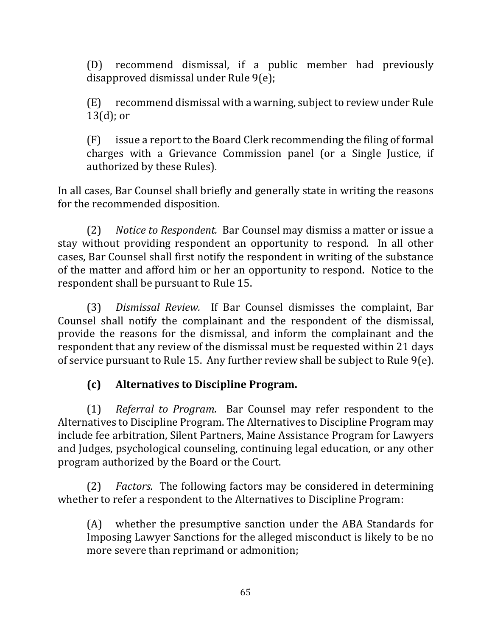(D) recommend dismissal, if a public member had previously disapproved dismissal under Rule 9(e);

 $(E)$  recommend dismissal with a warning, subject to review under Rule  $13(d)$ ; or

 $(F)$  issue a report to the Board Clerk recommending the filing of formal charges with a Grievance Commission panel (or a Single Justice, if authorized by these Rules).

In all cases, Bar Counsel shall briefly and generally state in writing the reasons for the recommended disposition.

(2) Notice to Respondent. Bar Counsel may dismiss a matter or issue a stay without providing respondent an opportunity to respond. In all other cases, Bar Counsel shall first notify the respondent in writing of the substance of the matter and afford him or her an opportunity to respond. Notice to the respondent shall be pursuant to Rule 15.

(3) *Dismissal Review.* If Bar Counsel dismisses the complaint, Bar Counsel shall notify the complainant and the respondent of the dismissal, provide the reasons for the dismissal, and inform the complainant and the respondent that any review of the dismissal must be requested within 21 days of service pursuant to Rule 15. Any further review shall be subject to Rule  $9(e)$ .

## **(c) Alternatives to Discipline Program.**

(1) *Referral to Program.* Bar Counsel may refer respondent to the Alternatives to Discipline Program. The Alternatives to Discipline Program may include fee arbitration, Silent Partners, Maine Assistance Program for Lawyers and Judges, psychological counseling, continuing legal education, or any other program authorized by the Board or the Court.

(2) *Factors.* The following factors may be considered in determining whether to refer a respondent to the Alternatives to Discipline Program:

 $(A)$  whether the presumptive sanction under the ABA Standards for Imposing Lawyer Sanctions for the alleged misconduct is likely to be no more severe than reprimand or admonition;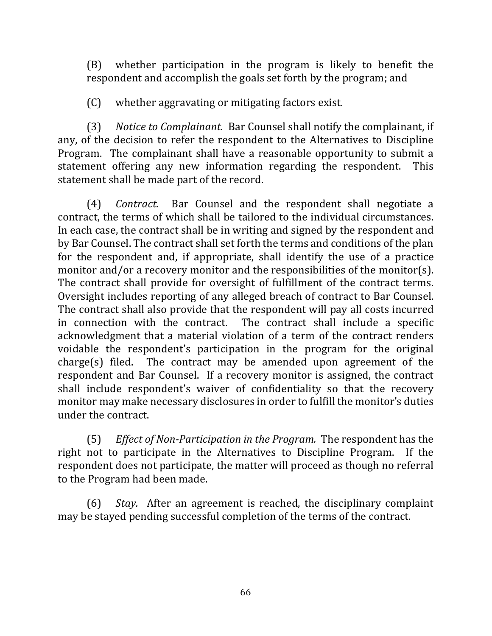(B) whether participation in the program is likely to benefit the respondent and accomplish the goals set forth by the program; and

 $(C)$  whether aggravating or mitigating factors exist.

(3) Notice to Complainant. Bar Counsel shall notify the complainant, if any, of the decision to refer the respondent to the Alternatives to Discipline Program. The complainant shall have a reasonable opportunity to submit a statement offering any new information regarding the respondent. This statement shall be made part of the record.

(4) *Contract.* Bar Counsel and the respondent shall negotiate a contract, the terms of which shall be tailored to the individual circumstances. In each case, the contract shall be in writing and signed by the respondent and by Bar Counsel. The contract shall set forth the terms and conditions of the plan for the respondent and, if appropriate, shall identify the use of a practice monitor and/or a recovery monitor and the responsibilities of the monitor(s). The contract shall provide for oversight of fulfillment of the contract terms. Oversight includes reporting of any alleged breach of contract to Bar Counsel. The contract shall also provide that the respondent will pay all costs incurred in connection with the contract. The contract shall include a specific acknowledgment that a material violation of a term of the contract renders voidable the respondent's participation in the program for the original  $charge(s)$  filed. The contract may be amended upon agreement of the respondent and Bar Counsel. If a recovery monitor is assigned, the contract shall include respondent's waiver of confidentiality so that the recovery monitor may make necessary disclosures in order to fulfill the monitor's duties under the contract.

(5) *Effect of Non-Participation in the Program.* The respondent has the right not to participate in the Alternatives to Discipline Program. If the respondent does not participate, the matter will proceed as though no referral to the Program had been made.

(6) *Stay.* After an agreement is reached, the disciplinary complaint may be stayed pending successful completion of the terms of the contract.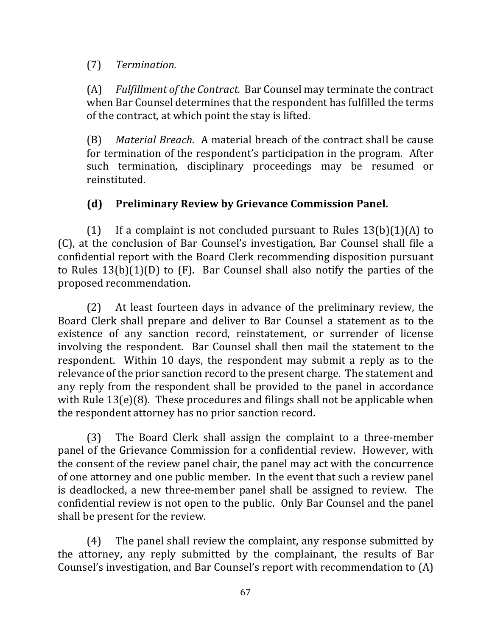(7) *Termination.*

(A) Fulfillment of the Contract. Bar Counsel may terminate the contract when Bar Counsel determines that the respondent has fulfilled the terms of the contract, at which point the stay is lifted.

(B) *Material Breach.* A material breach of the contract shall be cause for termination of the respondent's participation in the program. After such termination, disciplinary proceedings may be resumed or reinstituted.

# **(d) Preliminary Review by Grievance Commission Panel.**

(1) If a complaint is not concluded pursuant to Rules  $13(b)(1)(A)$  to (C), at the conclusion of Bar Counsel's investigation, Bar Counsel shall file a confidential report with the Board Clerk recommending disposition pursuant to Rules  $13(b)(1)(D)$  to  $(F)$ . Bar Counsel shall also notify the parties of the proposed recommendation.

 $(2)$  At least fourteen days in advance of the preliminary review, the Board Clerk shall prepare and deliver to Bar Counsel a statement as to the existence of any sanction record, reinstatement, or surrender of license involving the respondent. Bar Counsel shall then mail the statement to the respondent. Within 10 days, the respondent may submit a reply as to the relevance of the prior sanction record to the present charge. The statement and any reply from the respondent shall be provided to the panel in accordance with Rule  $13(e)(8)$ . These procedures and filings shall not be applicable when the respondent attorney has no prior sanction record.

(3) The Board Clerk shall assign the complaint to a three-member panel of the Grievance Commission for a confidential review. However, with the consent of the review panel chair, the panel may act with the concurrence of one attorney and one public member. In the event that such a review panel is deadlocked, a new three-member panel shall be assigned to review. The confidential review is not open to the public. Only Bar Counsel and the panel shall be present for the review.

 $(4)$  The panel shall review the complaint, any response submitted by the attorney, any reply submitted by the complainant, the results of Bar Counsel's investigation, and Bar Counsel's report with recommendation to  $(A)$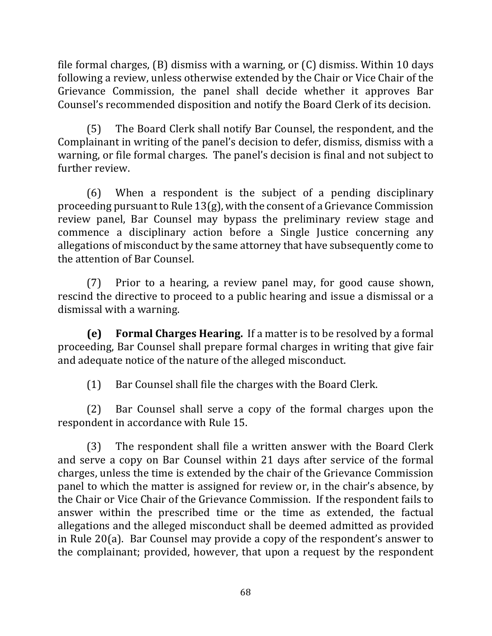file formal charges,  $(B)$  dismiss with a warning, or  $(C)$  dismiss. Within 10 days following a review, unless otherwise extended by the Chair or Vice Chair of the Grievance Commission, the panel shall decide whether it approves Bar Counsel's recommended disposition and notify the Board Clerk of its decision.

(5) The Board Clerk shall notify Bar Counsel, the respondent, and the Complainant in writing of the panel's decision to defer, dismiss, dismiss with a warning, or file formal charges. The panel's decision is final and not subject to further review.

 $(6)$  When a respondent is the subject of a pending disciplinary proceeding pursuant to Rule  $13(g)$ , with the consent of a Grievance Commission review panel, Bar Counsel may bypass the preliminary review stage and commence a disciplinary action before a Single Justice concerning any allegations of misconduct by the same attorney that have subsequently come to the attention of Bar Counsel.

 $(7)$  Prior to a hearing, a review panel may, for good cause shown, rescind the directive to proceed to a public hearing and issue a dismissal or a dismissal with a warning.

**(e) Formal Charges Hearing.** If a matter is to be resolved by a formal proceeding, Bar Counsel shall prepare formal charges in writing that give fair and adequate notice of the nature of the alleged misconduct.

(1) Bar Counsel shall file the charges with the Board Clerk.

(2) Bar Counsel shall serve a copy of the formal charges upon the respondent in accordance with Rule 15.

 $(3)$  The respondent shall file a written answer with the Board Clerk and serve a copy on Bar Counsel within 21 days after service of the formal charges, unless the time is extended by the chair of the Grievance Commission panel to which the matter is assigned for review or, in the chair's absence, by the Chair or Vice Chair of the Grievance Commission. If the respondent fails to answer within the prescribed time or the time as extended, the factual allegations and the alleged misconduct shall be deemed admitted as provided in Rule  $20(a)$ . Bar Counsel may provide a copy of the respondent's answer to the complainant; provided, however, that upon a request by the respondent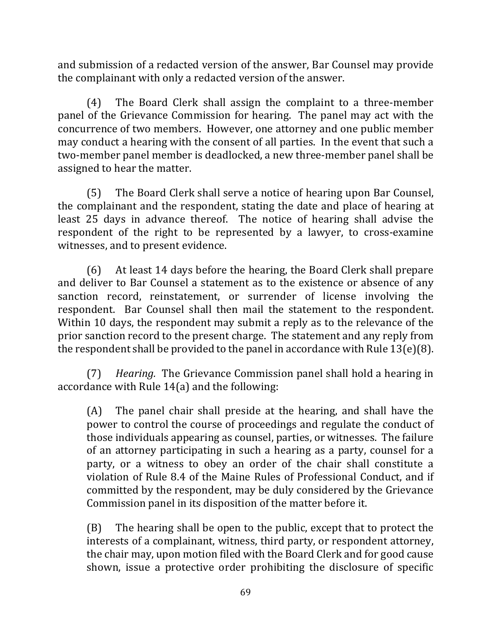and submission of a redacted version of the answer, Bar Counsel may provide the complainant with only a redacted version of the answer.

(4) The Board Clerk shall assign the complaint to a three-member panel of the Grievance Commission for hearing. The panel may act with the concurrence of two members. However, one attorney and one public member may conduct a hearing with the consent of all parties. In the event that such a two-member panel member is deadlocked, a new three-member panel shall be assigned to hear the matter.

(5) The Board Clerk shall serve a notice of hearing upon Bar Counsel, the complainant and the respondent, stating the date and place of hearing at least 25 days in advance thereof. The notice of hearing shall advise the respondent of the right to be represented by a lawyer, to cross-examine witnesses, and to present evidence.

(6) At least 14 days before the hearing, the Board Clerk shall prepare and deliver to Bar Counsel a statement as to the existence or absence of any sanction record, reinstatement, or surrender of license involving the respondent. Bar Counsel shall then mail the statement to the respondent. Within 10 days, the respondent may submit a reply as to the relevance of the prior sanction record to the present charge. The statement and any reply from the respondent shall be provided to the panel in accordance with Rule  $13(e)(8)$ .

(7) *Hearing.* The Grievance Commission panel shall hold a hearing in accordance with Rule  $14(a)$  and the following:

 $(A)$  The panel chair shall preside at the hearing, and shall have the power to control the course of proceedings and regulate the conduct of those individuals appearing as counsel, parties, or witnesses. The failure of an attorney participating in such a hearing as a party, counsel for a party, or a witness to obey an order of the chair shall constitute a violation of Rule 8.4 of the Maine Rules of Professional Conduct, and if committed by the respondent, may be duly considered by the Grievance Commission panel in its disposition of the matter before it.

 $(B)$  The hearing shall be open to the public, except that to protect the interests of a complainant, witness, third party, or respondent attorney, the chair may, upon motion filed with the Board Clerk and for good cause shown, issue a protective order prohibiting the disclosure of specific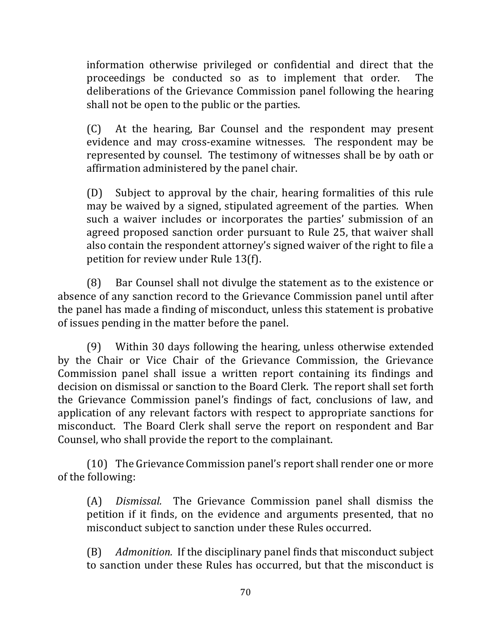information otherwise privileged or confidential and direct that the proceedings be conducted so as to implement that order. The deliberations of the Grievance Commission panel following the hearing shall not be open to the public or the parties.

(C) At the hearing, Bar Counsel and the respondent may present evidence and may cross-examine witnesses. The respondent may be represented by counsel. The testimony of witnesses shall be by oath or affirmation administered by the panel chair.

(D) Subject to approval by the chair, hearing formalities of this rule may be waived by a signed, stipulated agreement of the parties. When such a waiver includes or incorporates the parties' submission of an agreed proposed sanction order pursuant to Rule 25, that waiver shall also contain the respondent attorney's signed waiver of the right to file a petition for review under Rule 13(f).

(8) Bar Counsel shall not divulge the statement as to the existence or absence of any sanction record to the Grievance Commission panel until after the panel has made a finding of misconduct, unless this statement is probative of issues pending in the matter before the panel.

(9) Within 30 days following the hearing, unless otherwise extended by the Chair or Vice Chair of the Grievance Commission, the Grievance Commission panel shall issue a written report containing its findings and decision on dismissal or sanction to the Board Clerk. The report shall set forth the Grievance Commission panel's findings of fact, conclusions of law, and application of any relevant factors with respect to appropriate sanctions for misconduct. The Board Clerk shall serve the report on respondent and Bar Counsel, who shall provide the report to the complainant.

(10) The Grievance Commission panel's report shall render one or more of the following:

(A) *Dismissal.* The Grievance Commission panel shall dismiss the petition if it finds, on the evidence and arguments presented, that no misconduct subject to sanction under these Rules occurred.

(B) *Admonition.* If the disciplinary panel finds that misconduct subject to sanction under these Rules has occurred, but that the misconduct is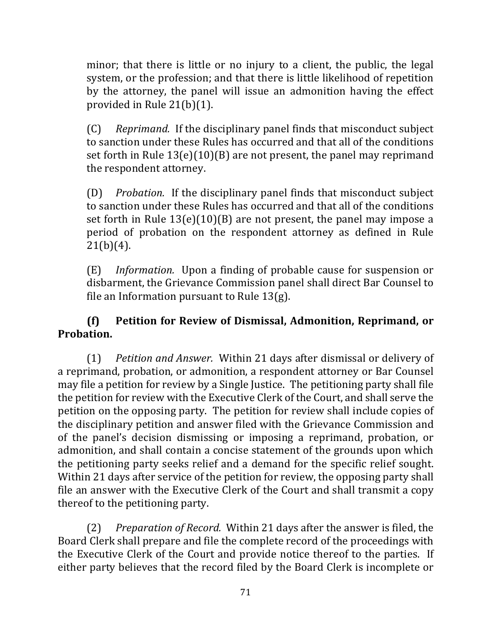minor; that there is little or no injury to a client, the public, the legal system, or the profession; and that there is little likelihood of repetition by the attorney, the panel will issue an admonition having the effect provided in Rule  $21(b)(1)$ .

(C) Reprimand. If the disciplinary panel finds that misconduct subject to sanction under these Rules has occurred and that all of the conditions set forth in Rule  $13(e)(10)(B)$  are not present, the panel may reprimand the respondent attorney.

(D) *Probation.* If the disciplinary panel finds that misconduct subject to sanction under these Rules has occurred and that all of the conditions set forth in Rule  $13(e)(10)(B)$  are not present, the panel may impose a period of probation on the respondent attorney as defined in Rule  $21(b)(4)$ .

(E) *Information.* Upon a finding of probable cause for suspension or disbarment, the Grievance Commission panel shall direct Bar Counsel to file an Information pursuant to Rule  $13(g)$ .

## **(f) Petition for Review of Dismissal, Admonition, Reprimand, or Probation.**

(1) *Petition and Answer.* Within 21 days after dismissal or delivery of a reprimand, probation, or admonition, a respondent attorney or Bar Counsel may file a petition for review by a Single Justice. The petitioning party shall file the petition for review with the Executive Clerk of the Court, and shall serve the petition on the opposing party. The petition for review shall include copies of the disciplinary petition and answer filed with the Grievance Commission and of the panel's decision dismissing or imposing a reprimand, probation, or admonition, and shall contain a concise statement of the grounds upon which the petitioning party seeks relief and a demand for the specific relief sought. Within 21 days after service of the petition for review, the opposing party shall file an answer with the Executive Clerk of the Court and shall transmit a copy thereof to the petitioning party.

(2) Preparation of Record. Within 21 days after the answer is filed, the Board Clerk shall prepare and file the complete record of the proceedings with the Executive Clerk of the Court and provide notice thereof to the parties. If either party believes that the record filed by the Board Clerk is incomplete or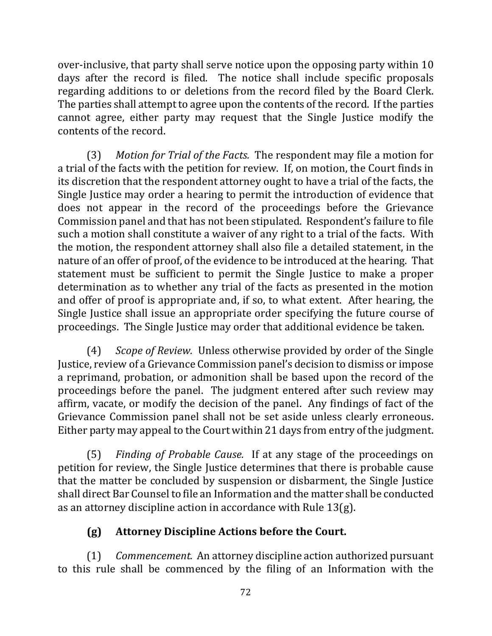over-inclusive, that party shall serve notice upon the opposing party within 10 days after the record is filed. The notice shall include specific proposals regarding additions to or deletions from the record filed by the Board Clerk. The parties shall attempt to agree upon the contents of the record. If the parties cannot agree, either party may request that the Single Justice modify the contents of the record.

(3) Motion for Trial of the Facts. The respondent may file a motion for a trial of the facts with the petition for review. If, on motion, the Court finds in its discretion that the respondent attorney ought to have a trial of the facts, the Single Justice may order a hearing to permit the introduction of evidence that does not appear in the record of the proceedings before the Grievance Commission panel and that has not been stipulated. Respondent's failure to file such a motion shall constitute a waiver of any right to a trial of the facts. With the motion, the respondent attorney shall also file a detailed statement, in the nature of an offer of proof, of the evidence to be introduced at the hearing. That statement must be sufficient to permit the Single Justice to make a proper determination as to whether any trial of the facts as presented in the motion and offer of proof is appropriate and, if so, to what extent. After hearing, the Single Justice shall issue an appropriate order specifying the future course of proceedings. The Single Justice may order that additional evidence be taken.

(4) *Scope of Review.* Unless otherwise provided by order of the Single Justice, review of a Grievance Commission panel's decision to dismiss or impose a reprimand, probation, or admonition shall be based upon the record of the proceedings before the panel. The judgment entered after such review may affirm, vacate, or modify the decision of the panel. Any findings of fact of the Grievance Commission panel shall not be set aside unless clearly erroneous. Either party may appeal to the Court within 21 days from entry of the judgment.

(5) *Finding of Probable Cause.* If at any stage of the proceedings on petition for review, the Single Justice determines that there is probable cause that the matter be concluded by suspension or disbarment, the Single Justice shall direct Bar Counsel to file an Information and the matter shall be conducted as an attorney discipline action in accordance with Rule  $13(g)$ .

# **(g) Attorney Discipline Actions before the Court.**

(1) *Commencement.* An attorney discipline action authorized pursuant to this rule shall be commenced by the filing of an Information with the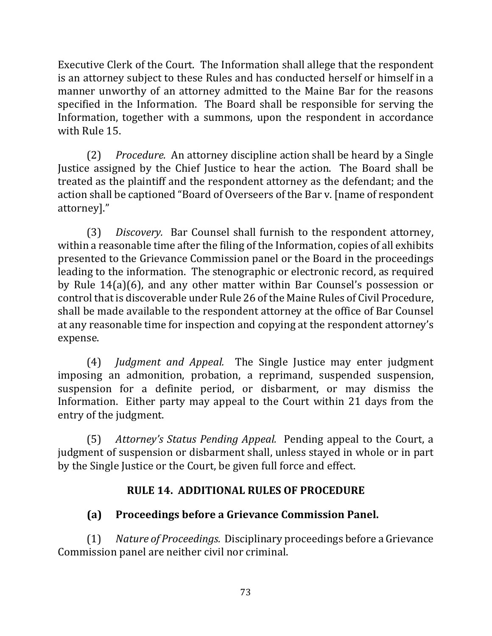Executive Clerk of the Court. The Information shall allege that the respondent is an attorney subject to these Rules and has conducted herself or himself in a manner unworthy of an attorney admitted to the Maine Bar for the reasons specified in the Information. The Board shall be responsible for serving the Information, together with a summons, upon the respondent in accordance with Rule 15.

(2) *Procedure.* An attorney discipline action shall be heard by a Single Justice assigned by the Chief Justice to hear the action. The Board shall be treated as the plaintiff and the respondent attorney as the defendant; and the action shall be captioned "Board of Overseers of the Bar v. [name of respondent attorney]."

(3) *Discovery.* Bar Counsel shall furnish to the respondent attorney, within a reasonable time after the filing of the Information, copies of all exhibits presented to the Grievance Commission panel or the Board in the proceedings leading to the information. The stenographic or electronic record, as required by Rule  $14(a)(6)$ , and any other matter within Bar Counsel's possession or control that is discoverable under Rule 26 of the Maine Rules of Civil Procedure, shall be made available to the respondent attorney at the office of Bar Counsel at any reasonable time for inspection and copying at the respondent attorney's expense.

(4) *Judgment and Appeal.* The Single Justice may enter judgment imposing an admonition, probation, a reprimand, suspended suspension, suspension for a definite period, or disbarment, or may dismiss the Information. Either party may appeal to the Court within 21 days from the entry of the judgment.

(5) *Attorney's Status Pending Appeal.* Pending appeal to the Court, a judgment of suspension or disbarment shall, unless stayed in whole or in part by the Single Justice or the Court, be given full force and effect.

# **RULE 14. ADDITIONAL RULES OF PROCEDURE**

# **(a) Proceedings before a Grievance Commission Panel.**

(1) Nature of Proceedings. Disciplinary proceedings before a Grievance Commission panel are neither civil nor criminal.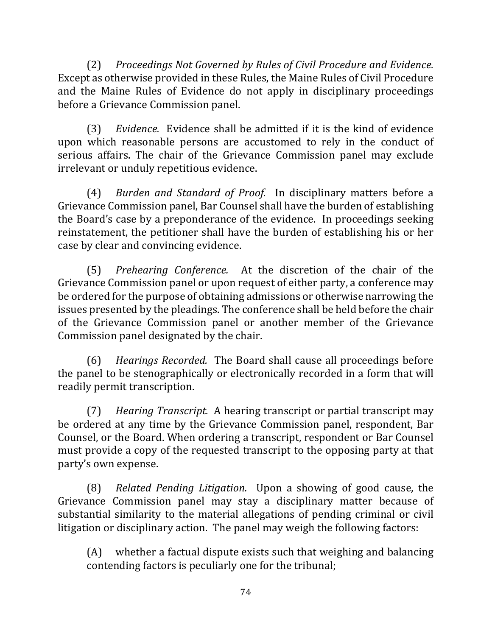(2) Proceedings Not Governed by Rules of Civil Procedure and Evidence. Except as otherwise provided in these Rules, the Maine Rules of Civil Procedure and the Maine Rules of Evidence do not apply in disciplinary proceedings before a Grievance Commission panel.

(3) *Evidence.* Evidence shall be admitted if it is the kind of evidence upon which reasonable persons are accustomed to rely in the conduct of serious affairs. The chair of the Grievance Commission panel may exclude irrelevant or unduly repetitious evidence.

(4) *Burden and Standard of Proof.* In disciplinary matters before a Grievance Commission panel, Bar Counsel shall have the burden of establishing the Board's case by a preponderance of the evidence. In proceedings seeking reinstatement, the petitioner shall have the burden of establishing his or her case by clear and convincing evidence.

(5) *Prehearing Conference.* At the discretion of the chair of the Grievance Commission panel or upon request of either party, a conference may be ordered for the purpose of obtaining admissions or otherwise narrowing the issues presented by the pleadings. The conference shall be held before the chair of the Grievance Commission panel or another member of the Grievance Commission panel designated by the chair.

(6) *Hearings Recorded.* The Board shall cause all proceedings before the panel to be stenographically or electronically recorded in a form that will readily permit transcription.

(7) *Hearing Transcript.* A hearing transcript or partial transcript may be ordered at any time by the Grievance Commission panel, respondent, Bar Counsel, or the Board. When ordering a transcript, respondent or Bar Counsel must provide a copy of the requested transcript to the opposing party at that party's own expense.

(8) *Related Pending Litigation.* Upon a showing of good cause, the Grievance Commission panel may stay a disciplinary matter because of substantial similarity to the material allegations of pending criminal or civil litigation or disciplinary action. The panel may weigh the following factors:

(A) whether a factual dispute exists such that weighing and balancing contending factors is peculiarly one for the tribunal;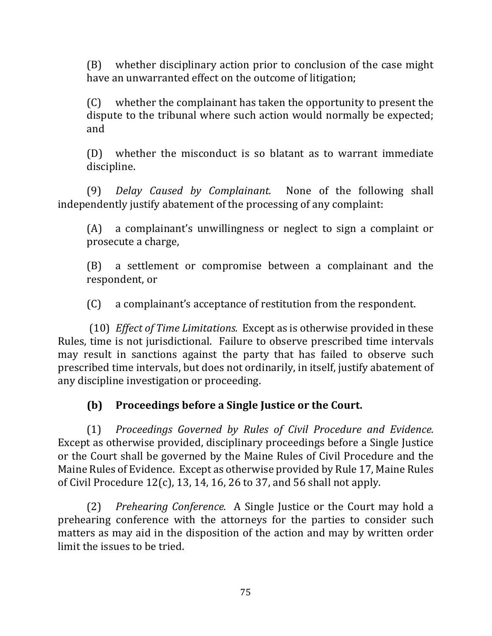(B) whether disciplinary action prior to conclusion of the case might have an unwarranted effect on the outcome of litigation;

 $(C)$  whether the complainant has taken the opportunity to present the dispute to the tribunal where such action would normally be expected; and

 $(D)$  whether the misconduct is so blatant as to warrant immediate discipline. 

(9) *Delay Caused by Complainant.* None of the following shall independently justify abatement of the processing of any complaint:

 $(A)$  a complainant's unwillingness or neglect to sign a complaint or prosecute a charge,

(B) a settlement or compromise between a complainant and the respondent, or

(C) a complainant's acceptance of restitution from the respondent.

(10) *Effect of Time Limitations.* Except as is otherwise provided in these Rules, time is not jurisdictional. Failure to observe prescribed time intervals may result in sanctions against the party that has failed to observe such prescribed time intervals, but does not ordinarily, in itself, justify abatement of any discipline investigation or proceeding.

# **(b) Proceedings before a Single Justice or the Court.**

(1) *Proceedings Governed by Rules of Civil Procedure and Evidence.*  Except as otherwise provided, disciplinary proceedings before a Single Justice or the Court shall be governed by the Maine Rules of Civil Procedure and the Maine Rules of Evidence. Except as otherwise provided by Rule 17, Maine Rules of Civil Procedure  $12(c)$ , 13, 14, 16, 26 to 37, and 56 shall not apply.

(2) *Prehearing Conference.* A Single Justice or the Court may hold a prehearing conference with the attorneys for the parties to consider such matters as may aid in the disposition of the action and may by written order limit the issues to be tried.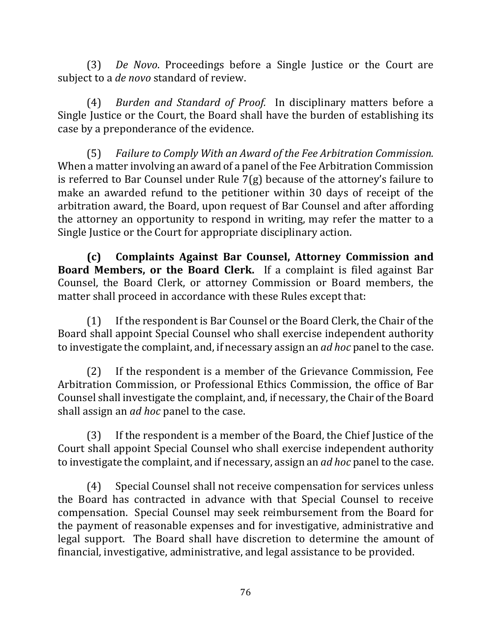(3) *De Novo*. Proceedings before a Single Justice or the Court are subject to a *de novo* standard of review.

(4) *Burden and Standard of Proof.* In disciplinary matters before a Single Justice or the Court, the Board shall have the burden of establishing its case by a preponderance of the evidence.

(5) Failure to Comply With an Award of the Fee Arbitration Commission. When a matter involving an award of a panel of the Fee Arbitration Commission is referred to Bar Counsel under Rule  $7(g)$  because of the attorney's failure to make an awarded refund to the petitioner within 30 days of receipt of the arbitration award, the Board, upon request of Bar Counsel and after affording the attorney an opportunity to respond in writing, may refer the matter to a Single Justice or the Court for appropriate disciplinary action.

**(c) Complaints Against Bar Counsel, Attorney Commission and Board Members, or the Board Clerk.** If a complaint is filed against Bar Counsel, the Board Clerk, or attorney Commission or Board members, the matter shall proceed in accordance with these Rules except that:

(1) If the respondent is Bar Counsel or the Board Clerk, the Chair of the Board shall appoint Special Counsel who shall exercise independent authority to investigate the complaint, and, if necessary assign an *ad hoc* panel to the case.

 $(2)$  If the respondent is a member of the Grievance Commission, Fee Arbitration Commission, or Professional Ethics Commission, the office of Bar Counsel shall investigate the complaint, and, if necessary, the Chair of the Board shall assign an *ad hoc* panel to the case.

(3) If the respondent is a member of the Board, the Chief Justice of the Court shall appoint Special Counsel who shall exercise independent authority to investigate the complaint, and if necessary, assign an *ad hoc* panel to the case.

(4) Special Counsel shall not receive compensation for services unless the Board has contracted in advance with that Special Counsel to receive compensation. Special Counsel may seek reimbursement from the Board for the payment of reasonable expenses and for investigative, administrative and legal support. The Board shall have discretion to determine the amount of financial, investigative, administrative, and legal assistance to be provided.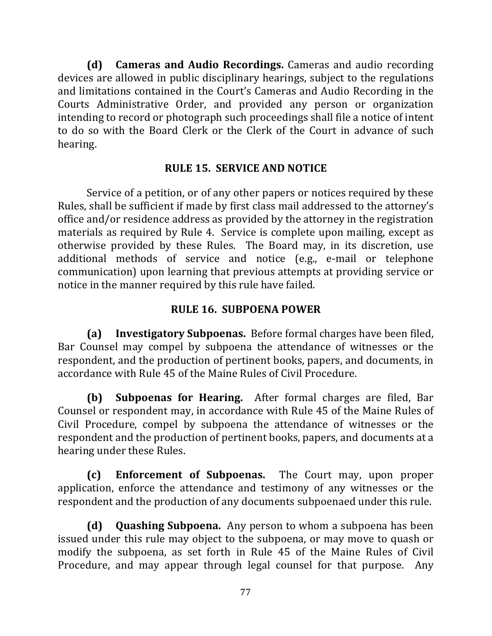**(d) Cameras and Audio Recordings.** Cameras and audio recording devices are allowed in public disciplinary hearings, subject to the regulations and limitations contained in the Court's Cameras and Audio Recording in the Courts Administrative Order, and provided any person or organization intending to record or photograph such proceedings shall file a notice of intent to do so with the Board Clerk or the Clerk of the Court in advance of such hearing.

#### **RULE 15. SERVICE AND NOTICE**

Service of a petition, or of any other papers or notices required by these Rules, shall be sufficient if made by first class mail addressed to the attorney's office and/or residence address as provided by the attorney in the registration materials as required by Rule 4. Service is complete upon mailing, except as otherwise provided by these Rules. The Board may, in its discretion, use additional methods of service and notice (e.g., e-mail or telephone communication) upon learning that previous attempts at providing service or notice in the manner required by this rule have failed.

## **RULE 16. SUBPOENA POWER**

**(a) Investigatory Subpoenas.** Before formal charges have been filed, Bar Counsel may compel by subpoena the attendance of witnesses or the respondent, and the production of pertinent books, papers, and documents, in accordance with Rule 45 of the Maine Rules of Civil Procedure.

**(b) Subpoenas for Hearing.** After formal charges are filed, Bar Counsel or respondent may, in accordance with Rule 45 of the Maine Rules of Civil Procedure, compel by subpoena the attendance of witnesses or the respondent and the production of pertinent books, papers, and documents at a hearing under these Rules.

**(c) Enforcement of Subpoenas.**  The Court may, upon proper application, enforce the attendance and testimony of any witnesses or the respondent and the production of any documents subpoenaed under this rule.

**(d)** Quashing Subpoena. Any person to whom a subpoena has been issued under this rule may object to the subpoena, or may move to quash or modify the subpoena, as set forth in Rule 45 of the Maine Rules of Civil Procedure, and may appear through legal counsel for that purpose. Any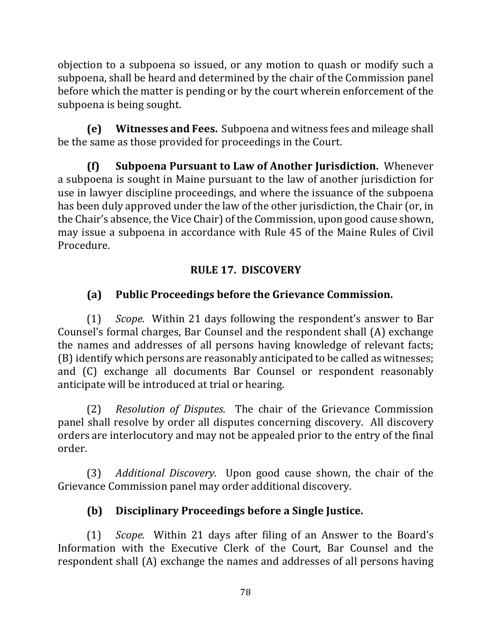objection to a subpoena so issued, or any motion to quash or modify such a subpoena, shall be heard and determined by the chair of the Commission panel before which the matter is pending or by the court wherein enforcement of the subpoena is being sought.

**(e)** Witnesses and Fees. Subpoena and witness fees and mileage shall be the same as those provided for proceedings in the Court.

**(f) Subpoena Pursuant to Law of Another Jurisdiction.** Whenever a subpoena is sought in Maine pursuant to the law of another jurisdiction for use in lawyer discipline proceedings, and where the issuance of the subpoena has been duly approved under the law of the other jurisdiction, the Chair (or, in the Chair's absence, the Vice Chair) of the Commission, upon good cause shown, may issue a subpoena in accordance with Rule 45 of the Maine Rules of Civil Procedure.

# **RULE 17. DISCOVERY**

# **(a) Public Proceedings before the Grievance Commission.**

(1) *Scope.* Within 21 days following the respondent's answer to Bar Counsel's formal charges, Bar Counsel and the respondent shall (A) exchange the names and addresses of all persons having knowledge of relevant facts; (B) identify which persons are reasonably anticipated to be called as witnesses; and (C) exchange all documents Bar Counsel or respondent reasonably anticipate will be introduced at trial or hearing.

(2) *Resolution of Disputes.* The chair of the Grievance Commission panel shall resolve by order all disputes concerning discovery. All discovery orders are interlocutory and may not be appealed prior to the entry of the final order.

(3) *Additional Discovery.* Upon good cause shown, the chair of the Grievance Commission panel may order additional discovery.

# **(b) Disciplinary Proceedings before a Single Justice.**

(1) *Scope.* Within 21 days after filing of an Answer to the Board's Information with the Executive Clerk of the Court, Bar Counsel and the respondent shall (A) exchange the names and addresses of all persons having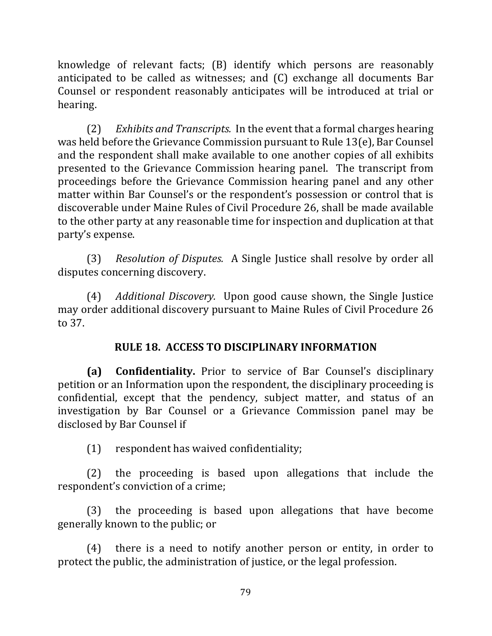knowledge of relevant facts; (B) identify which persons are reasonably anticipated to be called as witnesses; and  $(C)$  exchange all documents Bar Counsel or respondent reasonably anticipates will be introduced at trial or hearing.

(2) *Exhibits and Transcripts.* In the event that a formal charges hearing was held before the Grievance Commission pursuant to Rule  $13(e)$ , Bar Counsel and the respondent shall make available to one another copies of all exhibits presented to the Grievance Commission hearing panel. The transcript from proceedings before the Grievance Commission hearing panel and any other matter within Bar Counsel's or the respondent's possession or control that is discoverable under Maine Rules of Civil Procedure 26, shall be made available to the other party at any reasonable time for inspection and duplication at that party's expense.

(3) *Resolution of Disputes.* A Single Justice shall resolve by order all disputes concerning discovery.

(4) *Additional Discovery.* Upon good cause shown, the Single Justice may order additional discovery pursuant to Maine Rules of Civil Procedure 26 to 37.

## **RULE 18. ACCESS TO DISCIPLINARY INFORMATION**

**(a) Confidentiality.** Prior to service of Bar Counsel's disciplinary petition or an Information upon the respondent, the disciplinary proceeding is confidential, except that the pendency, subject matter, and status of an investigation by Bar Counsel or a Grievance Commission panel may be disclosed by Bar Counsel if

(1) respondent has waived confidentiality;

 $(2)$  the proceeding is based upon allegations that include the respondent's conviction of a crime;

(3) the proceeding is based upon allegations that have become generally known to the public; or

 $(4)$  there is a need to notify another person or entity, in order to protect the public, the administration of justice, or the legal profession.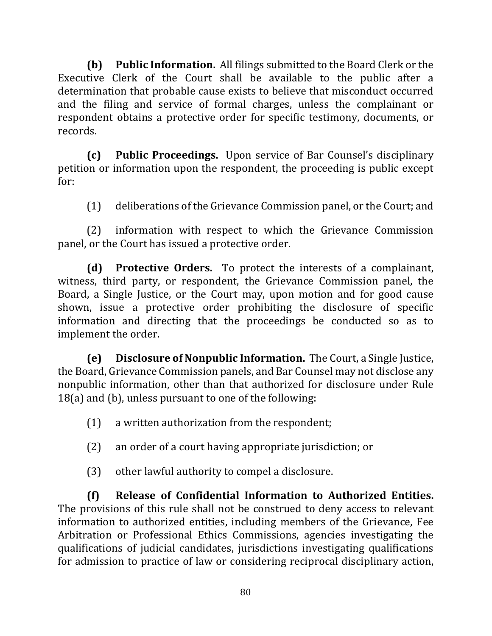**(b)** Public Information. All filings submitted to the Board Clerk or the Executive Clerk of the Court shall be available to the public after a determination that probable cause exists to believe that misconduct occurred and the filing and service of formal charges, unless the complainant or respondent obtains a protective order for specific testimony, documents, or records. 

**(c)** Public Proceedings. Upon service of Bar Counsel's disciplinary petition or information upon the respondent, the proceeding is public except for:

(1) deliberations of the Grievance Commission panel, or the Court; and

(2) information with respect to which the Grievance Commission panel, or the Court has issued a protective order.

**(d)** Protective Orders. To protect the interests of a complainant, witness, third party, or respondent, the Grievance Commission panel, the Board, a Single Justice, or the Court may, upon motion and for good cause shown, issue a protective order prohibiting the disclosure of specific information and directing that the proceedings be conducted so as to implement the order.

**(e)** Disclosure of Nonpublic Information. The Court, a Single Justice, the Board, Grievance Commission panels, and Bar Counsel may not disclose any nonpublic information, other than that authorized for disclosure under Rule  $18(a)$  and (b), unless pursuant to one of the following:

- $(1)$  a written authorization from the respondent;
- (2) an order of a court having appropriate jurisdiction; or
- $(3)$  other lawful authority to compel a disclosure.

**(f) Release of Confidential Information to Authorized Entities.**  The provisions of this rule shall not be construed to deny access to relevant information to authorized entities, including members of the Grievance, Fee Arbitration or Professional Ethics Commissions, agencies investigating the qualifications of judicial candidates, jurisdictions investigating qualifications for admission to practice of law or considering reciprocal disciplinary action,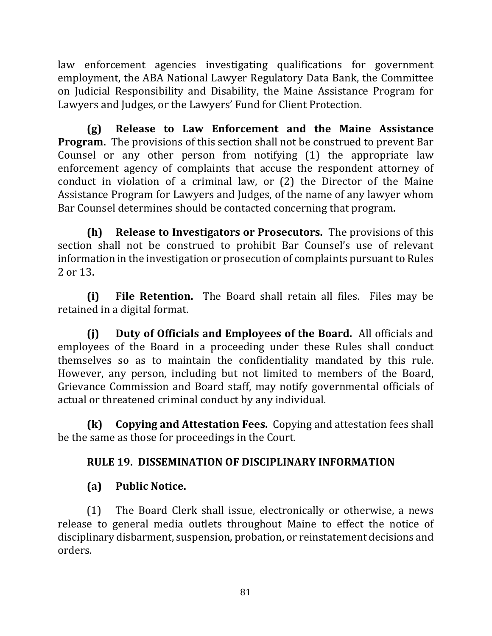law enforcement agencies investigating qualifications for government employment, the ABA National Lawyer Regulatory Data Bank, the Committee on Judicial Responsibility and Disability, the Maine Assistance Program for Lawyers and Judges, or the Lawyers' Fund for Client Protection.

**(g) Release to Law Enforcement and the Maine Assistance Program.** The provisions of this section shall not be construed to prevent Bar Counsel or any other person from notifying  $(1)$  the appropriate law enforcement agency of complaints that accuse the respondent attorney of conduct in violation of a criminal law, or  $(2)$  the Director of the Maine Assistance Program for Lawyers and Judges, of the name of any lawyer whom Bar Counsel determines should be contacted concerning that program.

**(h) Release to Investigators or Prosecutors.** The provisions of this section shall not be construed to prohibit Bar Counsel's use of relevant information in the investigation or prosecution of complaints pursuant to Rules 2 or 13.

**(i)** File Retention. The Board shall retain all files. Files may be retained in a digital format.

**(i)** Duty of Officials and Employees of the Board. All officials and employees of the Board in a proceeding under these Rules shall conduct themselves so as to maintain the confidentiality mandated by this rule. However, any person, including but not limited to members of the Board, Grievance Commission and Board staff, may notify governmental officials of actual or threatened criminal conduct by any individual.

**(k)** Copying and Attestation Fees. Copying and attestation fees shall be the same as those for proceedings in the Court.

# **RULE 19. DISSEMINATION OF DISCIPLINARY INFORMATION**

# **(a) Public Notice.**

(1) The Board Clerk shall issue, electronically or otherwise, a news release to general media outlets throughout Maine to effect the notice of disciplinary disbarment, suspension, probation, or reinstatement decisions and orders.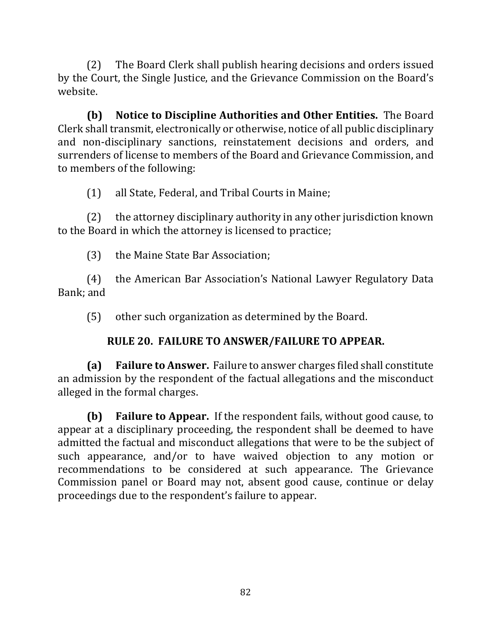(2) The Board Clerk shall publish hearing decisions and orders issued by the Court, the Single Justice, and the Grievance Commission on the Board's website.

**(b)** Notice to Discipline Authorities and Other Entities. The Board Clerk shall transmit, electronically or otherwise, notice of all public disciplinary and non-disciplinary sanctions, reinstatement decisions and orders, and surrenders of license to members of the Board and Grievance Commission, and to members of the following:

(1) all State, Federal, and Tribal Courts in Maine;

 $(2)$  the attorney disciplinary authority in any other jurisdiction known to the Board in which the attorney is licensed to practice;

(3) the Maine State Bar Association;

(4) the American Bar Association's National Lawyer Regulatory Data Bank; and

 $(5)$  other such organization as determined by the Board.

# **RULE 20. FAILURE TO ANSWER/FAILURE TO APPEAR.**

**(a) Failure to Answer.** Failure to answer charges filed shall constitute an admission by the respondent of the factual allegations and the misconduct alleged in the formal charges.

**(b) Failure to Appear.** If the respondent fails, without good cause, to appear at a disciplinary proceeding, the respondent shall be deemed to have admitted the factual and misconduct allegations that were to be the subject of such appearance, and/or to have waived objection to any motion or recommendations to be considered at such appearance. The Grievance Commission panel or Board may not, absent good cause, continue or delay proceedings due to the respondent's failure to appear.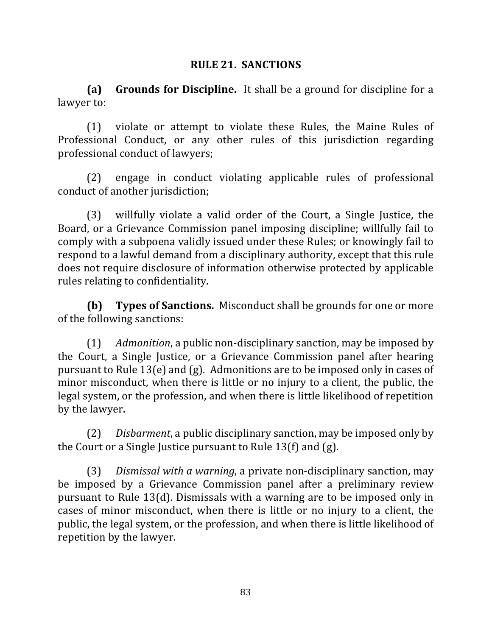#### **RULE 21. SANCTIONS**

**(a) Grounds for Discipline.** It shall be a ground for discipline for a lawyer to:

(1) violate or attempt to violate these Rules, the Maine Rules of Professional Conduct, or any other rules of this jurisdiction regarding professional conduct of lawyers;

(2) engage in conduct violating applicable rules of professional conduct of another jurisdiction;

(3) willfully violate a valid order of the Court, a Single Justice, the Board, or a Grievance Commission panel imposing discipline; willfully fail to comply with a subpoena validly issued under these Rules; or knowingly fail to respond to a lawful demand from a disciplinary authority, except that this rule does not require disclosure of information otherwise protected by applicable rules relating to confidentiality.

**(b) Types of Sanctions.** Misconduct shall be grounds for one or more of the following sanctions:

(1) *Admonition*, a public non-disciplinary sanction, may be imposed by the Court, a Single Justice, or a Grievance Commission panel after hearing pursuant to Rule 13(e) and  $(g)$ . Admonitions are to be imposed only in cases of minor misconduct, when there is little or no injury to a client, the public, the legal system, or the profession, and when there is little likelihood of repetition by the lawyer.

(2) *Disbarment*, a public disciplinary sanction, may be imposed only by the Court or a Single Justice pursuant to Rule 13(f) and  $(g)$ .

(3) *Dismissal with a warning*, a private non-disciplinary sanction, may be imposed by a Grievance Commission panel after a preliminary review pursuant to Rule 13(d). Dismissals with a warning are to be imposed only in cases of minor misconduct, when there is little or no injury to a client, the public, the legal system, or the profession, and when there is little likelihood of repetition by the lawyer.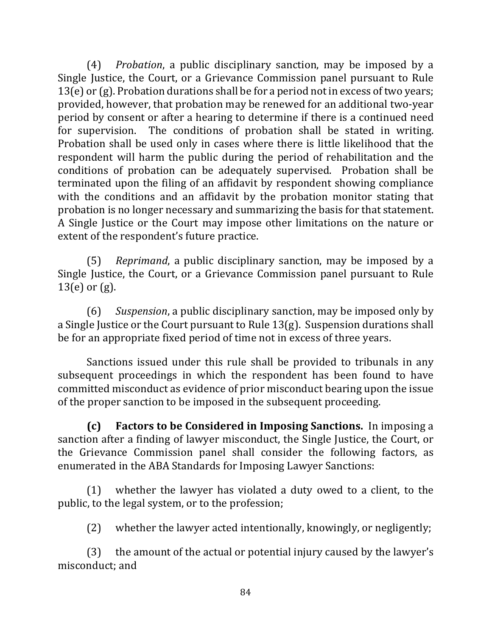(4) *Probation*, a public disciplinary sanction, may be imposed by a Single Justice, the Court, or a Grievance Commission panel pursuant to Rule  $13(e)$  or (g). Probation durations shall be for a period not in excess of two years; provided, however, that probation may be renewed for an additional two-year period by consent or after a hearing to determine if there is a continued need for supervision. The conditions of probation shall be stated in writing. Probation shall be used only in cases where there is little likelihood that the respondent will harm the public during the period of rehabilitation and the conditions of probation can be adequately supervised. Probation shall be terminated upon the filing of an affidavit by respondent showing compliance with the conditions and an affidavit by the probation monitor stating that probation is no longer necessary and summarizing the basis for that statement. A Single Justice or the Court may impose other limitations on the nature or extent of the respondent's future practice.

(5) *Reprimand*, a public disciplinary sanction, may be imposed by a Single Justice, the Court, or a Grievance Commission panel pursuant to Rule  $13(e)$  or  $(g)$ .

(6) Suspension, a public disciplinary sanction, may be imposed only by a Single Justice or the Court pursuant to Rule 13(g). Suspension durations shall be for an appropriate fixed period of time not in excess of three years.

Sanctions issued under this rule shall be provided to tribunals in any subsequent proceedings in which the respondent has been found to have committed misconduct as evidence of prior misconduct bearing upon the issue of the proper sanction to be imposed in the subsequent proceeding.

**(c)** Factors to be Considered in Imposing Sanctions. In imposing a sanction after a finding of lawyer misconduct, the Single Justice, the Court, or the Grievance Commission panel shall consider the following factors, as enumerated in the ABA Standards for Imposing Lawyer Sanctions:

 $(1)$  whether the lawyer has violated a duty owed to a client, to the public, to the legal system, or to the profession;

 $(2)$  whether the lawyer acted intentionally, knowingly, or negligently;

 $(3)$  the amount of the actual or potential injury caused by the lawyer's misconduct: and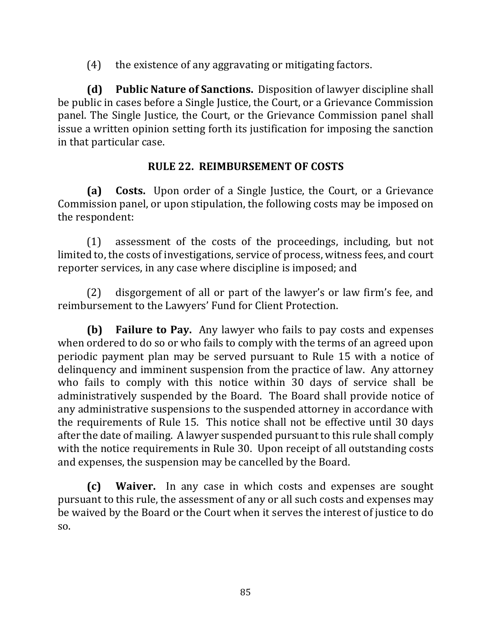$(4)$  the existence of any aggravating or mitigating factors.

**(d)** Public Nature of Sanctions. Disposition of lawyer discipline shall be public in cases before a Single Justice, the Court, or a Grievance Commission panel. The Single Justice, the Court, or the Grievance Commission panel shall issue a written opinion setting forth its justification for imposing the sanction in that particular case.

# **RULE 22. REIMBURSEMENT OF COSTS**

**(a)** Costs. Upon order of a Single Justice, the Court, or a Grievance Commission panel, or upon stipulation, the following costs may be imposed on the respondent:

 $(1)$  assessment of the costs of the proceedings, including, but not limited to, the costs of investigations, service of process, witness fees, and court reporter services, in any case where discipline is imposed; and

 $(2)$  disgorgement of all or part of the lawyer's or law firm's fee, and reimbursement to the Lawyers' Fund for Client Protection.

**(b) Failure to Pay.** Any lawyer who fails to pay costs and expenses when ordered to do so or who fails to comply with the terms of an agreed upon periodic payment plan may be served pursuant to Rule 15 with a notice of delinquency and imminent suspension from the practice of law. Any attorney who fails to comply with this notice within 30 days of service shall be administratively suspended by the Board. The Board shall provide notice of any administrative suspensions to the suspended attorney in accordance with the requirements of Rule 15. This notice shall not be effective until 30 days after the date of mailing. A lawyer suspended pursuant to this rule shall comply with the notice requirements in Rule 30. Upon receipt of all outstanding costs and expenses, the suspension may be cancelled by the Board.

**(c)** Waiver. In any case in which costs and expenses are sought pursuant to this rule, the assessment of any or all such costs and expenses may be waived by the Board or the Court when it serves the interest of justice to do so.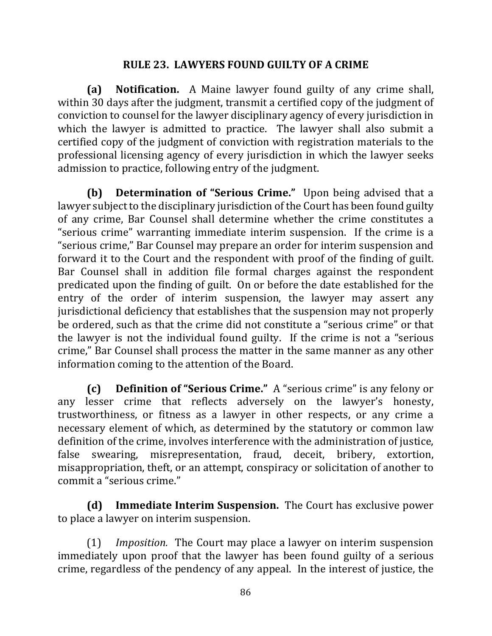#### **RULE 23. LAWYERS FOUND GUILTY OF A CRIME**

**(a) Notification.**  A Maine lawyer found guilty of any crime shall, within 30 days after the judgment, transmit a certified copy of the judgment of conviction to counsel for the lawyer disciplinary agency of every jurisdiction in which the lawyer is admitted to practice. The lawyer shall also submit a certified copy of the judgment of conviction with registration materials to the professional licensing agency of every jurisdiction in which the lawyer seeks admission to practice, following entry of the judgment.

**(b) Determination of "Serious Crime."** Upon being advised that a lawyer subject to the disciplinary jurisdiction of the Court has been found guilty of any crime, Bar Counsel shall determine whether the crime constitutes a "serious crime" warranting immediate interim suspension. If the crime is a "serious crime," Bar Counsel may prepare an order for interim suspension and forward it to the Court and the respondent with proof of the finding of guilt. Bar Counsel shall in addition file formal charges against the respondent predicated upon the finding of guilt. On or before the date established for the entry of the order of interim suspension, the lawyer may assert any jurisdictional deficiency that establishes that the suspension may not properly be ordered, such as that the crime did not constitute a "serious crime" or that the lawyer is not the individual found guilty. If the crime is not a "serious" crime," Bar Counsel shall process the matter in the same manner as any other information coming to the attention of the Board.

**(c) Definition of "Serious Crime."** A "serious crime" is any felony or any lesser crime that reflects adversely on the lawyer's honesty, trustworthiness, or fitness as a lawyer in other respects, or any crime a necessary element of which, as determined by the statutory or common law definition of the crime, involves interference with the administration of justice, false swearing, misrepresentation, fraud, deceit, bribery, extortion, misappropriation, theft, or an attempt, conspiracy or solicitation of another to commit a "serious crime."

**(d)** Immediate Interim Suspension. The Court has exclusive power to place a lawyer on interim suspension.

(1) *Imposition.* The Court may place a lawyer on interim suspension immediately upon proof that the lawyer has been found guilty of a serious crime, regardless of the pendency of any appeal. In the interest of justice, the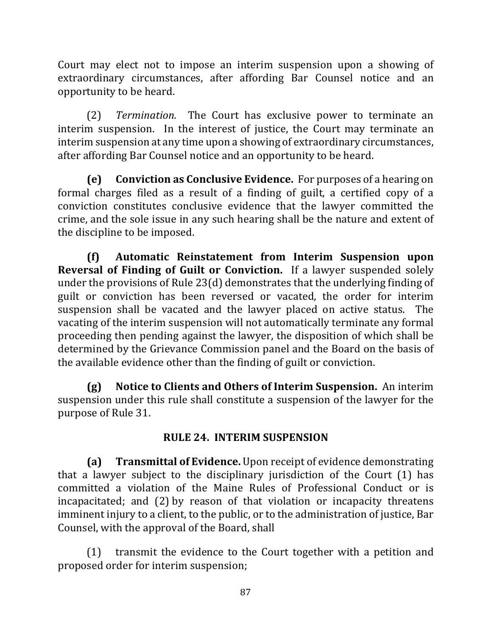Court may elect not to impose an interim suspension upon a showing of extraordinary circumstances, after affording Bar Counsel notice and an opportunity to be heard.

(2) *Termination*. The Court has exclusive power to terminate an interim suspension. In the interest of justice, the Court may terminate an interim suspension at any time upon a showing of extraordinary circumstances, after affording Bar Counsel notice and an opportunity to be heard.

**(e)** Conviction as Conclusive Evidence. For purposes of a hearing on formal charges filed as a result of a finding of guilt, a certified copy of a conviction constitutes conclusive evidence that the lawyer committed the crime, and the sole issue in any such hearing shall be the nature and extent of the discipline to be imposed.

**(f) Automatic Reinstatement from Interim Suspension upon Reversal of Finding of Guilt or Conviction.** If a lawyer suspended solely under the provisions of Rule 23(d) demonstrates that the underlying finding of guilt or conviction has been reversed or vacated, the order for interim suspension shall be vacated and the lawyer placed on active status. The vacating of the interim suspension will not automatically terminate any formal proceeding then pending against the lawyer, the disposition of which shall be determined by the Grievance Commission panel and the Board on the basis of the available evidence other than the finding of guilt or conviction.

**(g)** Notice to Clients and Others of Interim Suspension. An interim suspension under this rule shall constitute a suspension of the lawyer for the purpose of Rule 31.

## **RULE 24. INTERIM SUSPENSION**

**(a) Transmittal of Evidence.** Upon receipt of evidence demonstrating that a lawyer subject to the disciplinary jurisdiction of the Court  $(1)$  has committed a violation of the Maine Rules of Professional Conduct or is incapacitated; and (2) by reason of that violation or incapacity threatens imminent injury to a client, to the public, or to the administration of justice, Bar Counsel, with the approval of the Board, shall

 $(1)$  transmit the evidence to the Court together with a petition and proposed order for interim suspension;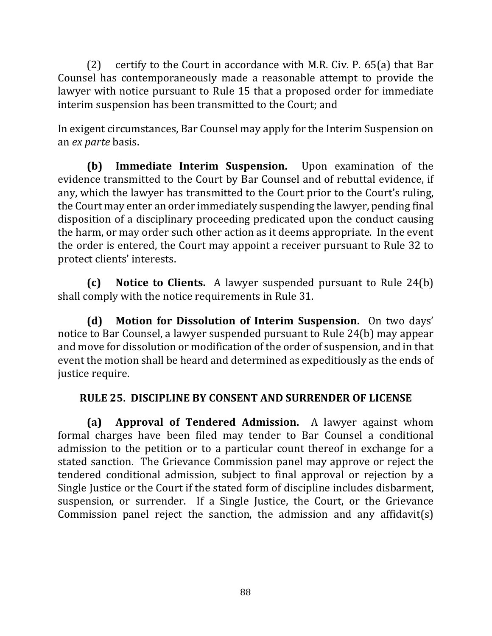(2) certify to the Court in accordance with M.R. Civ. P.  $65(a)$  that Bar Counsel has contemporaneously made a reasonable attempt to provide the lawyer with notice pursuant to Rule 15 that a proposed order for immediate interim suspension has been transmitted to the Court; and

In exigent circumstances, Bar Counsel may apply for the Interim Suspension on an *ex parte* basis.

**(b)** Immediate Interim Suspension. Upon examination of the evidence transmitted to the Court by Bar Counsel and of rebuttal evidence, if any, which the lawyer has transmitted to the Court prior to the Court's ruling, the Court may enter an order immediately suspending the lawyer, pending final disposition of a disciplinary proceeding predicated upon the conduct causing the harm, or may order such other action as it deems appropriate. In the event the order is entered, the Court may appoint a receiver pursuant to Rule 32 to protect clients' interests.

**(c)** Notice to Clients. A lawyer suspended pursuant to Rule 24(b) shall comply with the notice requirements in Rule 31.

**(d)** Motion for Dissolution of Interim Suspension. On two days' notice to Bar Counsel, a lawyer suspended pursuant to Rule 24(b) may appear and move for dissolution or modification of the order of suspension, and in that event the motion shall be heard and determined as expeditiously as the ends of justice require.

## **RULE 25. DISCIPLINE BY CONSENT AND SURRENDER OF LICENSE**

**(a) Approval of Tendered Admission.** A lawyer against whom formal charges have been filed may tender to Bar Counsel a conditional admission to the petition or to a particular count thereof in exchange for a stated sanction. The Grievance Commission panel may approve or reject the tendered conditional admission, subject to final approval or rejection by a Single Justice or the Court if the stated form of discipline includes disbarment, suspension, or surrender. If a Single Justice, the Court, or the Grievance Commission panel reject the sanction, the admission and any affidavit(s)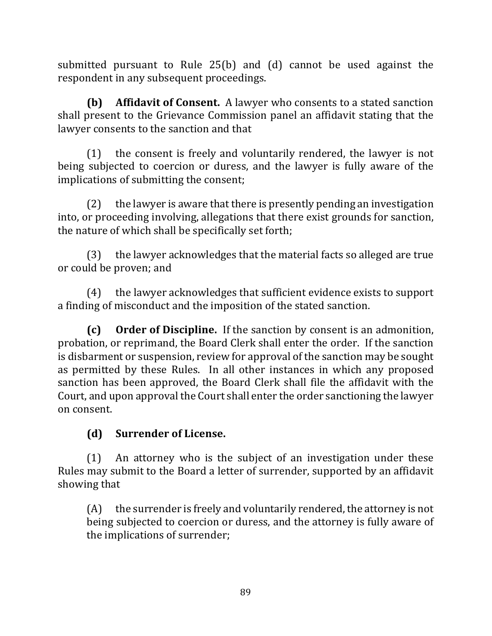submitted pursuant to Rule  $25(b)$  and (d) cannot be used against the respondent in any subsequent proceedings.

**(b)** Affidavit of Consent. A lawyer who consents to a stated sanction shall present to the Grievance Commission panel an affidavit stating that the lawyer consents to the sanction and that

 $(1)$  the consent is freely and voluntarily rendered, the lawyer is not being subjected to coercion or duress, and the lawyer is fully aware of the implications of submitting the consent;

 $(2)$  the lawyer is aware that there is presently pending an investigation into, or proceeding involving, allegations that there exist grounds for sanction, the nature of which shall be specifically set forth;

 $(3)$  the lawyer acknowledges that the material facts so alleged are true or could be proven; and

(4) the lawyer acknowledges that sufficient evidence exists to support a finding of misconduct and the imposition of the stated sanction.

**(c)** Order of Discipline. If the sanction by consent is an admonition, probation, or reprimand, the Board Clerk shall enter the order. If the sanction is disbarment or suspension, review for approval of the sanction may be sought as permitted by these Rules. In all other instances in which any proposed sanction has been approved, the Board Clerk shall file the affidavit with the Court, and upon approval the Court shall enter the order sanctioning the lawyer on consent.

# **(d) Surrender of License.**

 $(1)$  An attorney who is the subject of an investigation under these Rules may submit to the Board a letter of surrender, supported by an affidavit showing that

 $(A)$  the surrender is freely and voluntarily rendered, the attorney is not being subjected to coercion or duress, and the attorney is fully aware of the implications of surrender;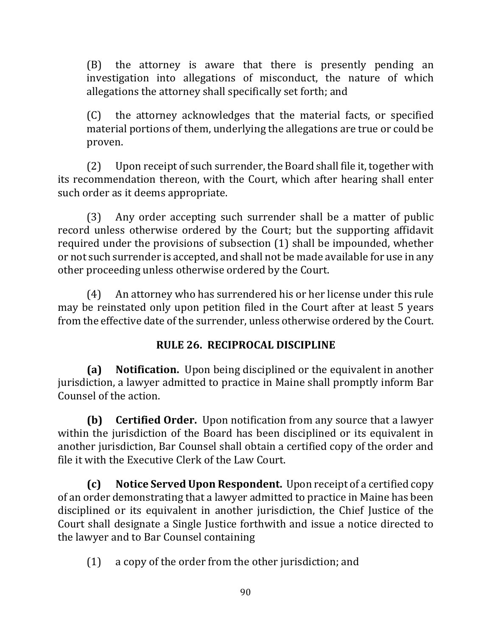(B) the attorney is aware that there is presently pending an investigation into allegations of misconduct, the nature of which allegations the attorney shall specifically set forth; and

(C) the attorney acknowledges that the material facts, or specified material portions of them, underlying the allegations are true or could be proven. 

(2) Upon receipt of such surrender, the Board shall file it, together with its recommendation thereon, with the Court, which after hearing shall enter such order as it deems appropriate.

 $(3)$  Any order accepting such surrender shall be a matter of public record unless otherwise ordered by the Court; but the supporting affidavit required under the provisions of subsection  $(1)$  shall be impounded, whether or not such surrender is accepted, and shall not be made available for use in any other proceeding unless otherwise ordered by the Court.

(4) An attorney who has surrendered his or her license under this rule may be reinstated only upon petition filed in the Court after at least 5 years from the effective date of the surrender, unless otherwise ordered by the Court.

# **RULE 26. RECIPROCAL DISCIPLINE**

**(a)** Notification. Upon being disciplined or the equivalent in another jurisdiction, a lawyer admitted to practice in Maine shall promptly inform Bar Counsel of the action.

**(b) Certified Order.** Upon notification from any source that a lawyer within the jurisdiction of the Board has been disciplined or its equivalent in another jurisdiction, Bar Counsel shall obtain a certified copy of the order and file it with the Executive Clerk of the Law Court.

**(c)** Notice Served Upon Respondent. Upon receipt of a certified copy of an order demonstrating that a lawyer admitted to practice in Maine has been disciplined or its equivalent in another jurisdiction, the Chief Justice of the Court shall designate a Single Justice forthwith and issue a notice directed to the lawyer and to Bar Counsel containing

 $(1)$  a copy of the order from the other jurisdiction; and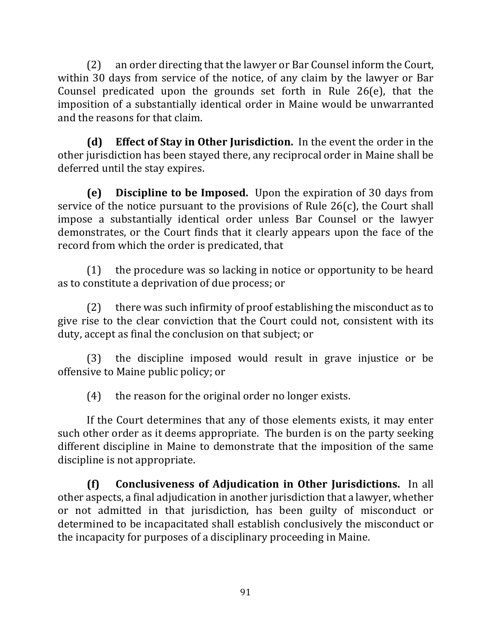(2) an order directing that the lawyer or Bar Counsel inform the Court, within 30 days from service of the notice, of any claim by the lawyer or Bar Counsel predicated upon the grounds set forth in Rule  $26(e)$ , that the imposition of a substantially identical order in Maine would be unwarranted and the reasons for that claim.

**(d)** Effect of Stay in Other Jurisdiction. In the event the order in the other jurisdiction has been stayed there, any reciprocal order in Maine shall be deferred until the stay expires.

**(e)** Discipline to be Imposed. Upon the expiration of 30 days from service of the notice pursuant to the provisions of Rule  $26(c)$ , the Court shall impose a substantially identical order unless Bar Counsel or the lawyer demonstrates, or the Court finds that it clearly appears upon the face of the record from which the order is predicated, that

 $(1)$  the procedure was so lacking in notice or opportunity to be heard as to constitute a deprivation of due process; or

 $(2)$  there was such infirmity of proof establishing the misconduct as to give rise to the clear conviction that the Court could not, consistent with its duty, accept as final the conclusion on that subject; or

 $(3)$  the discipline imposed would result in grave injustice or be offensive to Maine public policy; or

 $(4)$  the reason for the original order no longer exists.

If the Court determines that any of those elements exists, it may enter such other order as it deems appropriate. The burden is on the party seeking different discipline in Maine to demonstrate that the imposition of the same discipline is not appropriate.

**(f) Conclusiveness of Adjudication in Other Jurisdictions.** In all other aspects, a final adjudication in another jurisdiction that a lawyer, whether or not admitted in that jurisdiction, has been guilty of misconduct or determined to be incapacitated shall establish conclusively the misconduct or the incapacity for purposes of a disciplinary proceeding in Maine.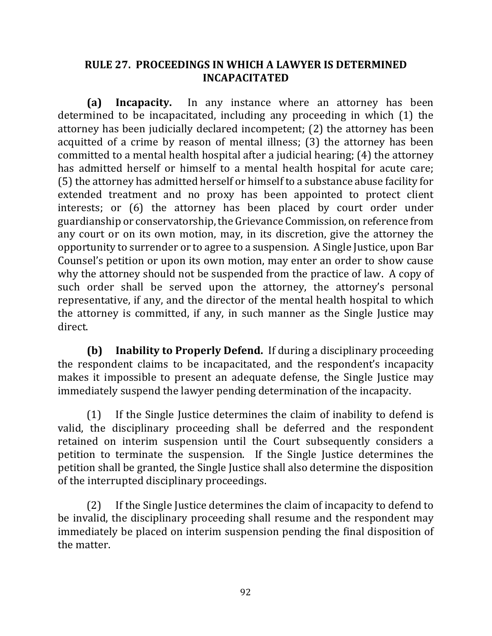## **RULE 27. PROCEEDINGS IN WHICH A LAWYER IS DETERMINED INCAPACITATED**

**(a) Incapacity.** In any instance where an attorney has been determined to be incapacitated, including any proceeding in which (1) the attorney has been judicially declared incompetent; (2) the attorney has been acquitted of a crime by reason of mental illness; (3) the attorney has been committed to a mental health hospital after a judicial hearing;  $(4)$  the attorney has admitted herself or himself to a mental health hospital for acute care; (5) the attorney has admitted herself or himself to a substance abuse facility for extended treatment and no proxy has been appointed to protect client interests; or (6) the attorney has been placed by court order under guardianship or conservatorship, the Grievance Commission, on reference from any court or on its own motion, may, in its discretion, give the attorney the opportunity to surrender or to agree to a suspension. A Single Justice, upon Bar Counsel's petition or upon its own motion, may enter an order to show cause why the attorney should not be suspended from the practice of law. A copy of such order shall be served upon the attorney, the attorney's personal representative, if any, and the director of the mental health hospital to which the attorney is committed, if any, in such manner as the Single Justice may direct.

**(b) Inability to Properly Defend.** If during a disciplinary proceeding the respondent claims to be incapacitated, and the respondent's incapacity makes it impossible to present an adequate defense, the Single Justice may immediately suspend the lawyer pending determination of the incapacity.

 $(1)$  If the Single Justice determines the claim of inability to defend is valid, the disciplinary proceeding shall be deferred and the respondent retained on interim suspension until the Court subsequently considers a petition to terminate the suspension. If the Single Justice determines the petition shall be granted, the Single Justice shall also determine the disposition of the interrupted disciplinary proceedings.

(2) If the Single Justice determines the claim of incapacity to defend to be invalid, the disciplinary proceeding shall resume and the respondent may immediately be placed on interim suspension pending the final disposition of the matter.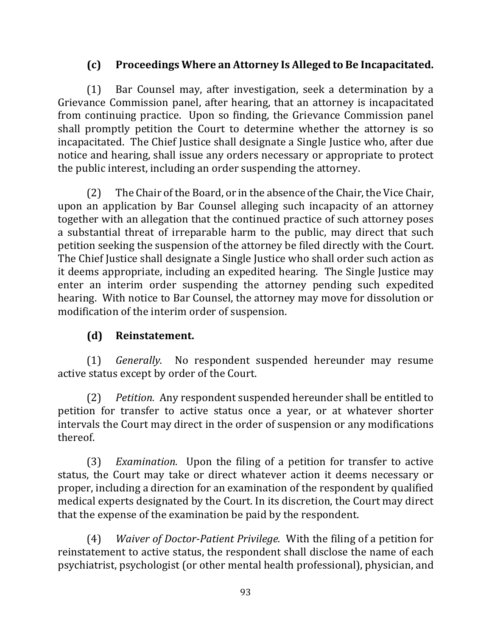# **(c) Proceedings Where an Attorney Is Alleged to Be Incapacitated.**

(1) Bar Counsel may, after investigation, seek a determination by a Grievance Commission panel, after hearing, that an attorney is incapacitated from continuing practice. Upon so finding, the Grievance Commission panel shall promptly petition the Court to determine whether the attorney is so incapacitated. The Chief Justice shall designate a Single Justice who, after due notice and hearing, shall issue any orders necessary or appropriate to protect the public interest, including an order suspending the attorney.

(2) The Chair of the Board, or in the absence of the Chair, the Vice Chair, upon an application by Bar Counsel alleging such incapacity of an attorney together with an allegation that the continued practice of such attorney poses a substantial threat of irreparable harm to the public, may direct that such petition seeking the suspension of the attorney be filed directly with the Court. The Chief Justice shall designate a Single Justice who shall order such action as it deems appropriate, including an expedited hearing. The Single Justice may enter an interim order suspending the attorney pending such expedited hearing. With notice to Bar Counsel, the attorney may move for dissolution or modification of the interim order of suspension.

#### **(d) Reinstatement.**

(1) *Generally*. No respondent suspended hereunder may resume active status except by order of the Court.

(2) *Petition.* Any respondent suspended hereunder shall be entitled to petition for transfer to active status once a year, or at whatever shorter intervals the Court may direct in the order of suspension or any modifications thereof.

(3) *Examination.* Upon the filing of a petition for transfer to active status, the Court may take or direct whatever action it deems necessary or proper, including a direction for an examination of the respondent by qualified medical experts designated by the Court. In its discretion, the Court may direct that the expense of the examination be paid by the respondent.

(4) *Waiver of Doctor-Patient Privilege.* With the filing of a petition for reinstatement to active status, the respondent shall disclose the name of each psychiatrist, psychologist (or other mental health professional), physician, and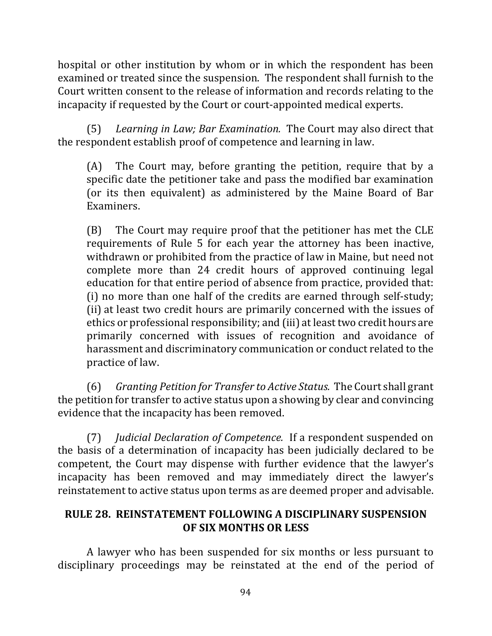hospital or other institution by whom or in which the respondent has been examined or treated since the suspension. The respondent shall furnish to the Court written consent to the release of information and records relating to the incapacity if requested by the Court or court-appointed medical experts.

(5) Learning in Law; Bar Examination. The Court may also direct that the respondent establish proof of competence and learning in law.

(A) The Court may, before granting the petition, require that by a specific date the petitioner take and pass the modified bar examination (or its then equivalent) as administered by the Maine Board of Bar Examiners. 

(B) The Court may require proof that the petitioner has met the CLE requirements of Rule 5 for each year the attorney has been inactive, withdrawn or prohibited from the practice of law in Maine, but need not complete more than 24 credit hours of approved continuing legal education for that entire period of absence from practice, provided that: (i) no more than one half of the credits are earned through self-study; (ii) at least two credit hours are primarily concerned with the issues of ethics or professional responsibility; and (iii) at least two credit hours are primarily concerned with issues of recognition and avoidance of harassment and discriminatory communication or conduct related to the practice of law.

(6) Granting Petition for Transfer to Active Status. The Court shall grant the petition for transfer to active status upon a showing by clear and convincing evidence that the incapacity has been removed.

(7) *Judicial Declaration of Competence.* If a respondent suspended on the basis of a determination of incapacity has been judicially declared to be competent, the Court may dispense with further evidence that the lawyer's incapacity has been removed and may immediately direct the lawyer's reinstatement to active status upon terms as are deemed proper and advisable.

## **RULE 28. REINSTATEMENT FOLLOWING A DISCIPLINARY SUSPENSION OF SIX MONTHS OR LESS**

A lawyer who has been suspended for six months or less pursuant to disciplinary proceedings may be reinstated at the end of the period of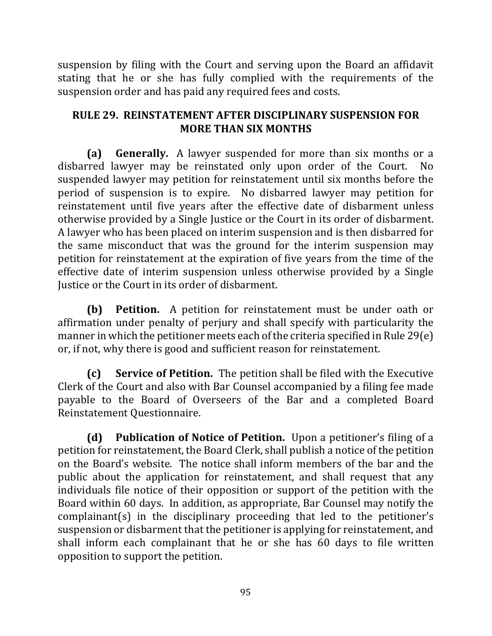suspension by filing with the Court and serving upon the Board an affidavit stating that he or she has fully complied with the requirements of the suspension order and has paid any required fees and costs.

## **RULE 29. REINSTATEMENT AFTER DISCIPLINARY SUSPENSION FOR MORE THAN SIX MONTHS**

**(a) Generally.** A lawyer suspended for more than six months or a disbarred lawyer may be reinstated only upon order of the Court. No suspended lawyer may petition for reinstatement until six months before the period of suspension is to expire. No disbarred lawyer may petition for reinstatement until five years after the effective date of disbarment unless otherwise provided by a Single Justice or the Court in its order of disbarment. A lawyer who has been placed on interim suspension and is then disbarred for the same misconduct that was the ground for the interim suspension may petition for reinstatement at the expiration of five years from the time of the effective date of interim suspension unless otherwise provided by a Single Justice or the Court in its order of disbarment.

**(b) Petition.** A petition for reinstatement must be under oath or affirmation under penalty of perjury and shall specify with particularity the manner in which the petitioner meets each of the criteria specified in Rule 29(e) or, if not, why there is good and sufficient reason for reinstatement.

**(c)** Service of Petition. The petition shall be filed with the Executive Clerk of the Court and also with Bar Counsel accompanied by a filing fee made payable to the Board of Overseers of the Bar and a completed Board Reinstatement Questionnaire.

**(d)** Publication of Notice of Petition. Upon a petitioner's filing of a petition for reinstatement, the Board Clerk, shall publish a notice of the petition on the Board's website. The notice shall inform members of the bar and the public about the application for reinstatement, and shall request that any individuals file notice of their opposition or support of the petition with the Board within 60 days. In addition, as appropriate, Bar Counsel may notify the  $complainant(s)$  in the disciplinary proceeding that led to the petitioner's suspension or disbarment that the petitioner is applying for reinstatement, and shall inform each complainant that he or she has 60 days to file written opposition to support the petition.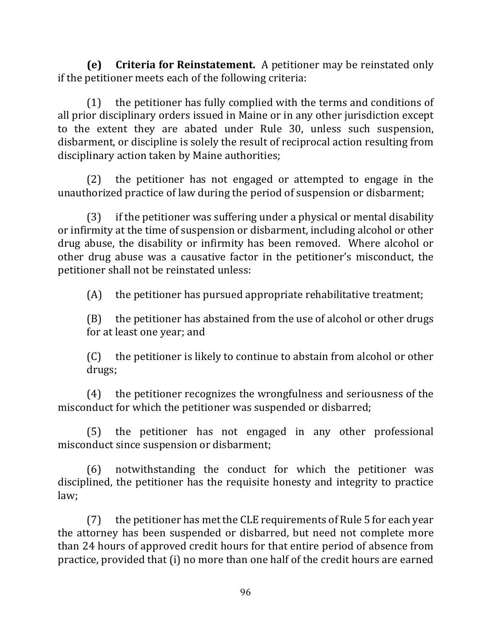**(e)** Criteria for Reinstatement. A petitioner may be reinstated only if the petitioner meets each of the following criteria:

 $(1)$  the petitioner has fully complied with the terms and conditions of all prior disciplinary orders issued in Maine or in any other jurisdiction except to the extent they are abated under Rule 30, unless such suspension, disbarment, or discipline is solely the result of reciprocal action resulting from disciplinary action taken by Maine authorities;

 $(2)$  the petitioner has not engaged or attempted to engage in the unauthorized practice of law during the period of suspension or disbarment;

 $(3)$  if the petitioner was suffering under a physical or mental disability or infirmity at the time of suspension or disbarment, including alcohol or other drug abuse, the disability or infirmity has been removed. Where alcohol or other drug abuse was a causative factor in the petitioner's misconduct, the petitioner shall not be reinstated unless:

 $(A)$  the petitioner has pursued appropriate rehabilitative treatment;

 $(B)$  the petitioner has abstained from the use of alcohol or other drugs for at least one year; and

 $(C)$  the petitioner is likely to continue to abstain from alcohol or other drugs;

 $(4)$  the petitioner recognizes the wrongfulness and seriousness of the misconduct for which the petitioner was suspended or disbarred;

(5) the petitioner has not engaged in any other professional misconduct since suspension or disbarment;

(6) notwithstanding the conduct for which the petitioner was disciplined, the petitioner has the requisite honesty and integrity to practice law; 

 $(7)$  the petitioner has met the CLE requirements of Rule 5 for each year the attorney has been suspended or disbarred, but need not complete more than 24 hours of approved credit hours for that entire period of absence from practice, provided that (i) no more than one half of the credit hours are earned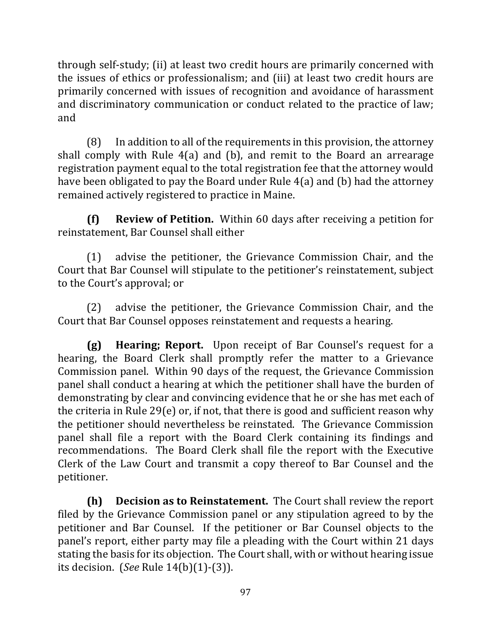through self-study; (ii) at least two credit hours are primarily concerned with the issues of ethics or professionalism; and (iii) at least two credit hours are primarily concerned with issues of recognition and avoidance of harassment and discriminatory communication or conduct related to the practice of law; and

 $(8)$  In addition to all of the requirements in this provision, the attorney shall comply with Rule  $4(a)$  and  $(b)$ , and remit to the Board an arrearage registration payment equal to the total registration fee that the attorney would have been obligated to pay the Board under Rule  $4(a)$  and (b) had the attorney remained actively registered to practice in Maine.

**(f) Review of Petition.** Within 60 days after receiving a petition for reinstatement, Bar Counsel shall either

(1) advise the petitioner, the Grievance Commission Chair, and the Court that Bar Counsel will stipulate to the petitioner's reinstatement, subject to the Court's approval; or

(2) advise the petitioner, the Grievance Commission Chair, and the Court that Bar Counsel opposes reinstatement and requests a hearing.

**(g) Hearing; Report.** Upon receipt of Bar Counsel's request for a hearing, the Board Clerk shall promptly refer the matter to a Grievance Commission panel. Within 90 days of the request, the Grievance Commission panel shall conduct a hearing at which the petitioner shall have the burden of demonstrating by clear and convincing evidence that he or she has met each of the criteria in Rule 29(e) or, if not, that there is good and sufficient reason why the petitioner should nevertheless be reinstated. The Grievance Commission panel shall file a report with the Board Clerk containing its findings and recommendations. The Board Clerk shall file the report with the Executive Clerk of the Law Court and transmit a copy thereof to Bar Counsel and the petitioner.

**(h) Decision as to Reinstatement.** The Court shall review the report filed by the Grievance Commission panel or any stipulation agreed to by the petitioner and Bar Counsel. If the petitioner or Bar Counsel objects to the panel's report, either party may file a pleading with the Court within 21 days stating the basis for its objection. The Court shall, with or without hearing issue its decision. (*See* Rule 14(b)(1)-(3)).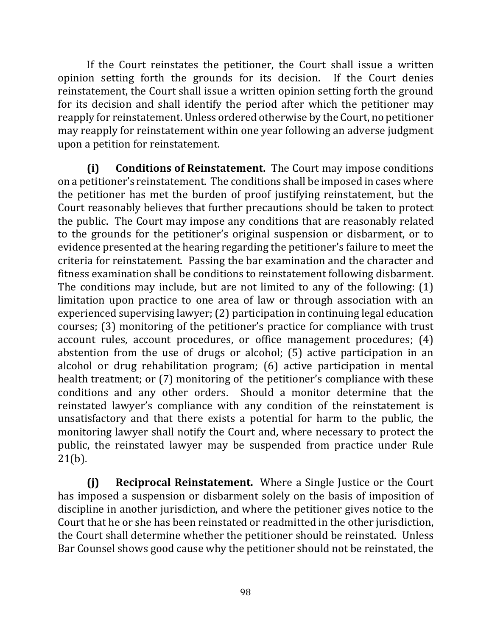If the Court reinstates the petitioner, the Court shall issue a written opinion setting forth the grounds for its decision. If the Court denies reinstatement, the Court shall issue a written opinion setting forth the ground for its decision and shall identify the period after which the petitioner may reapply for reinstatement. Unless ordered otherwise by the Court, no petitioner may reapply for reinstatement within one year following an adverse judgment upon a petition for reinstatement.

**(i)** Conditions of Reinstatement. The Court may impose conditions on a petitioner's reinstatement. The conditions shall be imposed in cases where the petitioner has met the burden of proof justifying reinstatement, but the Court reasonably believes that further precautions should be taken to protect the public. The Court may impose any conditions that are reasonably related to the grounds for the petitioner's original suspension or disbarment, or to evidence presented at the hearing regarding the petitioner's failure to meet the criteria for reinstatement. Passing the bar examination and the character and fitness examination shall be conditions to reinstatement following disbarment. The conditions may include, but are not limited to any of the following:  $(1)$ limitation upon practice to one area of law or through association with an experienced supervising lawyer; (2) participation in continuing legal education courses; (3) monitoring of the petitioner's practice for compliance with trust account rules, account procedures, or office management procedures; (4) abstention from the use of drugs or alcohol;  $(5)$  active participation in an alcohol or drug rehabilitation program;  $(6)$  active participation in mental health treatment; or (7) monitoring of the petitioner's compliance with these conditions and any other orders. Should a monitor determine that the reinstated lawyer's compliance with any condition of the reinstatement is unsatisfactory and that there exists a potential for harm to the public, the monitoring lawyer shall notify the Court and, where necessary to protect the public, the reinstated lawyer may be suspended from practice under Rule  $21(b)$ .

**(i) Reciprocal Reinstatement.** Where a Single Justice or the Court has imposed a suspension or disbarment solely on the basis of imposition of discipline in another jurisdiction, and where the petitioner gives notice to the Court that he or she has been reinstated or readmitted in the other jurisdiction, the Court shall determine whether the petitioner should be reinstated. Unless Bar Counsel shows good cause why the petitioner should not be reinstated, the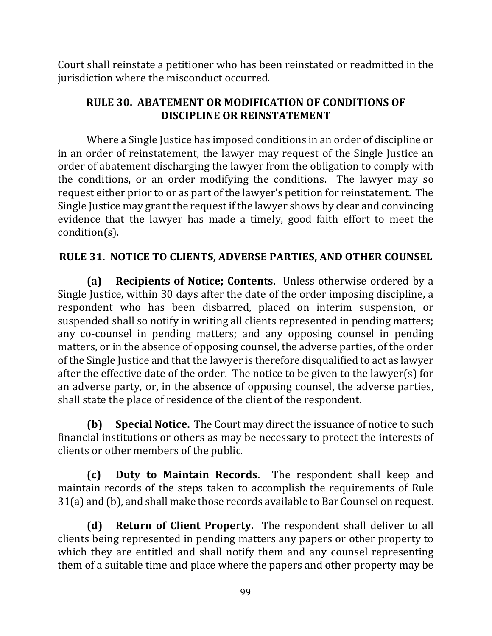Court shall reinstate a petitioner who has been reinstated or readmitted in the jurisdiction where the misconduct occurred.

## **RULE 30. ABATEMENT OR MODIFICATION OF CONDITIONS OF DISCIPLINE OR REINSTATEMENT**

Where a Single Justice has imposed conditions in an order of discipline or in an order of reinstatement, the lawyer may request of the Single Justice an order of abatement discharging the lawyer from the obligation to comply with the conditions, or an order modifying the conditions. The lawyer may so request either prior to or as part of the lawyer's petition for reinstatement. The Single Justice may grant the request if the lawyer shows by clear and convincing evidence that the lawyer has made a timely, good faith effort to meet the condition(s).

## **RULE 31. NOTICE TO CLIENTS, ADVERSE PARTIES, AND OTHER COUNSEL**

**(a) Recipients of Notice; Contents.** Unless otherwise ordered by a Single Justice, within 30 days after the date of the order imposing discipline, a respondent who has been disbarred, placed on interim suspension, or suspended shall so notify in writing all clients represented in pending matters; any co-counsel in pending matters; and any opposing counsel in pending matters, or in the absence of opposing counsel, the adverse parties, of the order of the Single Justice and that the lawyer is therefore disqualified to act as lawyer after the effective date of the order. The notice to be given to the lawyer(s) for an adverse party, or, in the absence of opposing counsel, the adverse parties, shall state the place of residence of the client of the respondent.

**(b)** Special Notice. The Court may direct the issuance of notice to such financial institutions or others as may be necessary to protect the interests of clients or other members of the public.

**(c) Duty to Maintain Records.** The respondent shall keep and maintain records of the steps taken to accomplish the requirements of Rule  $31(a)$  and (b), and shall make those records available to Bar Counsel on request.

**(d) Return of Client Property.** The respondent shall deliver to all clients being represented in pending matters any papers or other property to which they are entitled and shall notify them and any counsel representing them of a suitable time and place where the papers and other property may be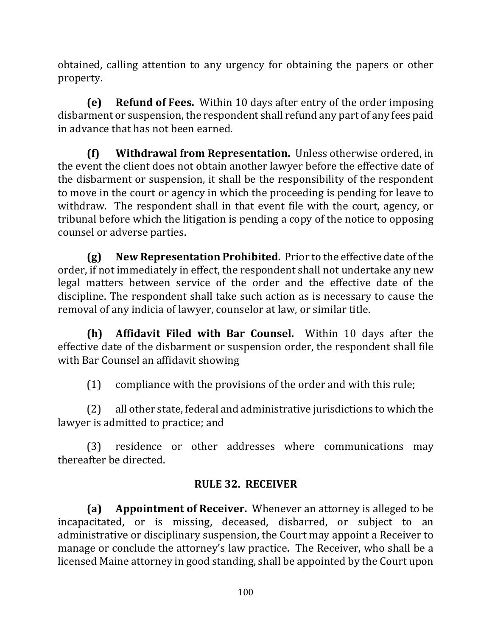obtained, calling attention to any urgency for obtaining the papers or other property.

**(e) Refund of Fees.** Within 10 days after entry of the order imposing disbarment or suspension, the respondent shall refund any part of any fees paid in advance that has not been earned.

**(f)** Withdrawal from Representation. Unless otherwise ordered, in the event the client does not obtain another lawyer before the effective date of the disbarment or suspension, it shall be the responsibility of the respondent to move in the court or agency in which the proceeding is pending for leave to withdraw. The respondent shall in that event file with the court, agency, or tribunal before which the litigation is pending a copy of the notice to opposing counsel or adverse parties.

**(g) New Representation Prohibited.** Prior to the effective date of the order, if not immediately in effect, the respondent shall not undertake any new legal matters between service of the order and the effective date of the discipline. The respondent shall take such action as is necessary to cause the removal of any indicia of lawyer, counselor at law, or similar title.

**(h)** Affidavit Filed with Bar Counsel. Within 10 days after the effective date of the disbarment or suspension order, the respondent shall file with Bar Counsel an affidavit showing

 $(1)$  compliance with the provisions of the order and with this rule;

 $(2)$  all other state, federal and administrative jurisdictions to which the lawyer is admitted to practice; and

(3) residence or other addresses where communications may thereafter be directed.

# **RULE 32. RECEIVER**

**(a)** Appointment of Receiver. Whenever an attorney is alleged to be incapacitated, or is missing, deceased, disbarred, or subject to an administrative or disciplinary suspension, the Court may appoint a Receiver to manage or conclude the attorney's law practice. The Receiver, who shall be a licensed Maine attorney in good standing, shall be appointed by the Court upon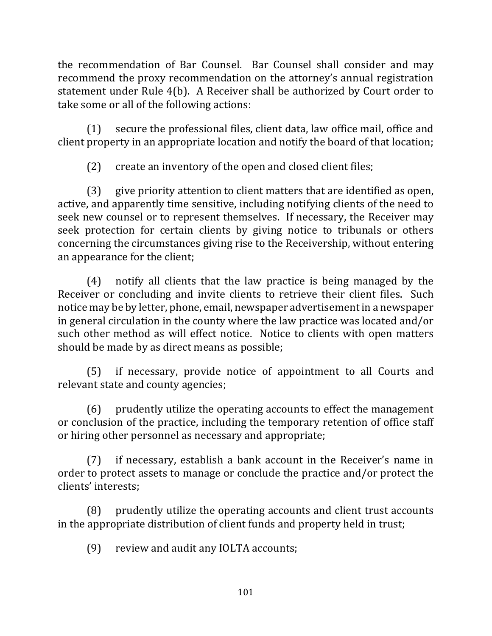the recommendation of Bar Counsel. Bar Counsel shall consider and may recommend the proxy recommendation on the attorney's annual registration statement under Rule 4(b). A Receiver shall be authorized by Court order to take some or all of the following actions:

 $(1)$  secure the professional files, client data, law office mail, office and client property in an appropriate location and notify the board of that location;

(2) create an inventory of the open and closed client files;

 $(3)$  give priority attention to client matters that are identified as open, active, and apparently time sensitive, including notifying clients of the need to seek new counsel or to represent themselves. If necessary, the Receiver may seek protection for certain clients by giving notice to tribunals or others concerning the circumstances giving rise to the Receivership, without entering an appearance for the client;

(4) notify all clients that the law practice is being managed by the Receiver or concluding and invite clients to retrieve their client files. Such notice may be by letter, phone, email, newspaper advertisement in a newspaper in general circulation in the county where the law practice was located and/or such other method as will effect notice. Notice to clients with open matters should be made by as direct means as possible;

(5) if necessary, provide notice of appointment to all Courts and relevant state and county agencies;

(6) prudently utilize the operating accounts to effect the management or conclusion of the practice, including the temporary retention of office staff or hiring other personnel as necessary and appropriate;

 $(7)$  if necessary, establish a bank account in the Receiver's name in order to protect assets to manage or conclude the practice and/or protect the clients' interests;

(8) prudently utilize the operating accounts and client trust accounts in the appropriate distribution of client funds and property held in trust;

(9) review and audit any IOLTA accounts;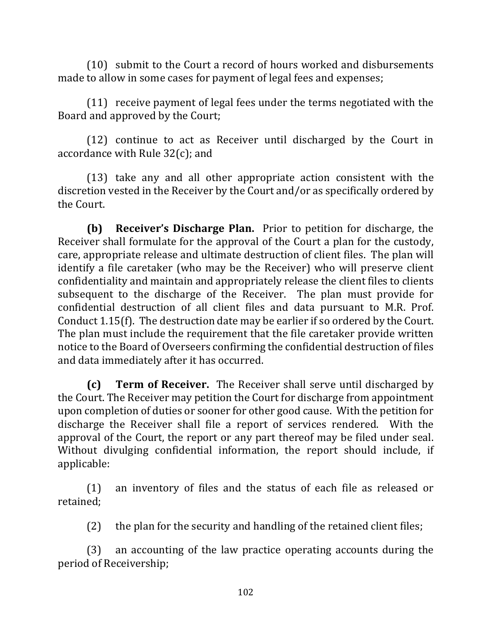$(10)$  submit to the Court a record of hours worked and disbursements made to allow in some cases for payment of legal fees and expenses;

 $(11)$  receive payment of legal fees under the terms negotiated with the Board and approved by the Court;

 $(12)$  continue to act as Receiver until discharged by the Court in accordance with Rule  $32(c)$ ; and

(13) take any and all other appropriate action consistent with the discretion vested in the Receiver by the Court and/or as specifically ordered by the Court.

**(b) Receiver's Discharge Plan.** Prior to petition for discharge, the Receiver shall formulate for the approval of the Court a plan for the custody, care, appropriate release and ultimate destruction of client files. The plan will identify a file caretaker (who may be the Receiver) who will preserve client confidentiality and maintain and appropriately release the client files to clients subsequent to the discharge of the Receiver. The plan must provide for confidential destruction of all client files and data pursuant to M.R. Prof. Conduct  $1.15(f)$ . The destruction date may be earlier if so ordered by the Court. The plan must include the requirement that the file caretaker provide written notice to the Board of Overseers confirming the confidential destruction of files and data immediately after it has occurred.

**(c) Term of Receiver.** The Receiver shall serve until discharged by the Court. The Receiver may petition the Court for discharge from appointment upon completion of duties or sooner for other good cause. With the petition for discharge the Receiver shall file a report of services rendered. With the approval of the Court, the report or any part thereof may be filed under seal. Without divulging confidential information, the report should include, if applicable: 

 $(1)$  an inventory of files and the status of each file as released or retained; 

 $(2)$  the plan for the security and handling of the retained client files;

(3) an accounting of the law practice operating accounts during the period of Receivership;

102